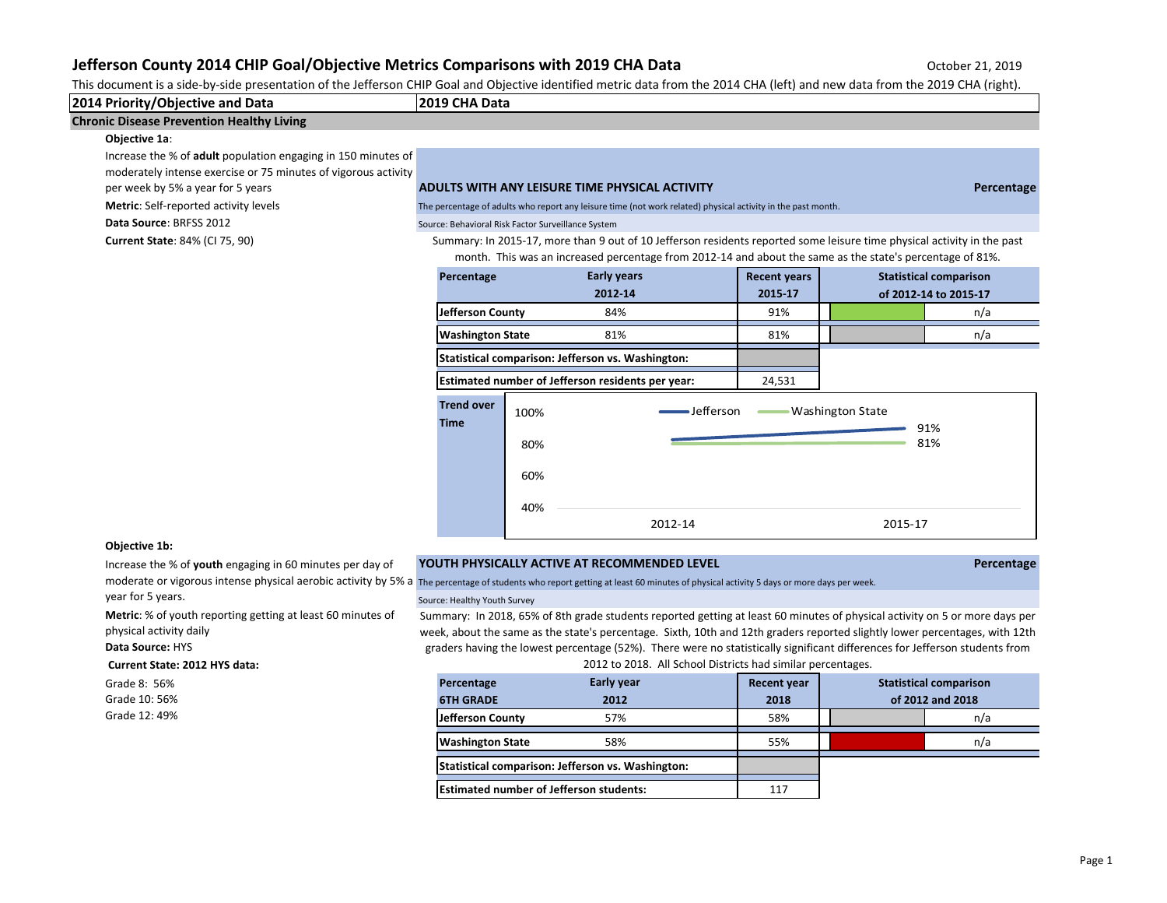This document is a side-by-side presentation of the Jefferson CHIP Goal and Objective identified metric data from the 2014 CHA (left) and new data from the 2019 CHA (right).

**2014 Priority/Objective and Data 2019 CHA Data**

## **Chronic Disease Prevention Healthy Living**

#### **Objective 1a**:

Increase the % of **adult** population engaging in 150 minutes of

moderately intense exercise or 75 minutes of vigorous activity

**Metric**: Self-reported activity levels

**Current State**: 84% (CI 75, 90)

## per week by 5% a year for 5 years **ADULTS WITH ANY LEISURE TIME PHYSICAL ACTIVITY Percentage**

The percentage of adults who report any leisure time (not work related) physical activity in the past month.

## **Data Source: BRFSS 2012** Source: Behavioral Risk Factor Surveillance System

Summary: In 2015-17, more than 9 out of 10 Jefferson residents reported some leisure time physical activity in the past month. This was an increased percentage from 2012-14 and about the same as the state's percentage of 81%.

| Percentage                                        | <b>Early years</b> | <b>Recent years</b> | <b>Statistical comparison</b> |
|---------------------------------------------------|--------------------|---------------------|-------------------------------|
|                                                   | 2012-14            | 2015-17             | of 2012-14 to 2015-17         |
| Jefferson County                                  | 84%                | 91%                 | n/a                           |
| <b>Washington State</b>                           | 81%                | 81%                 | n/a                           |
| Statistical comparison: Jefferson vs. Washington: |                    |                     |                               |
|                                                   |                    |                     |                               |

**Estimated number of Jefferson residents per year:** 24,531



#### **Objective 1b:**

Increase the % of **youth** engaging in 60 minutes per day of year for 5 years.

**Metric**: % of youth reporting getting at least 60 minutes of physical activity daily

**Data Source:** HYS

#### **Current State: 2012 HYS data:**

Grade 8: 56% Grade 10: 56% Grade 12: 49%

## **YOUTH PHYSICALLY ACTIVE AT RECOMMENDED LEVEL Percentage**

moderate or vigorous intense physical aerobic activity by 5% a The percentage of students who report getting at least 60 minutes of physical activity 5 days or more days per week.

#### Source: Healthy Youth Survey

Summary: In 2018, 65% of 8th grade students reported getting at least 60 minutes of physical activity on 5 or more days per week, about the same as the state's percentage. Sixth, 10th and 12th graders reported slightly lower percentages, with 12th graders having the lowest percentage (52%). There were no statistically significant differences for Jefferson students from 2012 to 2018. All School Districts had similar percentages.

| Percentage                                     | <b>Early year</b>                                 | <b>Recent year</b> | <b>Statistical comparison</b> |     |  |  |
|------------------------------------------------|---------------------------------------------------|--------------------|-------------------------------|-----|--|--|
| <b>6TH GRADE</b>                               | 2012                                              | 2018               | of 2012 and 2018              |     |  |  |
| <b>Jefferson County</b>                        | 57%                                               | 58%                |                               | n/a |  |  |
| <b>Washington State</b>                        | 58%                                               | 55%                |                               | n/a |  |  |
|                                                | Statistical comparison: Jefferson vs. Washington: |                    |                               |     |  |  |
| <b>Estimated number of Jefferson students:</b> |                                                   | 117                |                               |     |  |  |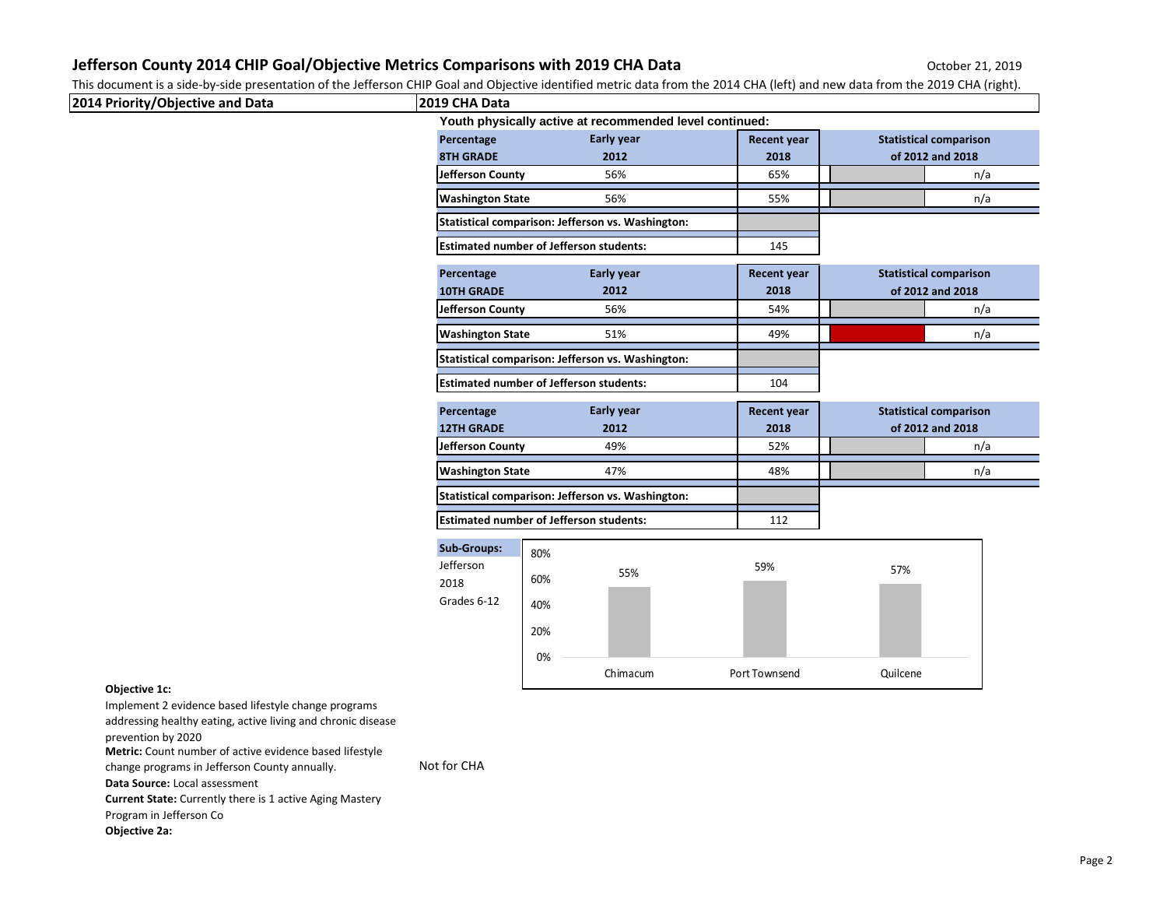This document is a side-by-side presentation of the Jefferson CHIP Goal and Objective identified metric data from the 2014 CHA (left) and new data from the 2019 CHA (right).

| 2019 CHA Data                                                                            |                 |                                                                                                                                                                                                                                                                                                                   |                                                         | <u>sea, and experimentalled members and nominale edsirem, perty and non-additional cross entryinging</u> |
|------------------------------------------------------------------------------------------|-----------------|-------------------------------------------------------------------------------------------------------------------------------------------------------------------------------------------------------------------------------------------------------------------------------------------------------------------|---------------------------------------------------------|----------------------------------------------------------------------------------------------------------|
|                                                                                          |                 |                                                                                                                                                                                                                                                                                                                   |                                                         |                                                                                                          |
| Percentage                                                                               | Early year      | <b>Recent year</b>                                                                                                                                                                                                                                                                                                | <b>Statistical comparison</b>                           |                                                                                                          |
| <b>8TH GRADE</b>                                                                         | 2012            | 2018                                                                                                                                                                                                                                                                                                              | of 2012 and 2018                                        |                                                                                                          |
| Jefferson County                                                                         | 56%             | 65%                                                                                                                                                                                                                                                                                                               |                                                         | n/a                                                                                                      |
| <b>Washington State</b>                                                                  | 56%             | 55%                                                                                                                                                                                                                                                                                                               |                                                         | n/a                                                                                                      |
|                                                                                          |                 |                                                                                                                                                                                                                                                                                                                   |                                                         |                                                                                                          |
|                                                                                          |                 | 145                                                                                                                                                                                                                                                                                                               |                                                         |                                                                                                          |
| Percentage                                                                               | Early year      | <b>Recent year</b>                                                                                                                                                                                                                                                                                                | <b>Statistical comparison</b>                           |                                                                                                          |
| <b>10TH GRADE</b>                                                                        | 2012            | 2018                                                                                                                                                                                                                                                                                                              | of 2012 and 2018                                        |                                                                                                          |
| Jefferson County                                                                         | 56%             | 54%                                                                                                                                                                                                                                                                                                               |                                                         | n/a                                                                                                      |
| <b>Washington State</b>                                                                  | 51%             | 49%                                                                                                                                                                                                                                                                                                               |                                                         | n/a                                                                                                      |
|                                                                                          |                 |                                                                                                                                                                                                                                                                                                                   |                                                         |                                                                                                          |
|                                                                                          |                 | 104                                                                                                                                                                                                                                                                                                               |                                                         |                                                                                                          |
| Percentage                                                                               | Early year      | <b>Recent year</b>                                                                                                                                                                                                                                                                                                | <b>Statistical comparison</b>                           |                                                                                                          |
| <b>12TH GRADE</b>                                                                        | 2012            | 2018                                                                                                                                                                                                                                                                                                              | of 2012 and 2018                                        |                                                                                                          |
| Jefferson County                                                                         | 49%             | 52%                                                                                                                                                                                                                                                                                                               |                                                         | n/a                                                                                                      |
| <b>Washington State</b>                                                                  | 47%             | 48%                                                                                                                                                                                                                                                                                                               |                                                         | n/a                                                                                                      |
|                                                                                          |                 |                                                                                                                                                                                                                                                                                                                   |                                                         |                                                                                                          |
|                                                                                          |                 | 112                                                                                                                                                                                                                                                                                                               |                                                         |                                                                                                          |
| <b>Sub-Groups:</b><br>80%<br>Jefferson<br>60%<br>2018<br>Grades 6-12<br>40%<br>20%<br>0% | 55%<br>Chimacum | 59%<br>Port Townsend                                                                                                                                                                                                                                                                                              | 57%<br>Quilcene                                         |                                                                                                          |
|                                                                                          |                 | Statistical comparison: Jefferson vs. Washington:<br><b>Estimated number of Jefferson students:</b><br>Statistical comparison: Jefferson vs. Washington:<br><b>Estimated number of Jefferson students:</b><br>Statistical comparison: Jefferson vs. Washington:<br><b>Estimated number of Jefferson students:</b> | Youth physically active at recommended level continued: |                                                                                                          |

## **Objective 1c:**

Implement 2 evidence based lifestyle change programs

addressing healthy eating, active living and chronic disease

prevention by 2020

**Metric:** Count number of active evidence based lifestyle

change programs in Jefferson County annually. Not for CHA

**Data Source:** Local assessment

**Current State:** Currently there is 1 active Aging Mastery

Program in Jefferson Co

**Objective 2a:**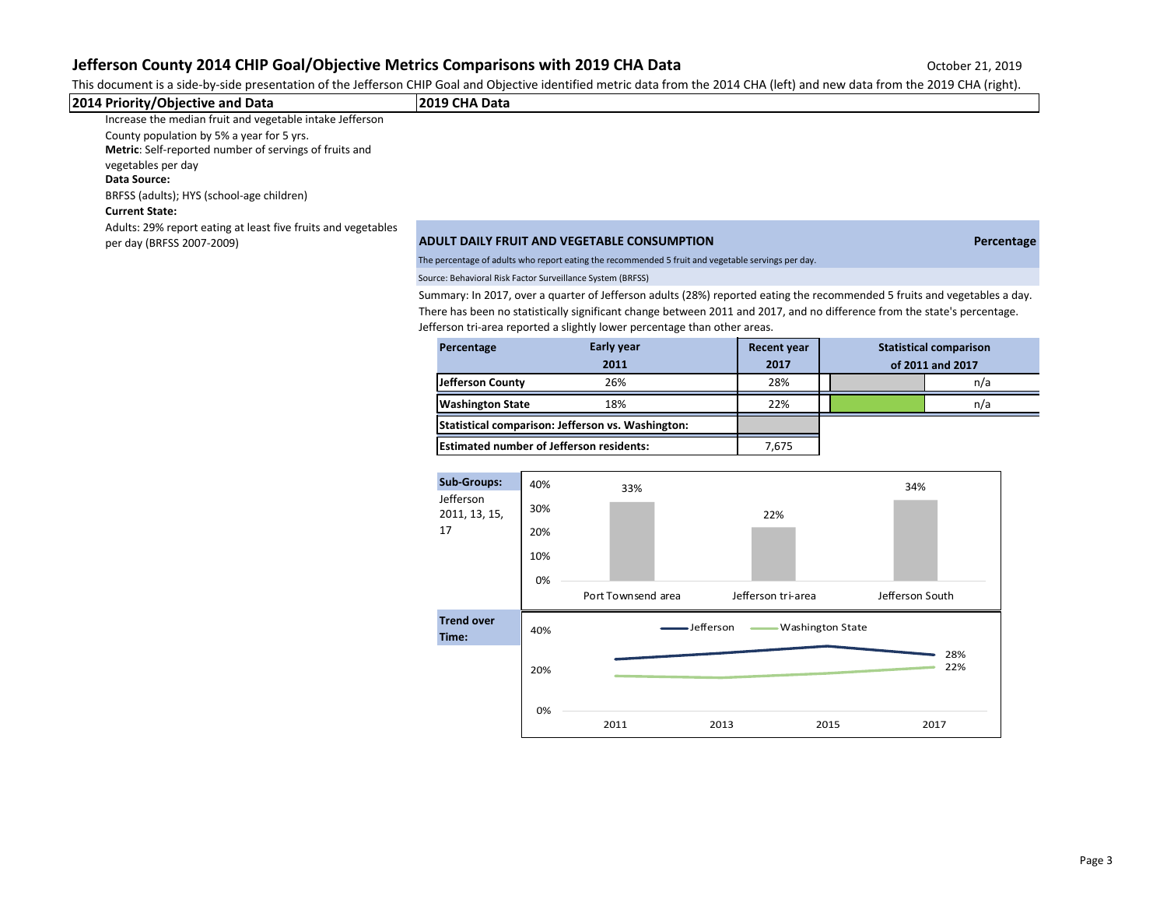This document is a side-by-side presentation of the Jefferson CHIP Goal and Objective identified metric data from the 2014 CHA (left) and new data from the 2019 CHA (right).

| 2014 Priority/Objective and Data                                                                    | l2019 CHA Data                                                                                     |            |
|-----------------------------------------------------------------------------------------------------|----------------------------------------------------------------------------------------------------|------------|
| Increase the median fruit and vegetable intake Jefferson                                            |                                                                                                    |            |
| County population by 5% a year for 5 yrs.<br>Metric: Self-reported number of servings of fruits and |                                                                                                    |            |
| vegetables per day<br>Data Source:                                                                  |                                                                                                    |            |
| BRFSS (adults); HYS (school-age children)                                                           |                                                                                                    |            |
| <b>Current State:</b>                                                                               |                                                                                                    |            |
| Adults: 29% report eating at least five fruits and vegetables<br>per day (BRFSS 2007-2009)          | ADULT DAILY FRUIT AND VEGETABLE CONSUMPTION                                                        | Percentage |
|                                                                                                     | The percentage of adults who report eating the recommended 5 fruit and vegetable servings per day. |            |

Source: Behavioral Risk Factor Surveillance System (BRFSS)

Summary: In 2017, over a quarter of Jefferson adults (28%) reported eating the recommended 5 fruits and vegetables a day. There has been no statistically significant change between 2011 and 2017, and no difference from the state's percentage. Jefferson tri-area reported a slightly lower percentage than other areas.

| Percentage                                      | Early year<br>2011                                | <b>Recent year</b><br>2017 | <b>Statistical comparison</b><br>of 2011 and 2017 |  |     |
|-------------------------------------------------|---------------------------------------------------|----------------------------|---------------------------------------------------|--|-----|
| Jefferson County                                | 26%                                               | 28%                        |                                                   |  | n/a |
| <b>Washington State</b>                         | 18%                                               | 22%                        |                                                   |  | n/a |
|                                                 | Statistical comparison: Jefferson vs. Washington: |                            |                                                   |  |     |
| <b>Estimated number of Jefferson residents:</b> |                                                   | 7,675                      |                                                   |  |     |

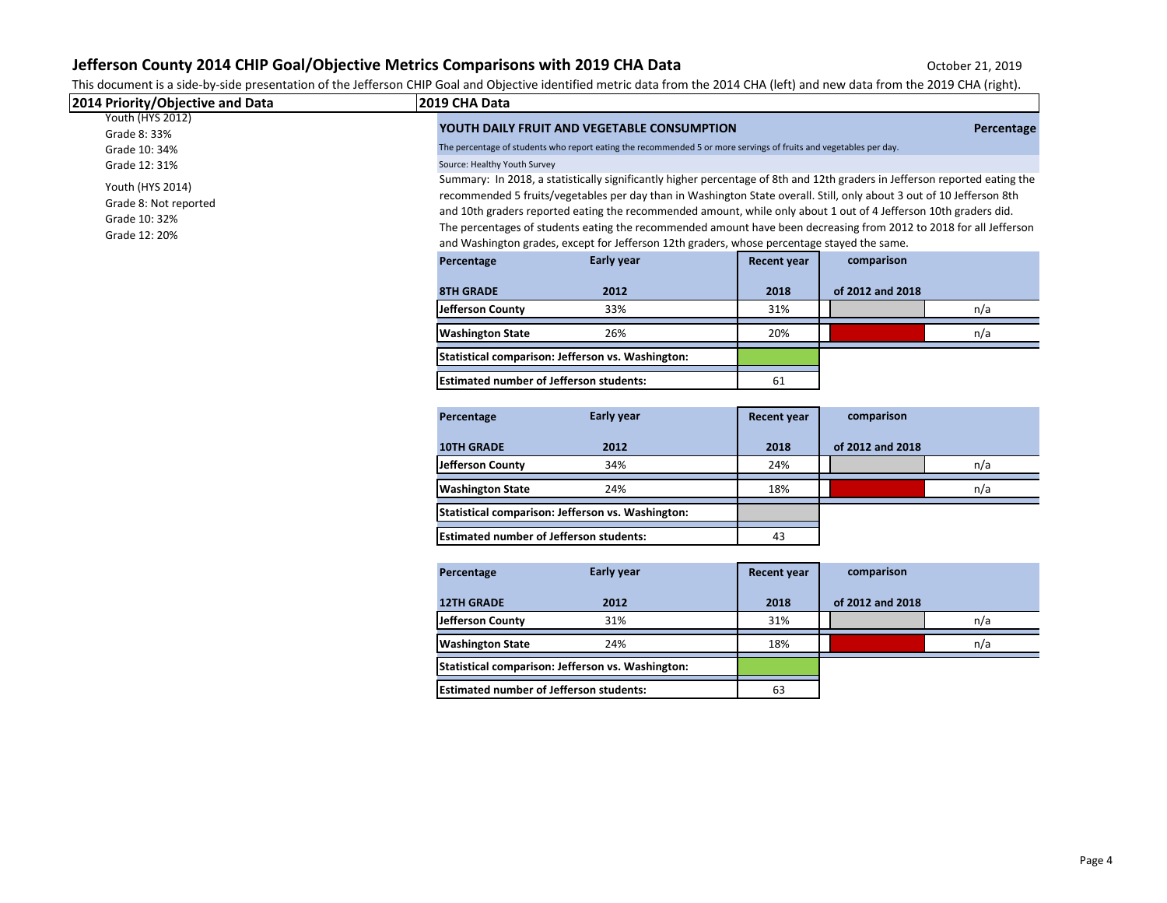This document is a side-by-side presentation of the Jefferson CHIP Goal and Objective identified metric data from the 2014 CHA (left) and new data from the 2019 CHA (right).

| 2014 Priority/Objective and Data                                            | 2019 CHA Data                                  |                                                                                                                                                                                                                                                                                                                                                                                                                                                                                                                                                                                                                                                              |                    |                  |     |  |  |
|-----------------------------------------------------------------------------|------------------------------------------------|--------------------------------------------------------------------------------------------------------------------------------------------------------------------------------------------------------------------------------------------------------------------------------------------------------------------------------------------------------------------------------------------------------------------------------------------------------------------------------------------------------------------------------------------------------------------------------------------------------------------------------------------------------------|--------------------|------------------|-----|--|--|
| Youth (HYS 2012)<br>Grade 8: 33%<br>Grade 10: 34%<br>Grade 12: 31%          |                                                | YOUTH DAILY FRUIT AND VEGETABLE CONSUMPTION<br>Percentage<br>The percentage of students who report eating the recommended 5 or more servings of fruits and vegetables per day.<br>Source: Healthy Youth Survey                                                                                                                                                                                                                                                                                                                                                                                                                                               |                    |                  |     |  |  |
| Youth (HYS 2014)<br>Grade 8: Not reported<br>Grade 10: 32%<br>Grade 12: 20% |                                                | Summary: In 2018, a statistically significantly higher percentage of 8th and 12th graders in Jefferson reported eating the<br>recommended 5 fruits/vegetables per day than in Washington State overall. Still, only about 3 out of 10 Jefferson 8th<br>and 10th graders reported eating the recommended amount, while only about 1 out of 4 Jefferson 10th graders did.<br>The percentages of students eating the recommended amount have been decreasing from 2012 to 2018 for all Jefferson<br>and Washington grades, except for Jefferson 12th graders, whose percentage stayed the same.<br>Early year<br>comparison<br>Percentage<br><b>Recent year</b> |                    |                  |     |  |  |
|                                                                             | <b>8TH GRADE</b>                               | 2012                                                                                                                                                                                                                                                                                                                                                                                                                                                                                                                                                                                                                                                         | 2018               | of 2012 and 2018 |     |  |  |
|                                                                             | Jefferson County                               | 33%                                                                                                                                                                                                                                                                                                                                                                                                                                                                                                                                                                                                                                                          | 31%                |                  | n/a |  |  |
|                                                                             | <b>Washington State</b>                        | 26%                                                                                                                                                                                                                                                                                                                                                                                                                                                                                                                                                                                                                                                          | 20%                |                  | n/a |  |  |
|                                                                             |                                                | Statistical comparison: Jefferson vs. Washington:                                                                                                                                                                                                                                                                                                                                                                                                                                                                                                                                                                                                            |                    |                  |     |  |  |
|                                                                             | <b>Estimated number of Jefferson students:</b> |                                                                                                                                                                                                                                                                                                                                                                                                                                                                                                                                                                                                                                                              | 61                 |                  |     |  |  |
|                                                                             | Percentage                                     | Early year                                                                                                                                                                                                                                                                                                                                                                                                                                                                                                                                                                                                                                                   | <b>Recent year</b> | comparison       |     |  |  |
|                                                                             | <b>10TH GRADE</b>                              | 2012                                                                                                                                                                                                                                                                                                                                                                                                                                                                                                                                                                                                                                                         | 2018               | of 2012 and 2018 |     |  |  |
|                                                                             | <b>Jefferson County</b>                        | 34%                                                                                                                                                                                                                                                                                                                                                                                                                                                                                                                                                                                                                                                          | 24%                |                  | n/a |  |  |
|                                                                             | <b>Washington State</b>                        | 24%                                                                                                                                                                                                                                                                                                                                                                                                                                                                                                                                                                                                                                                          | 18%                |                  | n/a |  |  |
|                                                                             |                                                | Statistical comparison: Jefferson vs. Washington:                                                                                                                                                                                                                                                                                                                                                                                                                                                                                                                                                                                                            |                    |                  |     |  |  |
|                                                                             | <b>Estimated number of Jefferson students:</b> |                                                                                                                                                                                                                                                                                                                                                                                                                                                                                                                                                                                                                                                              | 43                 |                  |     |  |  |
|                                                                             | Percentage                                     | Early year                                                                                                                                                                                                                                                                                                                                                                                                                                                                                                                                                                                                                                                   | <b>Recent year</b> | comparison       |     |  |  |
|                                                                             | <b>12TH GRADE</b>                              | 2012                                                                                                                                                                                                                                                                                                                                                                                                                                                                                                                                                                                                                                                         | 2018               | of 2012 and 2018 |     |  |  |
|                                                                             | <b>Jefferson County</b>                        | 31%                                                                                                                                                                                                                                                                                                                                                                                                                                                                                                                                                                                                                                                          | 31%                |                  | n/a |  |  |
|                                                                             | <b>Washington State</b>                        | 24%                                                                                                                                                                                                                                                                                                                                                                                                                                                                                                                                                                                                                                                          | 18%                |                  | n/a |  |  |
|                                                                             |                                                | Statistical comparison: Jefferson vs. Washington:                                                                                                                                                                                                                                                                                                                                                                                                                                                                                                                                                                                                            |                    |                  |     |  |  |
|                                                                             | <b>Estimated number of Jefferson students:</b> |                                                                                                                                                                                                                                                                                                                                                                                                                                                                                                                                                                                                                                                              | 63                 |                  |     |  |  |
|                                                                             |                                                |                                                                                                                                                                                                                                                                                                                                                                                                                                                                                                                                                                                                                                                              |                    |                  |     |  |  |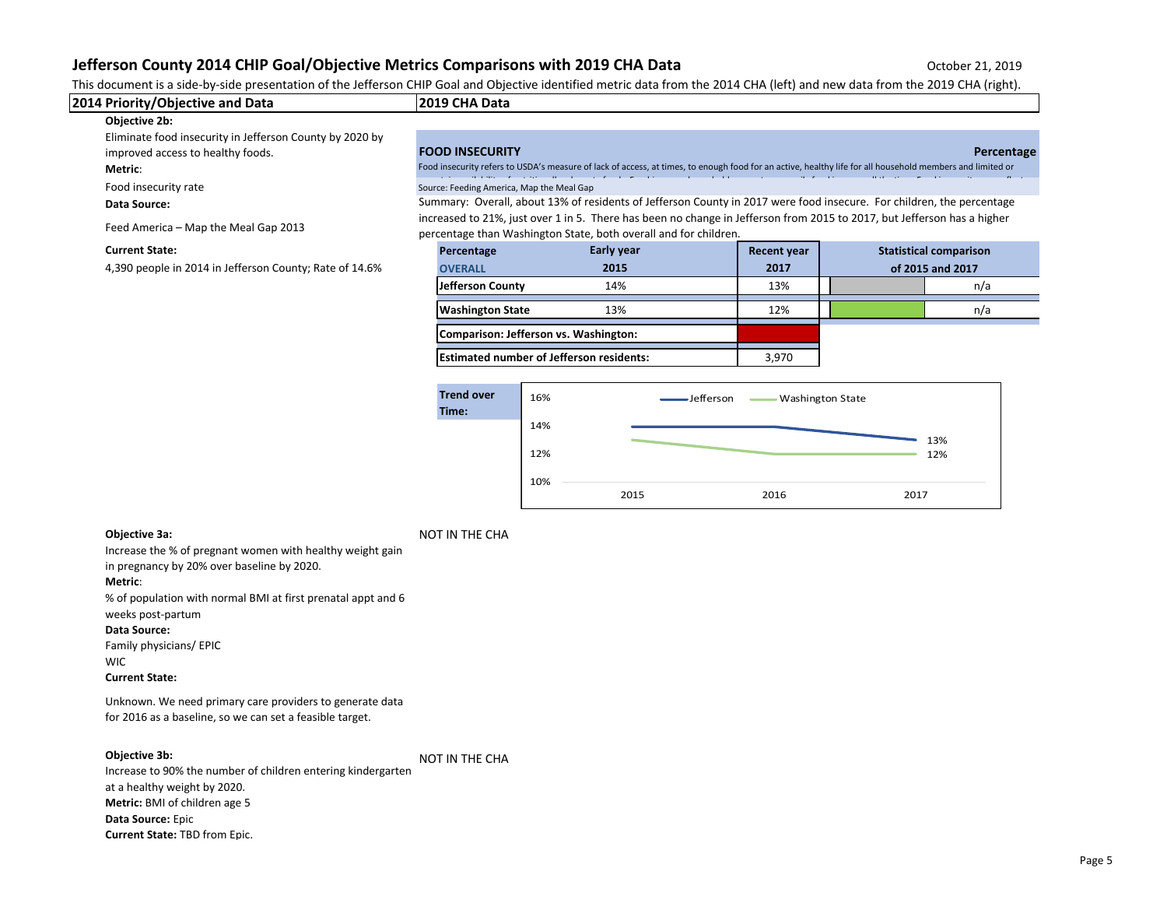This document is a side-by-side presentation of the Jefferson CHIP Goal and Objective identified metric data from the 2014 CHA (left) and new data from the 2019 CHA (right).

| 2014 Priority/Objective and Data                         | l2019 CHA Data                                                                                                                                                                              |                                                                                                                                                           |                    |  |                               |
|----------------------------------------------------------|---------------------------------------------------------------------------------------------------------------------------------------------------------------------------------------------|-----------------------------------------------------------------------------------------------------------------------------------------------------------|--------------------|--|-------------------------------|
| Objective 2b:                                            |                                                                                                                                                                                             |                                                                                                                                                           |                    |  |                               |
| Eliminate food insecurity in Jefferson County by 2020 by |                                                                                                                                                                                             |                                                                                                                                                           |                    |  |                               |
| improved access to healthy foods.                        | <b>FOOD INSECURITY</b>                                                                                                                                                                      |                                                                                                                                                           |                    |  | Percentage                    |
| Metric:                                                  |                                                                                                                                                                                             | Food insecurity refers to USDA's measure of lack of access, at times, to enough food for an active, healthy life for all household members and limited or |                    |  |                               |
| Food insecurity rate                                     | Source: Feeding America, Map the Meal Gap                                                                                                                                                   |                                                                                                                                                           |                    |  |                               |
| Data Source:                                             |                                                                                                                                                                                             | Summary: Overall, about 13% of residents of Jefferson County in 2017 were food insecure. For children, the percentage                                     |                    |  |                               |
| Feed America - Map the Meal Gap 2013                     | increased to 21%, just over 1 in 5. There has been no change in Jefferson from 2015 to 2017, but Jefferson has a higher<br>percentage than Washington State, both overall and for children. |                                                                                                                                                           |                    |  |                               |
| <b>Current State:</b>                                    | Percentage                                                                                                                                                                                  | Early year                                                                                                                                                | <b>Recent year</b> |  | <b>Statistical comparison</b> |
| 4,390 people in 2014 in Jefferson County; Rate of 14.6%  | <b>OVERALL</b>                                                                                                                                                                              | 2015                                                                                                                                                      | 2017               |  | of 2015 and 2017              |
|                                                          | Jefferson County                                                                                                                                                                            | 14%                                                                                                                                                       | 13%                |  | n/a                           |

**Comparison: Jefferson vs. Washington:**

**Estimated number of Jefferson residents:** 4 3,970



**Washington State** 13% 13% 12% **12% 12% 12%** n/a

**Objective 3a:** NOT IN THE CHA

Increase the % of pregnant women with healthy weight gain in pregnancy by 20% over baseline by 2020. **Metric**: % of population with normal BMI at first prenatal appt and 6 weeks post-partum **Data Source:**  Family physicians/ EPIC WIC **Current State:**

Unknown. We need primary care providers to generate data for 2016 as a baseline, so we can set a feasible target.

#### **Objective 3b:**

NOT IN THE CHA

Increase to 90% the number of children entering kindergarten at a healthy weight by 2020. **Metric:** BMI of children age 5 **Data Source:** Epic **Current State:** TBD from Epic.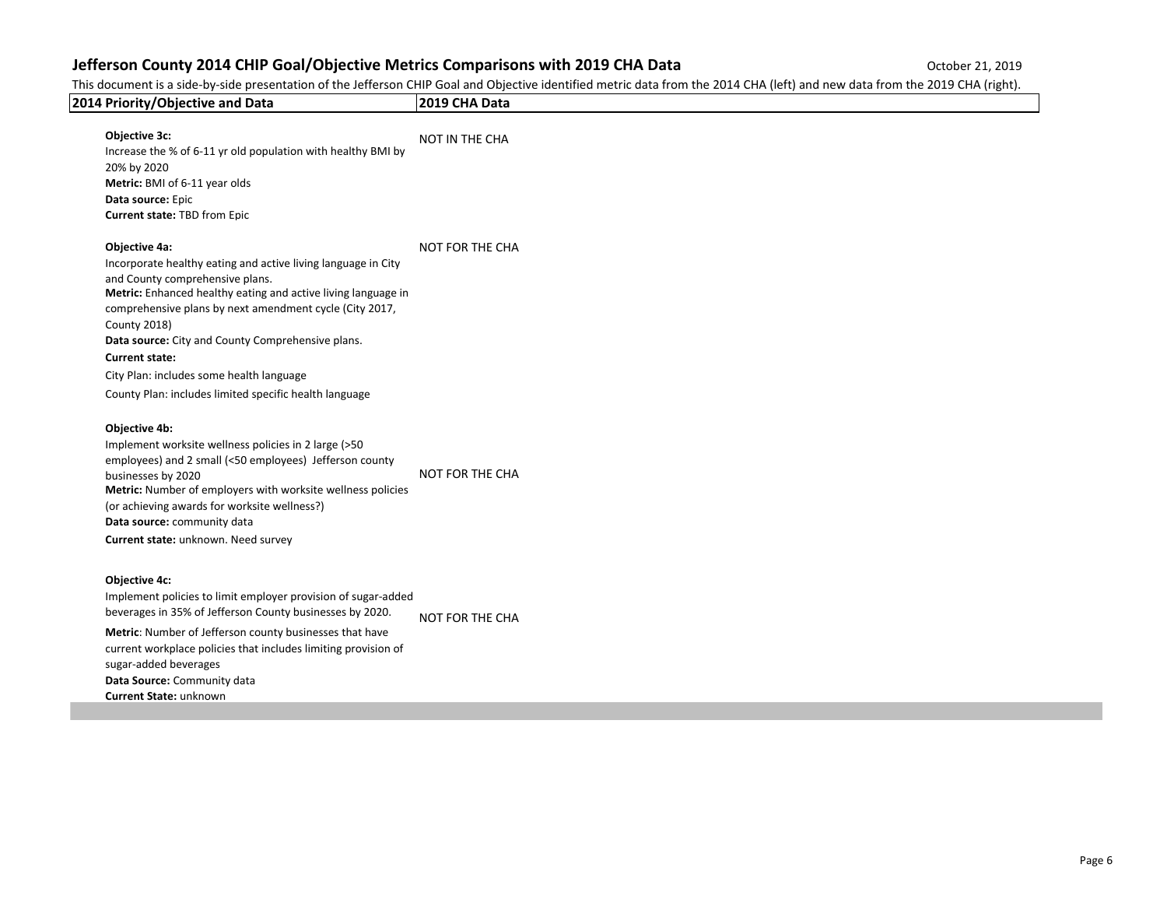This document is a side-by-side presentation of the Jefferson CHIP Goal and Objective identified metric data from the 2014 CHA (left) and new data from the 2019 CHA (right).

| 2014 Priority/Objective and Data                                                                                                                                                                                                                                                                                                                                                                                                                         | 2019 CHA Data          |
|----------------------------------------------------------------------------------------------------------------------------------------------------------------------------------------------------------------------------------------------------------------------------------------------------------------------------------------------------------------------------------------------------------------------------------------------------------|------------------------|
| Objective 3c:<br>Increase the % of 6-11 yr old population with healthy BMI by<br>20% by 2020<br>Metric: BMI of 6-11 year olds<br>Data source: Epic<br><b>Current state: TBD from Epic</b>                                                                                                                                                                                                                                                                | NOT IN THE CHA         |
| Objective 4a:<br>Incorporate healthy eating and active living language in City<br>and County comprehensive plans.<br>Metric: Enhanced healthy eating and active living language in<br>comprehensive plans by next amendment cycle (City 2017,<br><b>County 2018)</b><br>Data source: City and County Comprehensive plans.<br><b>Current state:</b><br>City Plan: includes some health language<br>County Plan: includes limited specific health language | NOT FOR THE CHA        |
| Objective 4b:<br>Implement worksite wellness policies in 2 large (>50<br>employees) and 2 small (<50 employees) Jefferson county<br>businesses by 2020<br>Metric: Number of employers with worksite wellness policies<br>(or achieving awards for worksite wellness?)<br>Data source: community data<br>Current state: unknown. Need survey                                                                                                              | NOT FOR THE CHA        |
| <b>Objective 4c:</b><br>Implement policies to limit employer provision of sugar-added<br>beverages in 35% of Jefferson County businesses by 2020.<br>Metric: Number of Jefferson county businesses that have<br>current workplace policies that includes limiting provision of<br>sugar-added beverages<br>Data Source: Community data<br>Current State: unknown                                                                                         | <b>NOT FOR THE CHA</b> |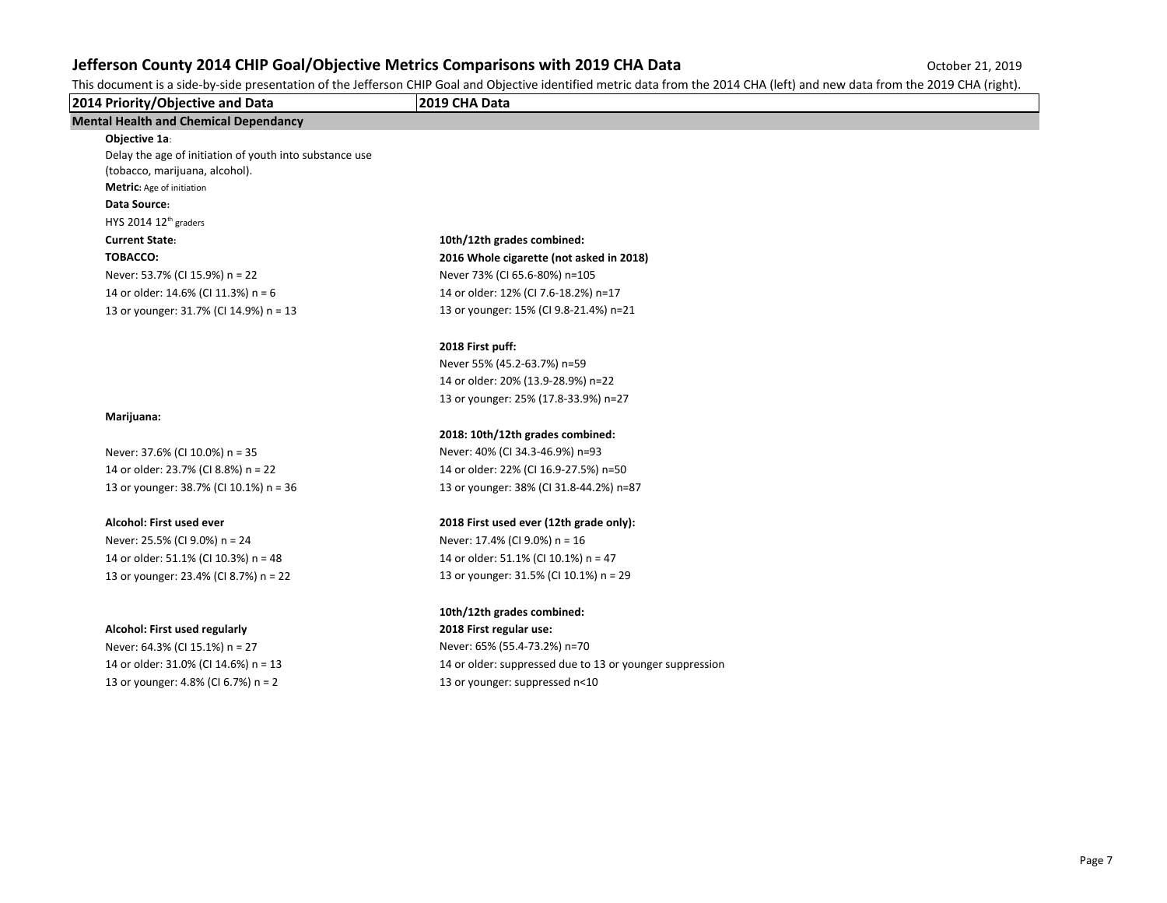This document is a side-by-side presentation of the Jefferson CHIP Goal and Objective identified metric data from the 2014 CHA (left) and new data from the 2019 CHA (right).

| 2014 Priority/Objective and Data                        | 2019 CHA Data                                            |  |
|---------------------------------------------------------|----------------------------------------------------------|--|
| <b>Mental Health and Chemical Dependancy</b>            |                                                          |  |
| Objective 1a:                                           |                                                          |  |
| Delay the age of initiation of youth into substance use |                                                          |  |
| (tobacco, marijuana, alcohol).                          |                                                          |  |
| Metric: Age of initiation                               |                                                          |  |
| Data Source:                                            |                                                          |  |
| HYS 2014 12 <sup>th</sup> graders                       |                                                          |  |
| <b>Current State:</b>                                   | 10th/12th grades combined:                               |  |
| TOBACCO:                                                | 2016 Whole cigarette (not asked in 2018)                 |  |
| Never: 53.7% (CI 15.9%) n = 22                          | Never 73% (CI 65.6-80%) n=105                            |  |
| 14 or older: 14.6% (CI 11.3%) n = 6                     | 14 or older: 12% (CI 7.6-18.2%) n=17                     |  |
| 13 or younger: 31.7% (CI 14.9%) n = 13                  | 13 or younger: 15% (CI 9.8-21.4%) n=21                   |  |
|                                                         | 2018 First puff:                                         |  |
|                                                         | Never 55% (45.2-63.7%) n=59                              |  |
|                                                         | 14 or older: 20% (13.9-28.9%) n=22                       |  |
|                                                         | 13 or younger: 25% (17.8-33.9%) n=27                     |  |
| Marijuana:                                              |                                                          |  |
|                                                         | 2018: 10th/12th grades combined:                         |  |
| Never: 37.6% (CI 10.0%) n = 35                          | Never: 40% (CI 34.3-46.9%) n=93                          |  |
| 14 or older: 23.7% (CI 8.8%) n = 22                     | 14 or older: 22% (CI 16.9-27.5%) n=50                    |  |
| 13 or younger: 38.7% (CI 10.1%) n = 36                  | 13 or younger: 38% (CI 31.8-44.2%) n=87                  |  |
| Alcohol: First used ever                                | 2018 First used ever (12th grade only):                  |  |
| Never: 25.5% (CI 9.0%) n = 24                           | Never: 17.4% (CI 9.0%) n = 16                            |  |
| 14 or older: 51.1% (CI 10.3%) n = 48                    | 14 or older: 51.1% (CI 10.1%) n = 47                     |  |
| 13 or younger: 23.4% (CI 8.7%) n = 22                   | 13 or younger: 31.5% (CI 10.1%) n = 29                   |  |
|                                                         | 10th/12th grades combined:                               |  |
| Alcohol: First used regularly                           | 2018 First regular use:                                  |  |
| Never: 64.3% (CI 15.1%) n = 27                          | Never: 65% (55.4-73.2%) n=70                             |  |
| 14 or older: 31.0% (CI 14.6%) n = 13                    | 14 or older: suppressed due to 13 or younger suppression |  |
| 13 or younger: 4.8% (CI 6.7%) n = 2                     | 13 or younger: suppressed n<10                           |  |
|                                                         |                                                          |  |
|                                                         |                                                          |  |
|                                                         |                                                          |  |
|                                                         |                                                          |  |
|                                                         |                                                          |  |
|                                                         |                                                          |  |
|                                                         |                                                          |  |
|                                                         |                                                          |  |
|                                                         |                                                          |  |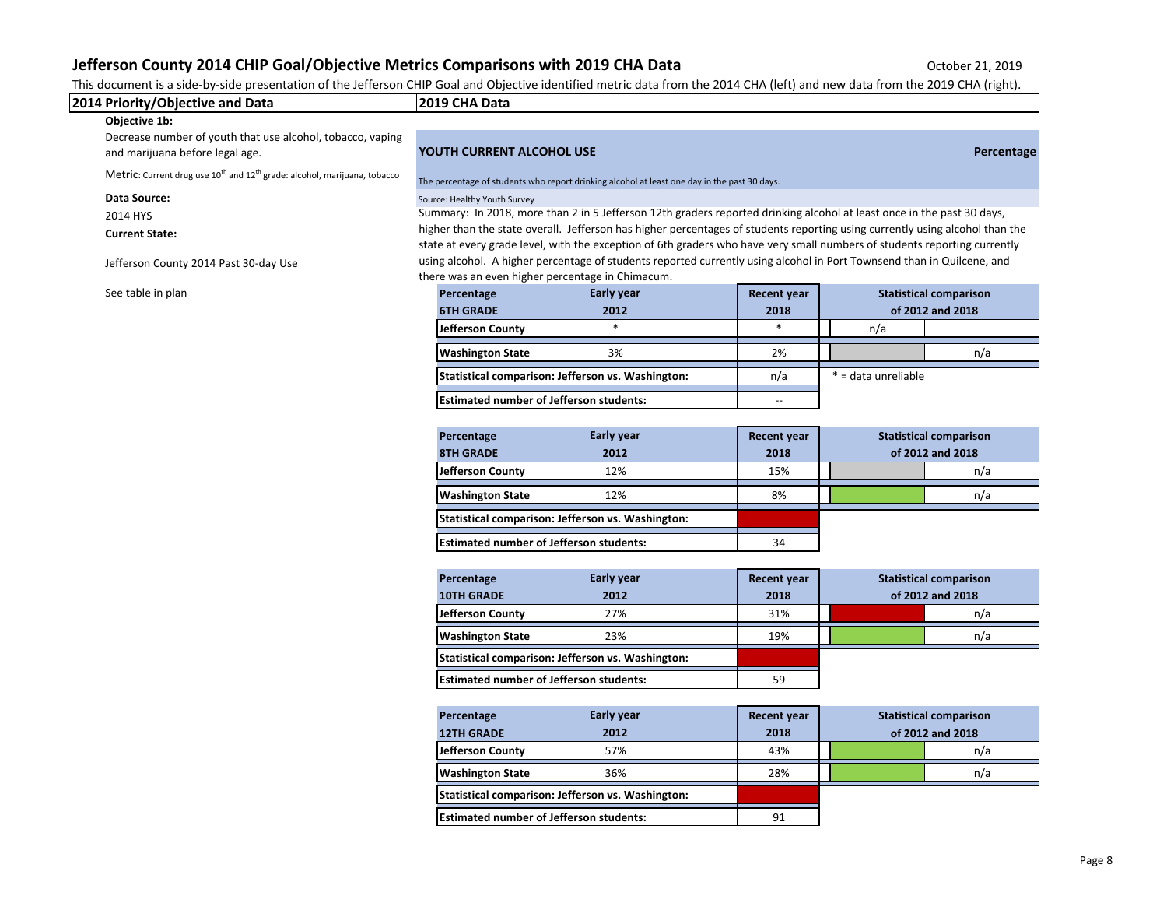This document is a side-by-side presentation of the Jefferson CHIP Goal and Objective identified metric data from the 2014 CHA (left) and new data from the 2019 CHA (right).

| 2014 Priority/Objective and Data                                                                  | 2019 CHA Data                                                                                                                                                                                                                                                                                                                                                                       |                                                                                                                        |                    |                     |                               |
|---------------------------------------------------------------------------------------------------|-------------------------------------------------------------------------------------------------------------------------------------------------------------------------------------------------------------------------------------------------------------------------------------------------------------------------------------------------------------------------------------|------------------------------------------------------------------------------------------------------------------------|--------------------|---------------------|-------------------------------|
| Objective 1b:                                                                                     |                                                                                                                                                                                                                                                                                                                                                                                     |                                                                                                                        |                    |                     |                               |
| Decrease number of youth that use alcohol, tobacco, vaping<br>and marijuana before legal age.     | YOUTH CURRENT ALCOHOL USE                                                                                                                                                                                                                                                                                                                                                           |                                                                                                                        |                    |                     | Percentage                    |
| Metric: Current drug use 10 <sup>th</sup> and 12 <sup>th</sup> grade: alcohol, marijuana, tobacco | The percentage of students who report drinking alcohol at least one day in the past 30 days.                                                                                                                                                                                                                                                                                        |                                                                                                                        |                    |                     |                               |
| <b>Data Source:</b>                                                                               | Source: Healthy Youth Survey                                                                                                                                                                                                                                                                                                                                                        |                                                                                                                        |                    |                     |                               |
| 2014 HYS                                                                                          |                                                                                                                                                                                                                                                                                                                                                                                     | Summary: In 2018, more than 2 in 5 Jefferson 12th graders reported drinking alcohol at least once in the past 30 days, |                    |                     |                               |
| <b>Current State:</b><br>Jefferson County 2014 Past 30-day Use                                    | higher than the state overall. Jefferson has higher percentages of students reporting using currently using alcohol than the<br>state at every grade level, with the exception of 6th graders who have very small numbers of students reporting currently<br>using alcohol. A higher percentage of students reported currently using alcohol in Port Townsend than in Quilcene, and |                                                                                                                        |                    |                     |                               |
| See table in plan                                                                                 | there was an even higher percentage in Chimacum.<br>Percentage                                                                                                                                                                                                                                                                                                                      | Early year                                                                                                             | <b>Recent year</b> |                     | <b>Statistical comparison</b> |
|                                                                                                   | <b>6TH GRADE</b>                                                                                                                                                                                                                                                                                                                                                                    | 2012                                                                                                                   | 2018               |                     | of 2012 and 2018              |
|                                                                                                   | Jefferson County                                                                                                                                                                                                                                                                                                                                                                    | $\ast$                                                                                                                 |                    | n/a                 |                               |
|                                                                                                   | <b>Washington State</b>                                                                                                                                                                                                                                                                                                                                                             | 3%                                                                                                                     | 2%                 |                     | n/a                           |
|                                                                                                   |                                                                                                                                                                                                                                                                                                                                                                                     | Statistical comparison: Jefferson vs. Washington:                                                                      | n/a                | * = data unreliable |                               |
|                                                                                                   | <b>IEstimated number of Jefferson students:</b>                                                                                                                                                                                                                                                                                                                                     |                                                                                                                        |                    |                     |                               |

**Percentage Early year Recent year 8TH GRADE 2012 2018 Jefferson County** 12% **12%** 15% **a**  $\begin{bmatrix} 1 & 1 & 1 & 1 \\ 1 & 1 & 1 & 1 \end{bmatrix}$  15% **a**  $\begin{bmatrix} 1 & 1 & 1 \\ 1 & 1 & 1 \end{bmatrix}$ **Washington State** 12% **and 12% 12% 12% 12% 12% 12% 12% 12% 12% 12% 12% 12% 12% 12% 12% 12% 12% 12% 12% 12% 12% 12% 12% 12% 12% 12% 12% 12% 12% 12% 12% 12% 12 Statistical comparison: Jefferson vs. Washington: Estimated number of Jefferson students:** 34 **of 2012 and 2018 Statistical comparison**

| Percentage                                     | Early year                                        | <b>Recent year</b> | <b>Statistical comparison</b> |                  |
|------------------------------------------------|---------------------------------------------------|--------------------|-------------------------------|------------------|
| <b>10TH GRADE</b>                              | 2012                                              | 2018               |                               | of 2012 and 2018 |
| Jefferson County                               | 27%                                               | 31%                |                               | n/a              |
| <b>Washington State</b>                        | 23%                                               | 19%                |                               | n/a              |
|                                                | Statistical comparison: Jefferson vs. Washington: |                    |                               |                  |
| <b>Estimated number of Jefferson students:</b> |                                                   | 59                 |                               |                  |

| Percentage                                        | Early year | <b>Recent year</b> | <b>Statistical comparison</b> |  |                  |
|---------------------------------------------------|------------|--------------------|-------------------------------|--|------------------|
| <b>12TH GRADE</b>                                 | 2012       | 2018               |                               |  | of 2012 and 2018 |
| <b>Jefferson County</b>                           | 57%        | 43%                |                               |  | n/a              |
| <b>Washington State</b>                           | 36%        | 28%                |                               |  | n/a              |
| Statistical comparison: Jefferson vs. Washington: |            |                    |                               |  |                  |
| <b>Estimated number of Jefferson students:</b>    |            | 91                 |                               |  |                  |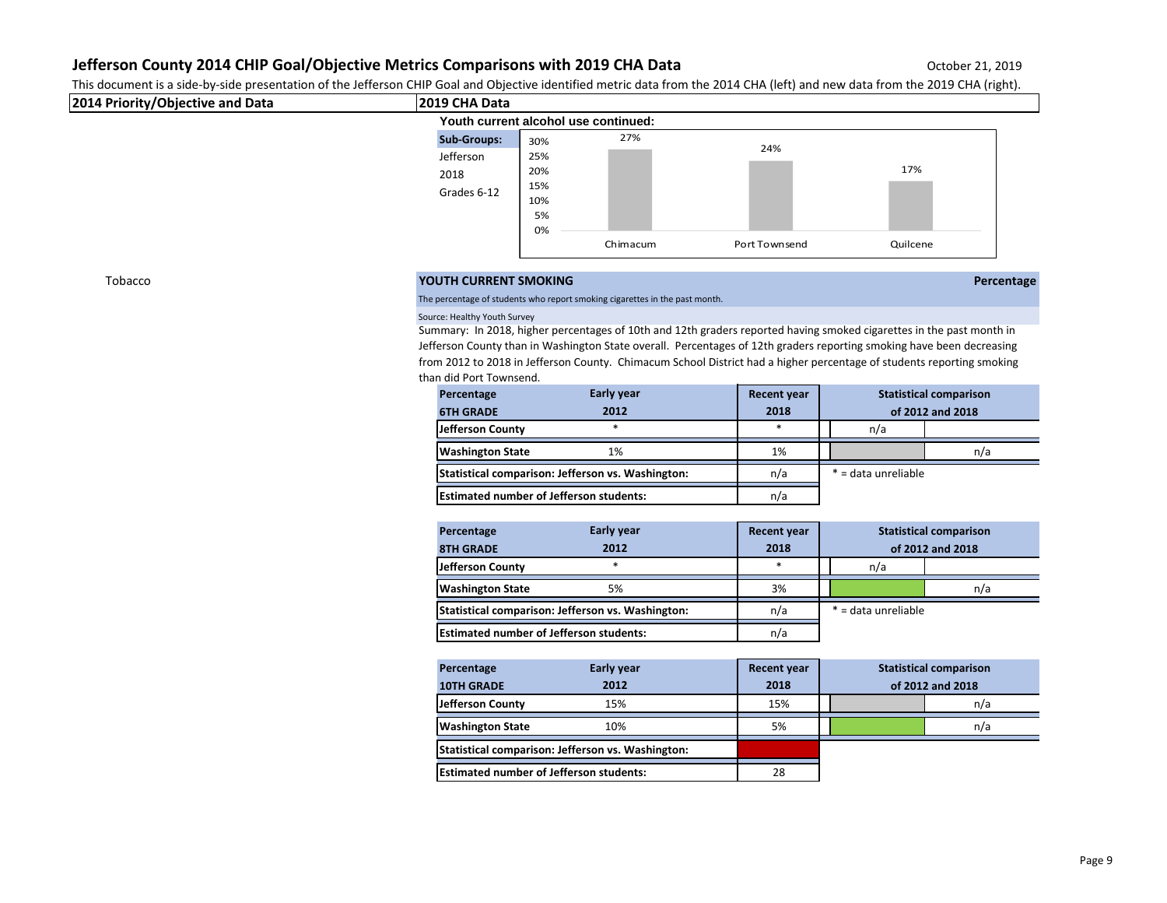This document is a side-by-side presentation of the Jefferson CHIP Goal and Objective identified metric data from the 2014 CHA (left) and new data from the 2019 CHA (right).

| 2014 Priority/Objective and Data | 2019 CHA Data                        |     |     |     |     |  |
|----------------------------------|--------------------------------------|-----|-----|-----|-----|--|
|                                  | Youth current alcohol use continued: |     |     |     |     |  |
|                                  | <b>Sub-Groups:</b>                   | 30% | 27% |     |     |  |
|                                  | Jefferson                            | 25% |     | 24% |     |  |
|                                  | 2018                                 | 20% |     |     | 17% |  |
|                                  | Grades 6-12                          | 15% |     |     |     |  |
|                                  |                                      | 10% |     |     |     |  |
|                                  |                                      | 5%  |     |     |     |  |

0%

## Tobacco **YOUTH CURRENT SMOKING Percentage**

The percentage of students who report smoking cigarettes in the past month.

### Source: Healthy Youth Survey

Summary: In 2018, higher percentages of 10th and 12th graders reported having smoked cigarettes in the past month in Jefferson County than in Washington State overall. Percentages of 12th graders reporting smoking have been decreasing from 2012 to 2018 in Jefferson County. Chimacum School District had a higher percentage of students reporting smoking than did Port Townsend.

Chimacum Port Townsend Quilcene

| Percentage                                        | <b>Early year</b> | <b>Recent year</b> |                     | <b>Statistical comparison</b> |     |
|---------------------------------------------------|-------------------|--------------------|---------------------|-------------------------------|-----|
| <b>6TH GRADE</b>                                  | 2012              | 2018               |                     | of 2012 and 2018              |     |
| Jefferson County                                  | $\ast$            | *                  |                     | n/a                           |     |
| <b>Washington State</b>                           | 1%                | 1%                 |                     |                               | n/a |
| Statistical comparison: Jefferson vs. Washington: |                   | n/a                | * = data unreliable |                               |     |
| <b>Estimated number of Jefferson students:</b>    |                   | n/a                |                     |                               |     |

| Percentage                                        | <b>Early year</b> | <b>Recent year</b> | <b>Statistical comparison</b> |     |  |
|---------------------------------------------------|-------------------|--------------------|-------------------------------|-----|--|
| <b>8TH GRADE</b>                                  | 2012              | 2018               | of 2012 and 2018              |     |  |
| Jefferson County                                  |                   | *                  | n/a                           |     |  |
| <b>Washington State</b>                           | 5%                | 3%                 |                               | n/a |  |
| Statistical comparison: Jefferson vs. Washington: |                   | n/a                | * = data unreliable           |     |  |
| <b>Estimated number of Jefferson students:</b>    |                   | n/a                |                               |     |  |

| Percentage                                        | Early year | <b>Recent year</b> | <b>Statistical comparison</b> |  |     |
|---------------------------------------------------|------------|--------------------|-------------------------------|--|-----|
| <b>10TH GRADE</b>                                 | 2012       | 2018               | of 2012 and 2018              |  |     |
| Jefferson County                                  | 15%        | 15%                |                               |  | n/a |
| <b>Washington State</b>                           | 10%        | 5%                 |                               |  | n/a |
| Statistical comparison: Jefferson vs. Washington: |            |                    |                               |  |     |
| <b>Estimated number of Jefferson students:</b>    |            | 28                 |                               |  |     |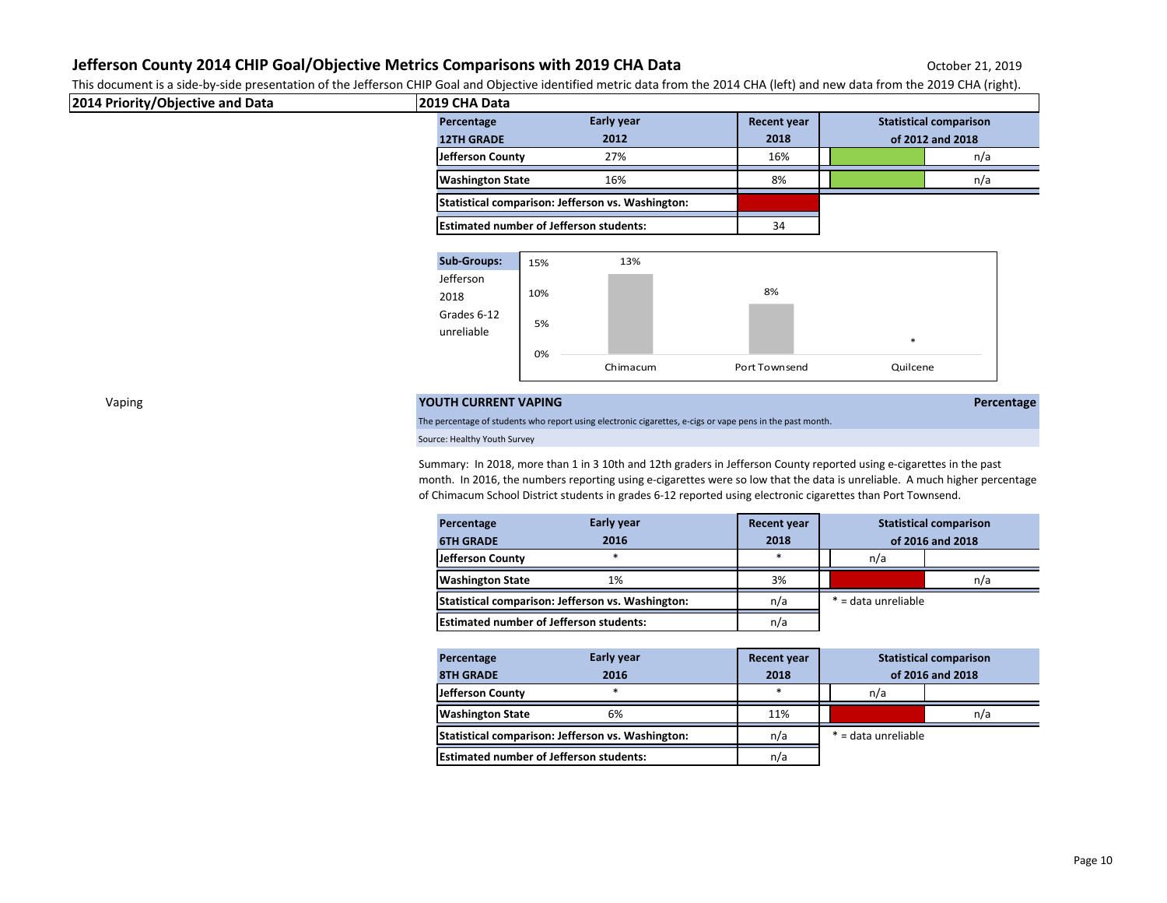This document is a side-by-side presentation of the Jefferson CHIP Goal and Objective identified metric data from the 2014 CHA (left) and new data from the 2019 CHA (right).

| This accuracie is a side by side presentation or the senerson crim couraind expective nemica metric data nomit me zozh envi jiert) and new data nomit the zozb envi (nght). |                         |                                                   |                    |                               |
|-----------------------------------------------------------------------------------------------------------------------------------------------------------------------------|-------------------------|---------------------------------------------------|--------------------|-------------------------------|
| 2014 Priority/Objective and Data                                                                                                                                            | l2019 CHA Data          |                                                   |                    |                               |
|                                                                                                                                                                             | Percentage              | Early year                                        | <b>Recent year</b> | <b>Statistical comparison</b> |
|                                                                                                                                                                             | <b>12TH GRADE</b>       | 2012                                              | 2018               | of 2012 and 2018              |
|                                                                                                                                                                             | Jefferson County        | 27%                                               | 16%                | n/a                           |
|                                                                                                                                                                             | <b>Washington State</b> | 16%                                               | 8%                 | n/a                           |
|                                                                                                                                                                             |                         | Statistical comparison: Jefferson vs. Washington: |                    |                               |
|                                                                                                                                                                             |                         | <b>Estimated number of Jefferson students:</b>    | 34                 |                               |



## Vaping **YOUTH CURRENT VAPING Percentage**

The percentage of students who report using electronic cigarettes, e-cigs or vape pens in the past month.

Source: Healthy Youth Survey

Summary: In 2018, more than 1 in 3 10th and 12th graders in Jefferson County reported using e-cigarettes in the past month. In 2016, the numbers reporting using e-cigarettes were so low that the data is unreliable. A much higher percentage of Chimacum School District students in grades 6-12 reported using electronic cigarettes than Port Townsend.

| Percentage                                        | Early year | <b>Recent year</b> | <b>Statistical comparison</b> |     |  |
|---------------------------------------------------|------------|--------------------|-------------------------------|-----|--|
| <b>6TH GRADE</b>                                  | 2016       | 2018               | of 2016 and 2018              |     |  |
| Jefferson County                                  | *          | *                  | n/a                           |     |  |
| <b>Washington State</b>                           | 1%         | 3%                 |                               | n/a |  |
| Statistical comparison: Jefferson vs. Washington: |            | n/a                | * = data unreliable           |     |  |
| <b>Estimated number of Jefferson students:</b>    |            | n/a                |                               |     |  |

| Percentage                                     | Early year                                        | <b>Recent year</b> |  | <b>Statistical comparison</b> |     |  |
|------------------------------------------------|---------------------------------------------------|--------------------|--|-------------------------------|-----|--|
| <b>8TH GRADE</b>                               | 2016                                              | 2018               |  | of 2016 and 2018              |     |  |
| Jefferson County                               | *                                                 | *                  |  | n/a                           |     |  |
| <b>Washington State</b>                        | 6%                                                | 11%                |  |                               | n/a |  |
|                                                | Statistical comparison: Jefferson vs. Washington: | n/a                |  | * = data unreliable           |     |  |
| <b>Estimated number of Jefferson students:</b> |                                                   | n/a                |  |                               |     |  |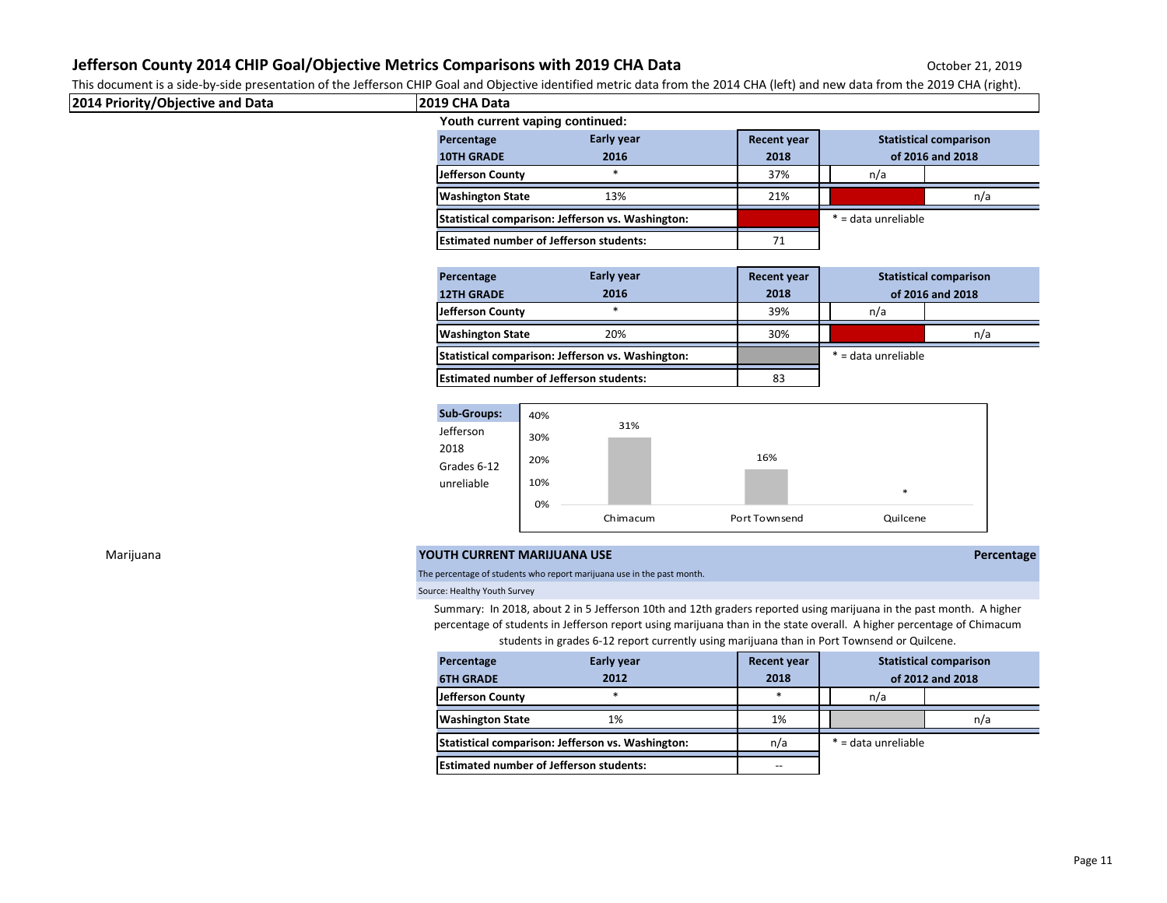This document is a side-by-side presentation of the Jefferson CHIP Goal and Objective identified metric data from the 2014 CHA (left) and new data from the 2019 CHA (right).

| 2014 Priority/Objective and Data | 2019 CHA Data                                                         |                                                   |                    |                               |            |  |
|----------------------------------|-----------------------------------------------------------------------|---------------------------------------------------|--------------------|-------------------------------|------------|--|
|                                  | Youth current vaping continued:                                       |                                                   |                    |                               |            |  |
|                                  | Percentage                                                            | Early year                                        | <b>Recent year</b> | <b>Statistical comparison</b> |            |  |
|                                  | <b>10TH GRADE</b>                                                     | 2016                                              | 2018               | of 2016 and 2018              |            |  |
|                                  | Jefferson County                                                      | $\ast$                                            | 37%                | n/a                           |            |  |
|                                  | <b>Washington State</b>                                               | 13%                                               | 21%                |                               | n/a        |  |
|                                  |                                                                       | Statistical comparison: Jefferson vs. Washington: |                    | * = data unreliable           |            |  |
|                                  | <b>Estimated number of Jefferson students:</b>                        |                                                   | 71                 |                               |            |  |
|                                  |                                                                       |                                                   |                    |                               |            |  |
|                                  | Percentage                                                            | Early year                                        | Recent year        | <b>Statistical comparison</b> |            |  |
|                                  | <b>12TH GRADE</b>                                                     | 2016                                              | 2018               | of 2016 and 2018              |            |  |
|                                  | Jefferson County                                                      | $*$                                               | 39%                | n/a                           |            |  |
|                                  | <b>Washington State</b>                                               | 20%                                               | 30%                |                               | n/a        |  |
|                                  |                                                                       | Statistical comparison: Jefferson vs. Washington: |                    | * = data unreliable           |            |  |
|                                  | <b>Estimated number of Jefferson students:</b>                        |                                                   | 83                 |                               |            |  |
|                                  | <b>Sub-Groups:</b>                                                    |                                                   |                    |                               |            |  |
|                                  | 40%<br>Jefferson<br>30%<br>2018<br>20%<br>Grades 6-12                 | 31%                                               | 16%                |                               |            |  |
|                                  | 10%<br>unreliable<br>0%                                               |                                                   |                    | $\ast$                        |            |  |
|                                  |                                                                       | Chimacum                                          | Port Townsend      | Quilcene                      |            |  |
| Marijuana                        | YOUTH CURRENT MARIJUANA USE                                           |                                                   |                    |                               | Percentage |  |
|                                  | The perceptage of students who report marijuana use in the past month |                                                   |                    |                               |            |  |

## The percentage of students who report marijuana use in the pa

Source: Healthy Youth Survey

Summary: In 2018, about 2 in 5 Jefferson 10th and 12th graders reported using marijuana in the past month. A higher percentage of students in Jefferson report using marijuana than in the state overall. A higher percentage of Chimacum students in grades 6-12 report currently using marijuana than in Port Townsend or Quilcene.

| Percentage                                        | <b>Early year</b> | <b>Recent year</b> | <b>Statistical comparison</b> |     |
|---------------------------------------------------|-------------------|--------------------|-------------------------------|-----|
| <b>6TH GRADE</b>                                  | 2012              | 2018               | of 2012 and 2018              |     |
| Jefferson County                                  | *                 | $\ast$             | n/a                           |     |
| <b>Washington State</b>                           | 1%                | 1%                 |                               | n/a |
| Statistical comparison: Jefferson vs. Washington: |                   | n/a                | * = data unreliable           |     |
| <b>Estimated number of Jefferson students:</b>    |                   | --                 |                               |     |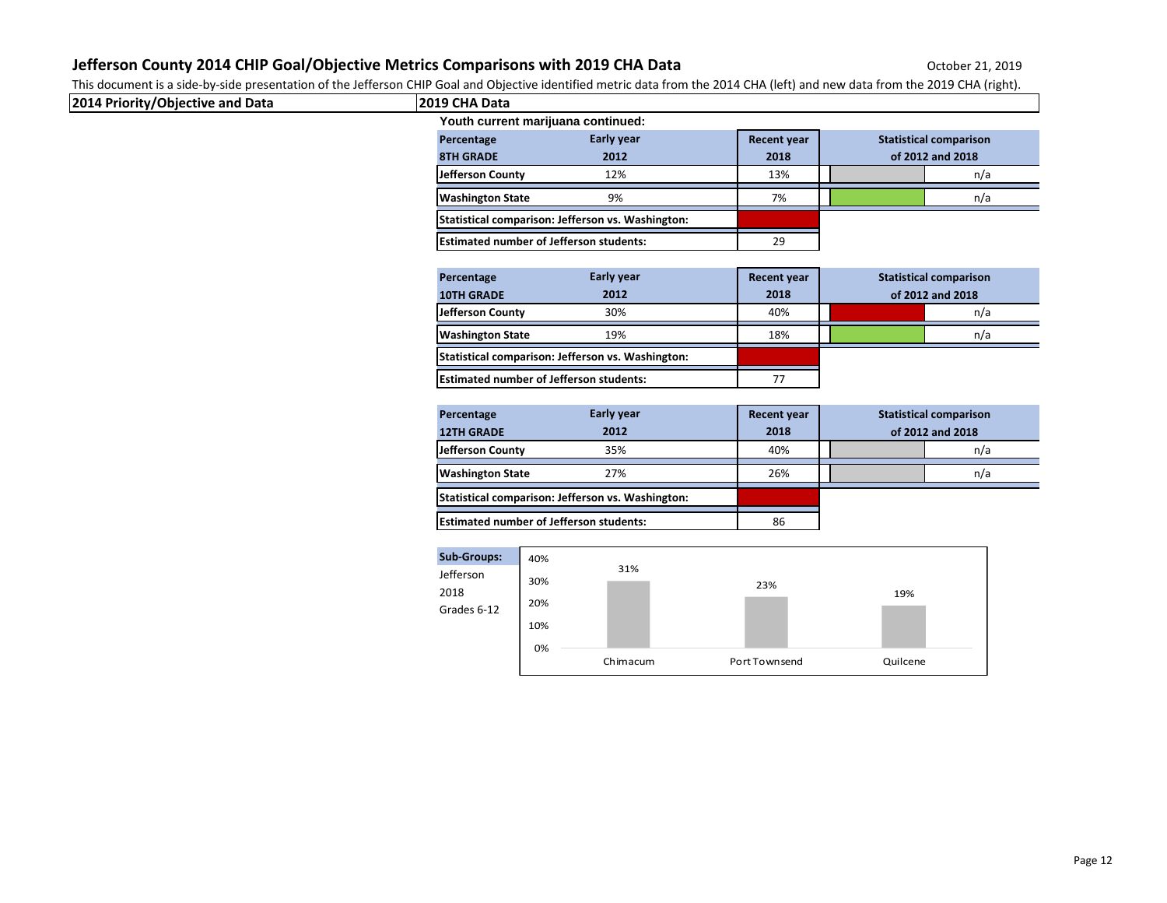This document is a side-by-side presentation of the Jefferson CHIP Goal and Objective identified metric data from the 2014 CHA (left) and new data from the 2019 CHA (right).

| 2014 Priority/Objective and Data | this accuracient is a side by side presentation or the senerson orm. Codi and Copetitie neutrical metric adta nomitate and nomitate accuracient the codis or representation.<br>2019 CHA Data |                                          |                                                                 |
|----------------------------------|-----------------------------------------------------------------------------------------------------------------------------------------------------------------------------------------------|------------------------------------------|-----------------------------------------------------------------|
|                                  | Youth current marijuana continued:                                                                                                                                                            |                                          |                                                                 |
|                                  | Early year<br>Percentage<br><b>8TH GRADE</b><br>2012                                                                                                                                          | <b>Recent year</b><br>2018               | <b>Statistical comparison</b><br>of 2012 and 2018               |
|                                  | Jefferson County<br>12%                                                                                                                                                                       | 13%                                      | n/a                                                             |
|                                  | <b>Washington State</b><br>9%                                                                                                                                                                 | 7%                                       | n/a                                                             |
|                                  | Statistical comparison: Jefferson vs. Washington:                                                                                                                                             |                                          |                                                                 |
|                                  | <b>Estimated number of Jefferson students:</b>                                                                                                                                                | 29                                       |                                                                 |
|                                  | Early year<br>Percentage                                                                                                                                                                      | <b>Recent year</b>                       | <b>Statistical comparison</b>                                   |
|                                  | <b>10TH GRADE</b><br>2012                                                                                                                                                                     | 2018                                     | of 2012 and 2018                                                |
|                                  | <b>Jefferson County</b><br>30%                                                                                                                                                                | 40%                                      | n/a                                                             |
|                                  | <b>Washington State</b><br>19%                                                                                                                                                                | 18%                                      | n/a                                                             |
|                                  | Statistical comparison: Jefferson vs. Washington:                                                                                                                                             |                                          |                                                                 |
|                                  | <b>Estimated number of Jefferson students:</b>                                                                                                                                                | 77                                       |                                                                 |
|                                  | Early year<br>Percentage<br><b>12TH GRADE</b><br>2012<br>Jefferson County<br>35%<br><b>Washington State</b><br>27%                                                                            | <b>Recent year</b><br>2018<br>40%<br>26% | <b>Statistical comparison</b><br>of 2012 and 2018<br>n/a<br>n/a |
|                                  | Statistical comparison: Jefferson vs. Washington:                                                                                                                                             |                                          |                                                                 |
|                                  | <b>Estimated number of Jefferson students:</b>                                                                                                                                                | 86                                       |                                                                 |
|                                  | <b>Sub-Groups:</b><br>40%<br>31%<br>Jefferson<br>30%<br>2018<br>20%<br>Grades 6-12<br>10%<br>0%<br>Chimacum                                                                                   | 23%<br>Port Townsend                     | 19%<br>Quilcene                                                 |
|                                  |                                                                                                                                                                                               |                                          |                                                                 |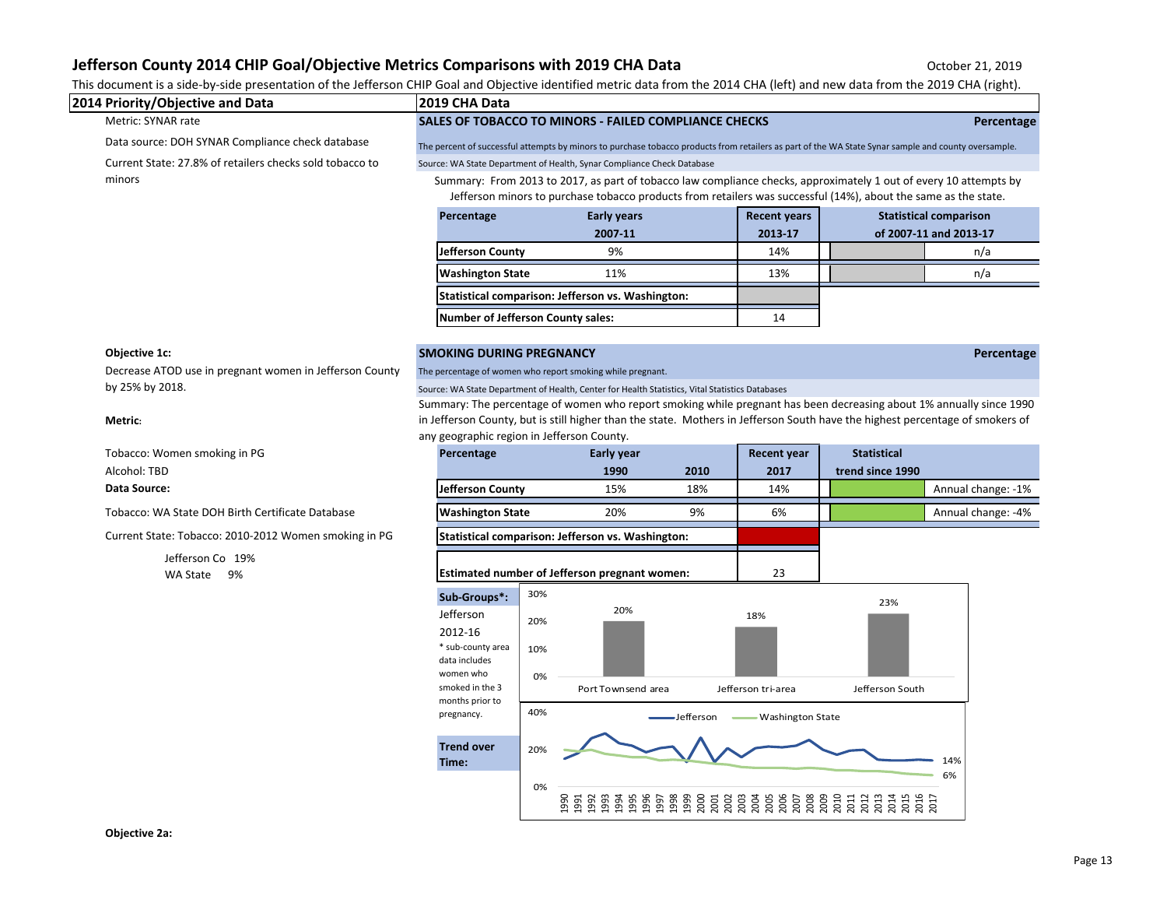| 2019 CHA Data<br>Percentage<br>Jefferson County<br><b>Washington State</b> | This document is a side-by-side presentation of the Jefferson CHIP Goal and Objective identified metric data from the 2014 CHA (left) and new data from the 2019 CHA (right).<br>SALES OF TOBACCO TO MINORS - FAILED COMPLIANCE CHECKS<br>The percent of successful attempts by minors to purchase tobacco products from retailers as part of the WA State Synar sample and county oversample.<br>Source: WA State Department of Health, Synar Compliance Check Database<br>Summary: From 2013 to 2017, as part of tobacco law compliance checks, approximately 1 out of every 10 attempts by<br>Jefferson minors to purchase tobacco products from retailers was successful (14%), about the same as the state.<br><b>Early years</b><br>2007-11<br>9%<br>11%<br>Statistical comparison: Jefferson vs. Washington: |                                                                                                     | <b>Recent years</b><br>2013-17<br>14%<br>13%<br>14                                                                                                                                                          |                                                                                                                                            | Percentage<br><b>Statistical comparison</b><br>of 2007-11 and 2013-17<br>n/a<br>n/a                                                                                                                                                                                                                                                             |
|----------------------------------------------------------------------------|---------------------------------------------------------------------------------------------------------------------------------------------------------------------------------------------------------------------------------------------------------------------------------------------------------------------------------------------------------------------------------------------------------------------------------------------------------------------------------------------------------------------------------------------------------------------------------------------------------------------------------------------------------------------------------------------------------------------------------------------------------------------------------------------------------------------|-----------------------------------------------------------------------------------------------------|-------------------------------------------------------------------------------------------------------------------------------------------------------------------------------------------------------------|--------------------------------------------------------------------------------------------------------------------------------------------|-------------------------------------------------------------------------------------------------------------------------------------------------------------------------------------------------------------------------------------------------------------------------------------------------------------------------------------------------|
|                                                                            |                                                                                                                                                                                                                                                                                                                                                                                                                                                                                                                                                                                                                                                                                                                                                                                                                     |                                                                                                     |                                                                                                                                                                                                             |                                                                                                                                            |                                                                                                                                                                                                                                                                                                                                                 |
|                                                                            |                                                                                                                                                                                                                                                                                                                                                                                                                                                                                                                                                                                                                                                                                                                                                                                                                     |                                                                                                     |                                                                                                                                                                                                             |                                                                                                                                            |                                                                                                                                                                                                                                                                                                                                                 |
|                                                                            |                                                                                                                                                                                                                                                                                                                                                                                                                                                                                                                                                                                                                                                                                                                                                                                                                     |                                                                                                     |                                                                                                                                                                                                             |                                                                                                                                            |                                                                                                                                                                                                                                                                                                                                                 |
|                                                                            |                                                                                                                                                                                                                                                                                                                                                                                                                                                                                                                                                                                                                                                                                                                                                                                                                     |                                                                                                     |                                                                                                                                                                                                             |                                                                                                                                            |                                                                                                                                                                                                                                                                                                                                                 |
|                                                                            |                                                                                                                                                                                                                                                                                                                                                                                                                                                                                                                                                                                                                                                                                                                                                                                                                     |                                                                                                     |                                                                                                                                                                                                             |                                                                                                                                            |                                                                                                                                                                                                                                                                                                                                                 |
|                                                                            |                                                                                                                                                                                                                                                                                                                                                                                                                                                                                                                                                                                                                                                                                                                                                                                                                     |                                                                                                     |                                                                                                                                                                                                             |                                                                                                                                            |                                                                                                                                                                                                                                                                                                                                                 |
|                                                                            |                                                                                                                                                                                                                                                                                                                                                                                                                                                                                                                                                                                                                                                                                                                                                                                                                     |                                                                                                     |                                                                                                                                                                                                             |                                                                                                                                            |                                                                                                                                                                                                                                                                                                                                                 |
|                                                                            |                                                                                                                                                                                                                                                                                                                                                                                                                                                                                                                                                                                                                                                                                                                                                                                                                     |                                                                                                     |                                                                                                                                                                                                             |                                                                                                                                            |                                                                                                                                                                                                                                                                                                                                                 |
|                                                                            |                                                                                                                                                                                                                                                                                                                                                                                                                                                                                                                                                                                                                                                                                                                                                                                                                     |                                                                                                     |                                                                                                                                                                                                             |                                                                                                                                            |                                                                                                                                                                                                                                                                                                                                                 |
|                                                                            |                                                                                                                                                                                                                                                                                                                                                                                                                                                                                                                                                                                                                                                                                                                                                                                                                     |                                                                                                     |                                                                                                                                                                                                             |                                                                                                                                            | Percentage                                                                                                                                                                                                                                                                                                                                      |
|                                                                            |                                                                                                                                                                                                                                                                                                                                                                                                                                                                                                                                                                                                                                                                                                                                                                                                                     |                                                                                                     |                                                                                                                                                                                                             |                                                                                                                                            |                                                                                                                                                                                                                                                                                                                                                 |
|                                                                            | Early year                                                                                                                                                                                                                                                                                                                                                                                                                                                                                                                                                                                                                                                                                                                                                                                                          |                                                                                                     | <b>Recent year</b>                                                                                                                                                                                          | <b>Statistical</b>                                                                                                                         |                                                                                                                                                                                                                                                                                                                                                 |
|                                                                            |                                                                                                                                                                                                                                                                                                                                                                                                                                                                                                                                                                                                                                                                                                                                                                                                                     |                                                                                                     |                                                                                                                                                                                                             |                                                                                                                                            |                                                                                                                                                                                                                                                                                                                                                 |
|                                                                            |                                                                                                                                                                                                                                                                                                                                                                                                                                                                                                                                                                                                                                                                                                                                                                                                                     |                                                                                                     |                                                                                                                                                                                                             |                                                                                                                                            | Annual change: -1%                                                                                                                                                                                                                                                                                                                              |
|                                                                            |                                                                                                                                                                                                                                                                                                                                                                                                                                                                                                                                                                                                                                                                                                                                                                                                                     |                                                                                                     |                                                                                                                                                                                                             |                                                                                                                                            | Annual change: -4%                                                                                                                                                                                                                                                                                                                              |
|                                                                            |                                                                                                                                                                                                                                                                                                                                                                                                                                                                                                                                                                                                                                                                                                                                                                                                                     |                                                                                                     |                                                                                                                                                                                                             |                                                                                                                                            |                                                                                                                                                                                                                                                                                                                                                 |
|                                                                            |                                                                                                                                                                                                                                                                                                                                                                                                                                                                                                                                                                                                                                                                                                                                                                                                                     |                                                                                                     | 23                                                                                                                                                                                                          |                                                                                                                                            |                                                                                                                                                                                                                                                                                                                                                 |
| 30%<br>20%<br>10%<br>0%<br>40%                                             | 20%                                                                                                                                                                                                                                                                                                                                                                                                                                                                                                                                                                                                                                                                                                                                                                                                                 | -Jefferson                                                                                          | 18%                                                                                                                                                                                                         | 23%<br>Jefferson South                                                                                                                     |                                                                                                                                                                                                                                                                                                                                                 |
|                                                                            | Percentage<br>Jefferson County<br><b>Washington State</b><br>Sub-Groups*:<br>* sub-county area<br>data includes<br>women who<br>smoked in the 3<br>months prior to<br><b>Trend over</b><br>20%                                                                                                                                                                                                                                                                                                                                                                                                                                                                                                                                                                                                                      | <b>SMOKING DURING PREGNANCY</b><br>any geographic region in Jefferson County.<br>1990<br>15%<br>20% | The percentage of women who report smoking while pregnant.<br>2010<br>18%<br>9%<br>Statistical comparison: Jefferson vs. Washington:<br>Estimated number of Jefferson pregnant women:<br>Port Townsend area | Source: WA State Department of Health, Center for Health Statistics, Vital Statistics Databases<br>2017<br>14%<br>6%<br>Jefferson tri-area | <b>Number of Jefferson County sales:</b><br>Summary: The percentage of women who report smoking while pregnant has been decreasing about 1% annually since 1990<br>in Jefferson County, but is still higher than the state. Mothers in Jefferson South have the highest percentage of smokers of<br>trend since 1990<br><b>Washington State</b> |

**Time:**

0%

14% 6%

1990 1991 1992 1993 1994 1995 1996 1997 1998 1999 2000 2001 2002 2003 2004 2005 2006 2007 2008 2009 2010 2011 2012 2013 2014 2015 2016 2017

 $\checkmark$ 

 $\blacktriangledown$ x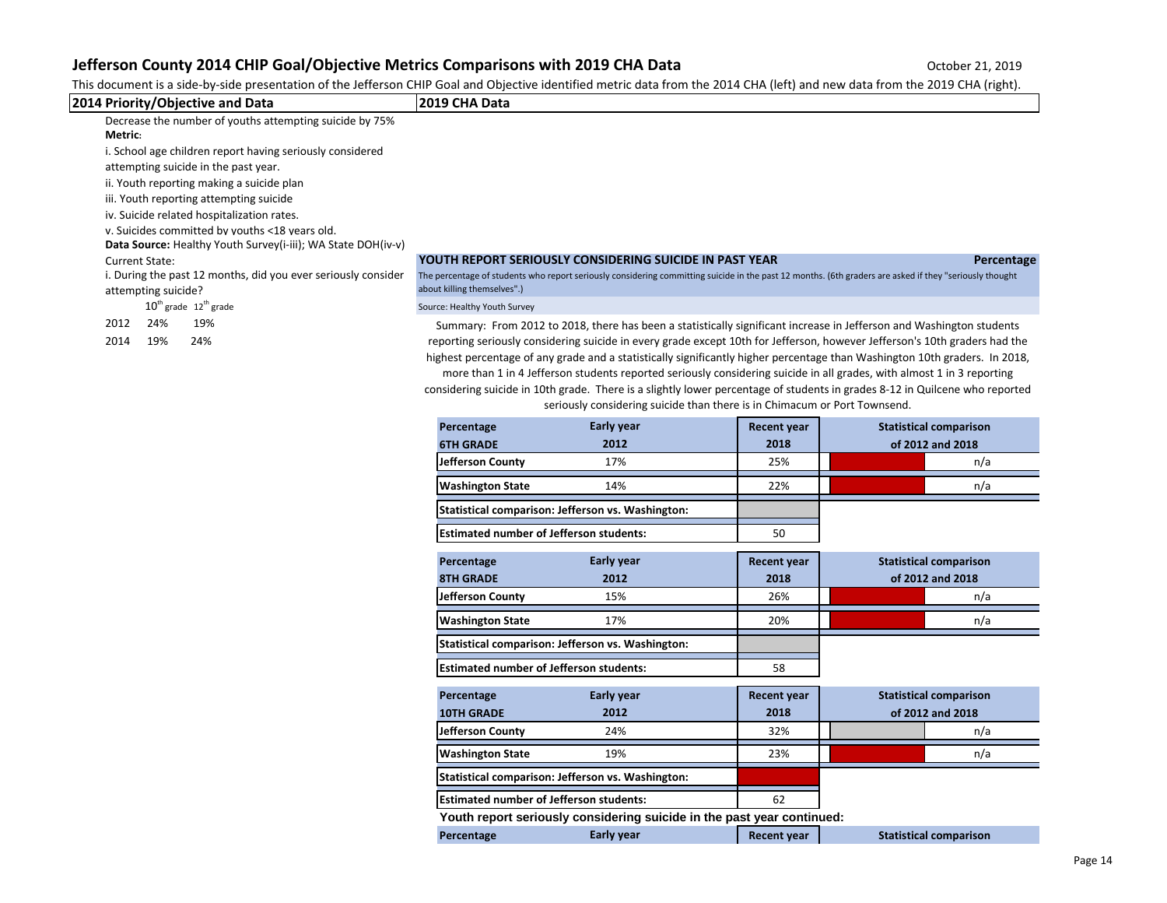| This document is a side-by-side presentation of the Jefferson CHIP Goal and Objective identified metric data from the 2014 CHA (left) and new data from the 2019 CHA (right).<br>2014 Priority/Objective and Data                                                                                                                                                                                                                                                                                                                                                                                                         | 2019 CHA Data                                               |                                                                           |                                   |                                                                                                                                                                                                                                                                                                                                                                                                                                                                                                                                                                                                                                                                                                                                                                                                                    |
|---------------------------------------------------------------------------------------------------------------------------------------------------------------------------------------------------------------------------------------------------------------------------------------------------------------------------------------------------------------------------------------------------------------------------------------------------------------------------------------------------------------------------------------------------------------------------------------------------------------------------|-------------------------------------------------------------|---------------------------------------------------------------------------|-----------------------------------|--------------------------------------------------------------------------------------------------------------------------------------------------------------------------------------------------------------------------------------------------------------------------------------------------------------------------------------------------------------------------------------------------------------------------------------------------------------------------------------------------------------------------------------------------------------------------------------------------------------------------------------------------------------------------------------------------------------------------------------------------------------------------------------------------------------------|
| Decrease the number of youths attempting suicide by 75%<br>Metric:<br>i. School age children report having seriously considered<br>attempting suicide in the past year.<br>ii. Youth reporting making a suicide plan<br>iii. Youth reporting attempting suicide<br>iv. Suicide related hospitalization rates.<br>v. Suicides committed by youths <18 years old.<br>Data Source: Healthy Youth Survey(i-iii); WA State DOH(iv-v)<br><b>Current State:</b><br>i. During the past 12 months, did you ever seriously consider<br>attempting suicide?<br>$10th$ grade $12th$ grade<br>24%<br>19%<br>2012<br>2014<br>19%<br>24% | about killing themselves".)<br>Source: Healthy Youth Survey | YOUTH REPORT SERIOUSLY CONSIDERING SUICIDE IN PAST YEAR                   |                                   | Percentage<br>The percentage of students who report seriously considering committing suicide in the past 12 months. (6th graders are asked if they "seriously thought<br>Summary: From 2012 to 2018, there has been a statistically significant increase in Jefferson and Washington students<br>reporting seriously considering suicide in every grade except 10th for Jefferson, however Jefferson's 10th graders had the<br>highest percentage of any grade and a statistically significantly higher percentage than Washington 10th graders. In 2018,<br>more than 1 in 4 Jefferson students reported seriously considering suicide in all grades, with almost 1 in 3 reporting<br>considering suicide in 10th grade. There is a slightly lower percentage of students in grades 8-12 in Quilcene who reported |
|                                                                                                                                                                                                                                                                                                                                                                                                                                                                                                                                                                                                                           |                                                             | seriously considering suicide than there is in Chimacum or Port Townsend. |                                   |                                                                                                                                                                                                                                                                                                                                                                                                                                                                                                                                                                                                                                                                                                                                                                                                                    |
|                                                                                                                                                                                                                                                                                                                                                                                                                                                                                                                                                                                                                           | Percentage                                                  | Early year                                                                | <b>Recent year</b>                | <b>Statistical comparison</b>                                                                                                                                                                                                                                                                                                                                                                                                                                                                                                                                                                                                                                                                                                                                                                                      |
|                                                                                                                                                                                                                                                                                                                                                                                                                                                                                                                                                                                                                           | <b>6TH GRADE</b>                                            | 2012<br>17%                                                               | 2018<br>25%                       | of 2012 and 2018                                                                                                                                                                                                                                                                                                                                                                                                                                                                                                                                                                                                                                                                                                                                                                                                   |
|                                                                                                                                                                                                                                                                                                                                                                                                                                                                                                                                                                                                                           | Jefferson County                                            |                                                                           |                                   | n/a                                                                                                                                                                                                                                                                                                                                                                                                                                                                                                                                                                                                                                                                                                                                                                                                                |
|                                                                                                                                                                                                                                                                                                                                                                                                                                                                                                                                                                                                                           | <b>Washington State</b>                                     | 14%                                                                       | 22%                               | n/a                                                                                                                                                                                                                                                                                                                                                                                                                                                                                                                                                                                                                                                                                                                                                                                                                |
|                                                                                                                                                                                                                                                                                                                                                                                                                                                                                                                                                                                                                           |                                                             | Statistical comparison: Jefferson vs. Washington:                         |                                   |                                                                                                                                                                                                                                                                                                                                                                                                                                                                                                                                                                                                                                                                                                                                                                                                                    |
|                                                                                                                                                                                                                                                                                                                                                                                                                                                                                                                                                                                                                           | <b>Estimated number of Jefferson students:</b>              |                                                                           | 50                                |                                                                                                                                                                                                                                                                                                                                                                                                                                                                                                                                                                                                                                                                                                                                                                                                                    |
|                                                                                                                                                                                                                                                                                                                                                                                                                                                                                                                                                                                                                           | Percentage<br><b>8TH GRADE</b><br>Jefferson County          | Early year<br>2012<br>15%                                                 | <b>Recent year</b><br>2018<br>26% | <b>Statistical comparison</b><br>of 2012 and 2018<br>n/a                                                                                                                                                                                                                                                                                                                                                                                                                                                                                                                                                                                                                                                                                                                                                           |
|                                                                                                                                                                                                                                                                                                                                                                                                                                                                                                                                                                                                                           | <b>Washington State</b>                                     | 17%                                                                       | 20%                               | n/a                                                                                                                                                                                                                                                                                                                                                                                                                                                                                                                                                                                                                                                                                                                                                                                                                |
|                                                                                                                                                                                                                                                                                                                                                                                                                                                                                                                                                                                                                           |                                                             | Statistical comparison: Jefferson vs. Washington:                         |                                   |                                                                                                                                                                                                                                                                                                                                                                                                                                                                                                                                                                                                                                                                                                                                                                                                                    |
|                                                                                                                                                                                                                                                                                                                                                                                                                                                                                                                                                                                                                           | <b>Estimated number of Jefferson students:</b>              |                                                                           | 58                                |                                                                                                                                                                                                                                                                                                                                                                                                                                                                                                                                                                                                                                                                                                                                                                                                                    |
|                                                                                                                                                                                                                                                                                                                                                                                                                                                                                                                                                                                                                           | Percentage<br><b>10TH GRADE</b><br>Jefferson County         | Early year<br>2012<br>24%                                                 | <b>Recent year</b><br>2018<br>32% | <b>Statistical comparison</b><br>of 2012 and 2018<br>n/a                                                                                                                                                                                                                                                                                                                                                                                                                                                                                                                                                                                                                                                                                                                                                           |
|                                                                                                                                                                                                                                                                                                                                                                                                                                                                                                                                                                                                                           | <b>Washington State</b>                                     | 19%                                                                       | 23%                               | n/a                                                                                                                                                                                                                                                                                                                                                                                                                                                                                                                                                                                                                                                                                                                                                                                                                |
|                                                                                                                                                                                                                                                                                                                                                                                                                                                                                                                                                                                                                           |                                                             | Statistical comparison: Jefferson vs. Washington:                         |                                   |                                                                                                                                                                                                                                                                                                                                                                                                                                                                                                                                                                                                                                                                                                                                                                                                                    |
|                                                                                                                                                                                                                                                                                                                                                                                                                                                                                                                                                                                                                           | <b>Estimated number of Jefferson students:</b>              |                                                                           | 62                                |                                                                                                                                                                                                                                                                                                                                                                                                                                                                                                                                                                                                                                                                                                                                                                                                                    |
|                                                                                                                                                                                                                                                                                                                                                                                                                                                                                                                                                                                                                           |                                                             | Youth report seriously considering suicide in the past year continued:    |                                   |                                                                                                                                                                                                                                                                                                                                                                                                                                                                                                                                                                                                                                                                                                                                                                                                                    |
|                                                                                                                                                                                                                                                                                                                                                                                                                                                                                                                                                                                                                           | Percentage                                                  | Early year                                                                | <b>Recent year</b>                | <b>Statistical comparison</b>                                                                                                                                                                                                                                                                                                                                                                                                                                                                                                                                                                                                                                                                                                                                                                                      |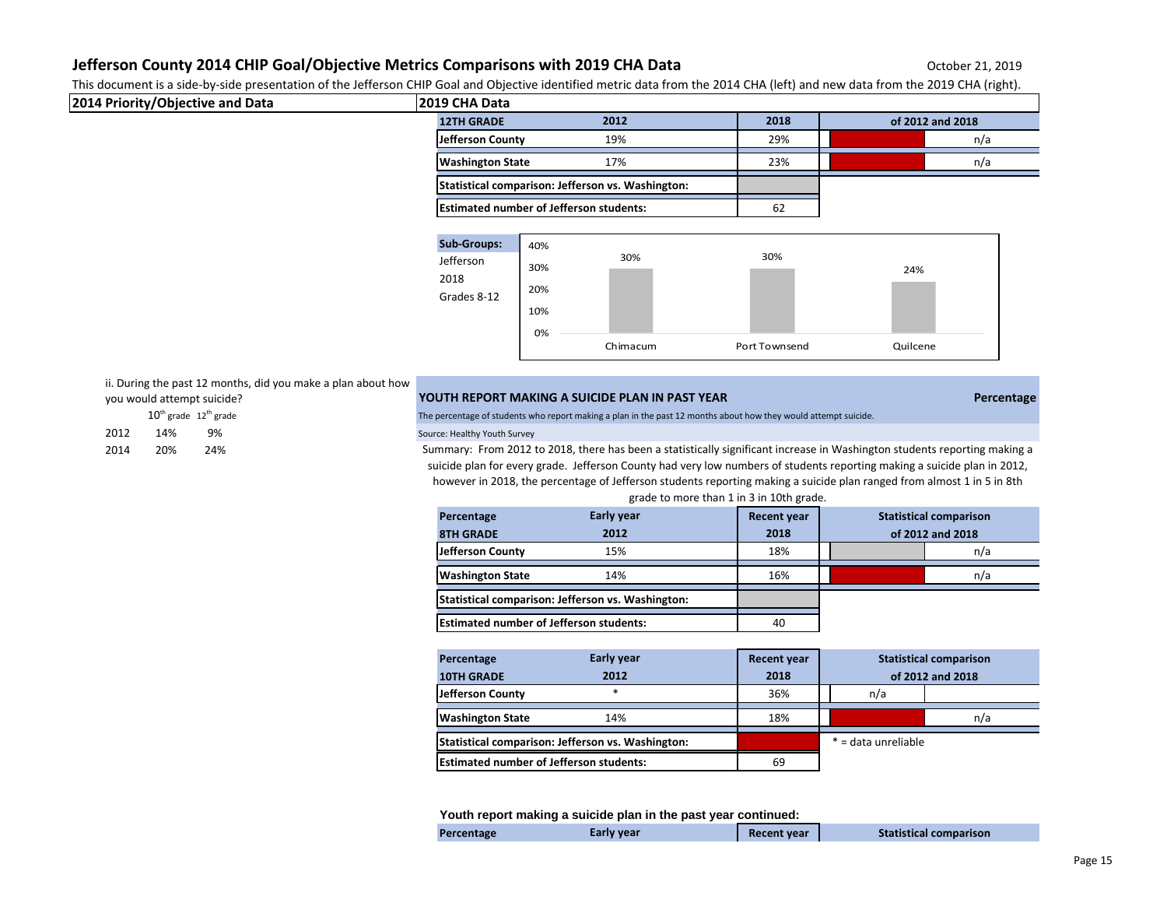This document is a side-by-side presentation of the Jefferson CHIP Goal and Objective identified metric data from the 2014 CHA (left) and new data from the 2019 CHA (right).

| 2014 Priority/Objective and Data | <b>2019 CHA Data</b>                              |      |                  |
|----------------------------------|---------------------------------------------------|------|------------------|
|                                  | 2012<br><b>12TH GRADE</b>                         | 2018 | of 2012 and 2018 |
|                                  | 19%<br>Jefferson County                           | 29%  | n/a              |
|                                  | 17%<br><b>Washington State</b>                    | 23%  | n/a              |
|                                  | Statistical comparison: Jefferson vs. Washington: |      |                  |
|                                  | <b>Estimated number of Jefferson students:</b>    | 62   |                  |



ii. During the past 12 months, did you make a plan about how

| you would attempt suicide? |  |  |
|----------------------------|--|--|
|----------------------------|--|--|

|      | $10^{th}$ grade $12^{th}$ grade |     |
|------|---------------------------------|-----|
| 2012 | 14%                             | 9%  |
| 2014 | 20%                             | 24% |

### **YOUTH REPORT MAKING A SUICIDE PLAN IN PAST YEAR PERCENTAGE IN PAST AND IN PAST YEAR PERCENTAGE**

The percentage of students who report making a plan in the past 12 months about how they would attempt suicide.

#### Source: Healthy Youth Survey

Summary: From 2012 to 2018, there has been a statistically significant increase in Washington students reporting making a suicide plan for every grade. Jefferson County had very low numbers of students reporting making a suicide plan in 2012, however in 2018, the percentage of Jefferson students reporting making a suicide plan ranged from almost 1 in 5 in 8th

| grade to more than 1 in 3 in 10th grade.                                               |      |      |                  |  |     |
|----------------------------------------------------------------------------------------|------|------|------------------|--|-----|
| <b>Early year</b><br><b>Statistical comparison</b><br><b>Recent year</b><br>Percentage |      |      |                  |  |     |
| <b>8TH GRADE</b>                                                                       | 2012 | 2018 | of 2012 and 2018 |  |     |
| Jefferson County                                                                       | 15%  | 18%  |                  |  | n/a |
| <b>Washington State</b>                                                                | 14%  | 16%  |                  |  | n/a |
| Statistical comparison: Jefferson vs. Washington:                                      |      |      |                  |  |     |
| <b>Estimated number of Jefferson students:</b>                                         |      | 40   |                  |  |     |

| Percentage                                        | <b>Early year</b> | <b>Recent year</b> | <b>Statistical comparison</b> |                     |     |
|---------------------------------------------------|-------------------|--------------------|-------------------------------|---------------------|-----|
| <b>10TH GRADE</b>                                 | 2012              | 2018               |                               | of 2012 and 2018    |     |
| Jefferson County                                  | *                 | 36%                |                               | n/a                 |     |
| <b>Washington State</b>                           | 14%               | 18%                |                               |                     | n/a |
| Statistical comparison: Jefferson vs. Washington: |                   |                    |                               | * = data unreliable |     |
| <b>Estimated number of Jefferson students:</b>    |                   | 69                 |                               |                     |     |

**Youth report making a suicide plan in the past year continued:**

| Percentage | Early year |  | <b>Recent year</b> | <b>Statistical comparison</b> |
|------------|------------|--|--------------------|-------------------------------|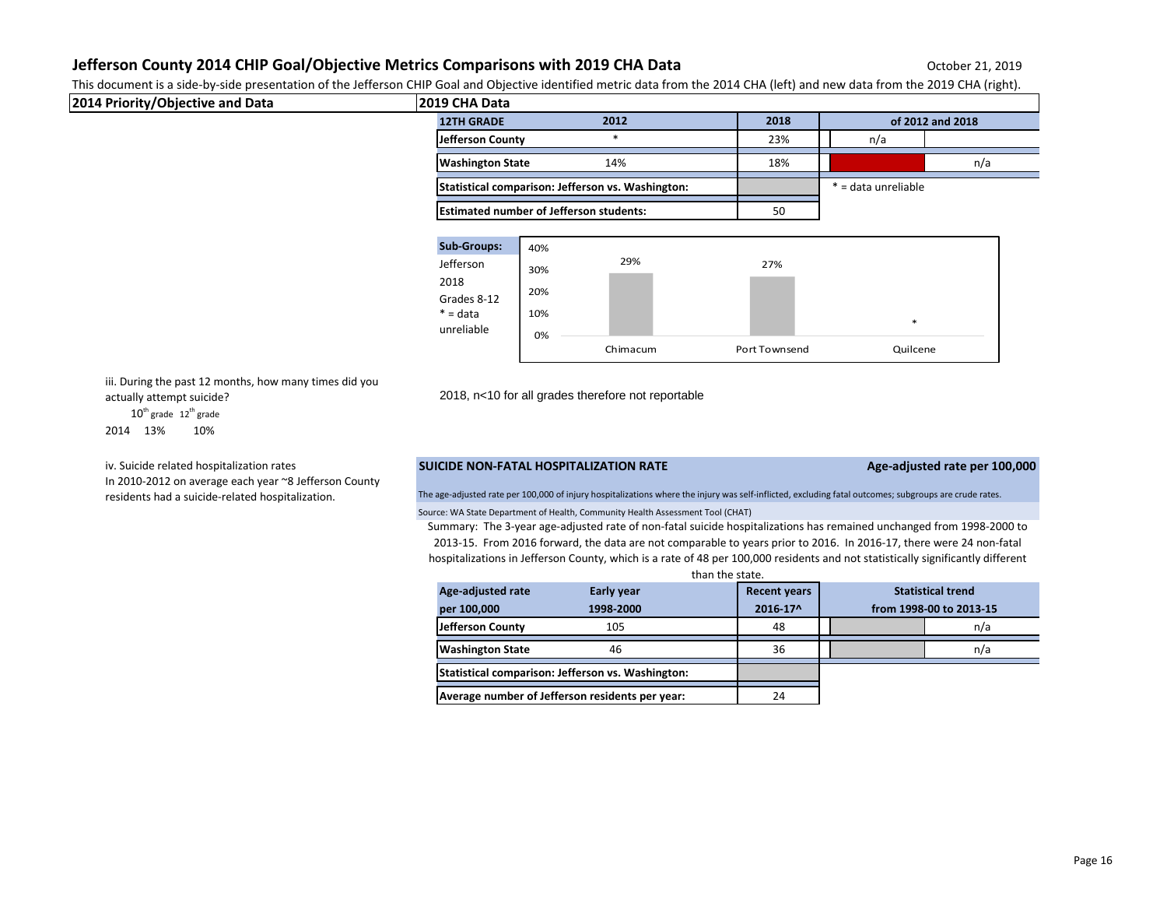This document is a side-by-side presentation of the Jefferson CHIP Goal and Objective identified metric data from the 2014 CHA (left) and new data from the 2019 CHA (right).

| 2014 Priority/Objective and Data | 2019 CHA Data           |                                                   |      |      |                     |                  |
|----------------------------------|-------------------------|---------------------------------------------------|------|------|---------------------|------------------|
|                                  | <b>12TH GRADE</b>       |                                                   | 2012 | 2018 |                     | of 2012 and 2018 |
|                                  | Jefferson County        |                                                   | *    | 23%  | n/a                 |                  |
|                                  | <b>Washington State</b> |                                                   | 14%  | 18%  |                     | n/a              |
|                                  |                         | Statistical comparison: Jefferson vs. Washington: |      |      | * = data unreliable |                  |
|                                  |                         | <b>Estimated number of Jefferson students:</b>    |      | 50   |                     |                  |
|                                  |                         |                                                   |      |      |                     |                  |
|                                  | <b>Sub-Groups:</b>      | 40%                                               |      |      |                     |                  |
|                                  | Jefferson               | 30%                                               | 29%  | 27%  |                     |                  |
|                                  | 2018                    |                                                   |      |      |                     |                  |
|                                  | Grades 8-12             | 20%                                               |      |      |                     |                  |
|                                  | $* = data$              | 10%                                               |      |      |                     |                  |
|                                  | unreliable              | 0%                                                |      |      | $\ast$              |                  |

iii. During the past 12 months, how many times did you actually attempt suicide? 2018, n<10 for all grades therefore not reportable

 $10^{th}$  grade  $12^{th}$  grade

2014 13% 10%

iv. Suicide related hospitalization rates In 2010-2012 on average each year ~8 Jefferson County residents had a suicide-related hospitalization.

## **SUICIDE NON-FATAL HOSPITALIZATION RATE Age-adjusted rate per 100,000**

Source: WA State Department of Health, Community Health Assessment Tool (CHAT) The age-adjusted rate per 100,000 of injury hospitalizations where the injury was self-inflicted, excluding fatal outcomes; subgroups are crude rates.

Summary: The 3-year age-adjusted rate of non-fatal suicide hospitalizations has remained unchanged from 1998-2000 to 2013-15. From 2016 forward, the data are not comparable to years prior to 2016. In 2016-17, there were 24 non-fatal hospitalizations in Jefferson County, which is a rate of 48 per 100,000 residents and not statistically significantly different than the state.

Chimacum Port Townsend Quilcene

| ulullulle Juule.                                  |            |                     |  |                          |
|---------------------------------------------------|------------|---------------------|--|--------------------------|
| Age-adjusted rate                                 | Early year | <b>Recent years</b> |  | <b>Statistical trend</b> |
| per 100,000                                       | 1998-2000  | 2016-17^            |  | from 1998-00 to 2013-15  |
| Jefferson County                                  | 105        | 48                  |  | n/a                      |
| <b>Washington State</b>                           | 46         | 36                  |  | n/a                      |
| Statistical comparison: Jefferson vs. Washington: |            |                     |  |                          |
| Average number of Jefferson residents per year:   |            | 24                  |  |                          |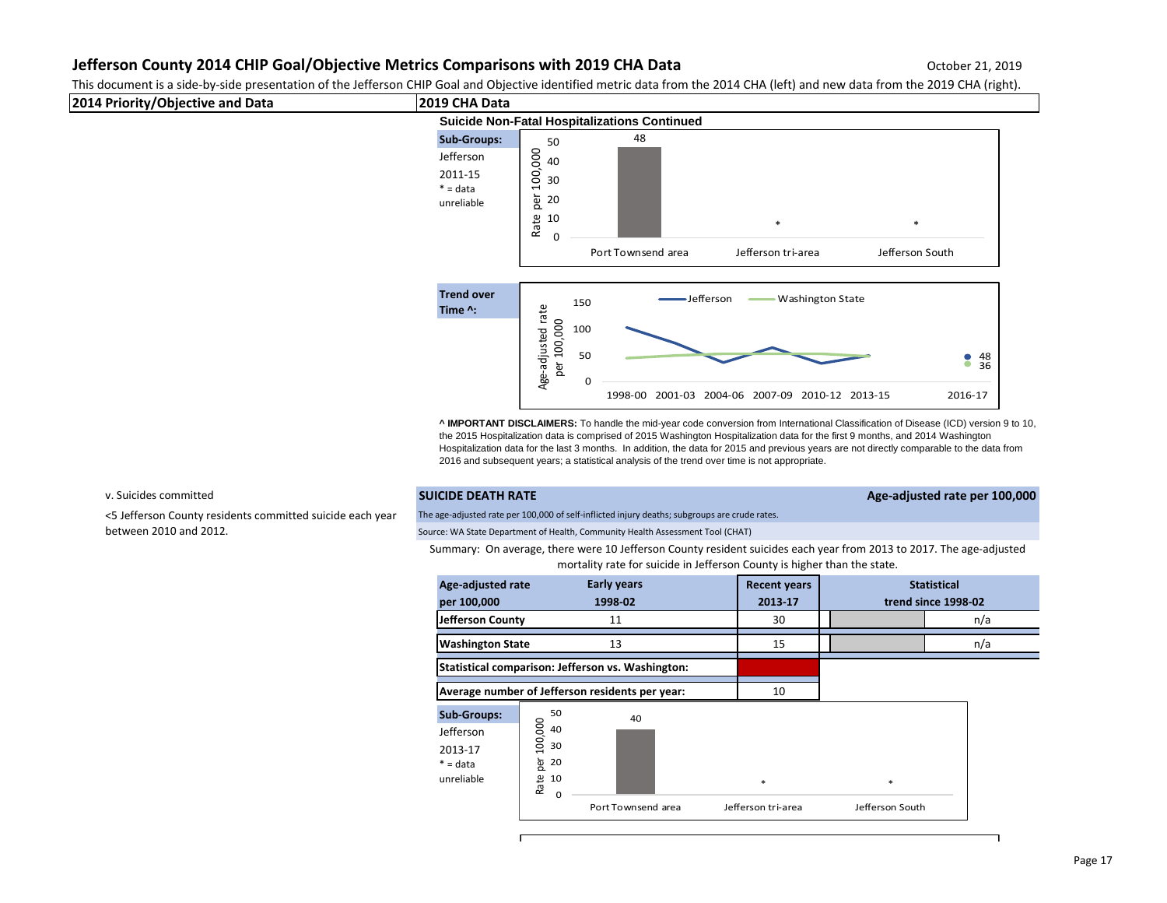This document is a side-by-side presentation of the Jefferson CHIP Goal and Objective identified metric data from the 2014 CHA (left) and new data from the 2019 CHA (right).



**^ IMPORTANT DISCLAIMERS:** To handle the mid-year code conversion from International Classification of Disease (ICD) version 9 to 10, the 2015 Hospitalization data is comprised of 2015 Washington Hospitalization data for the first 9 months, and 2014 Washington Hospitalization data for the last 3 months. In addition, the data for 2015 and previous years are not directly comparable to the data from 2016 and subsequent years; a statistical analysis of the trend over time is not appropriate.

<5 Jefferson County residents committed suicide each year between 2010 and 2012.

### v. Suicides committed **SUICIDE DEATH RATE Age-adjusted rate per 100,000**

The age-adjusted rate per 100,000 of self-inflicted injury deaths; subgroups are crude rates.

Source: WA State Department of Health, Community Health Assessment Tool (CHAT)

Summary: On average, there were 10 Jefferson County resident suicides each year from 2013 to 2017. The age-adjusted mortality rate for suicide in Jefferson County is higher than the state.

| Age-adjusted rate<br>per 100,000                                       |                                                                     | <b>Early years</b><br>1998-02                     | <b>Recent years</b><br>2013-17 |                      | <b>Statistical</b><br>trend since 1998-02 |
|------------------------------------------------------------------------|---------------------------------------------------------------------|---------------------------------------------------|--------------------------------|----------------------|-------------------------------------------|
| Jefferson County                                                       |                                                                     | 11                                                | 30                             |                      | n/a                                       |
| <b>Washington State</b>                                                |                                                                     | 13                                                | 15                             |                      | n/a                                       |
|                                                                        |                                                                     | Statistical comparison: Jefferson vs. Washington: |                                |                      |                                           |
|                                                                        |                                                                     | Average number of Jefferson residents per year:   | 10                             |                      |                                           |
| <b>Sub-Groups:</b><br>Jefferson<br>2013-17<br>$* = data$<br>unreliable | 50<br>100,000<br>40<br>30<br>per<br>20<br>Rate<br>10<br>$\mathbf 0$ | 40<br>Port Townsend area                          | $\ast$<br>Jefferson tri-area   | *<br>Jefferson South |                                           |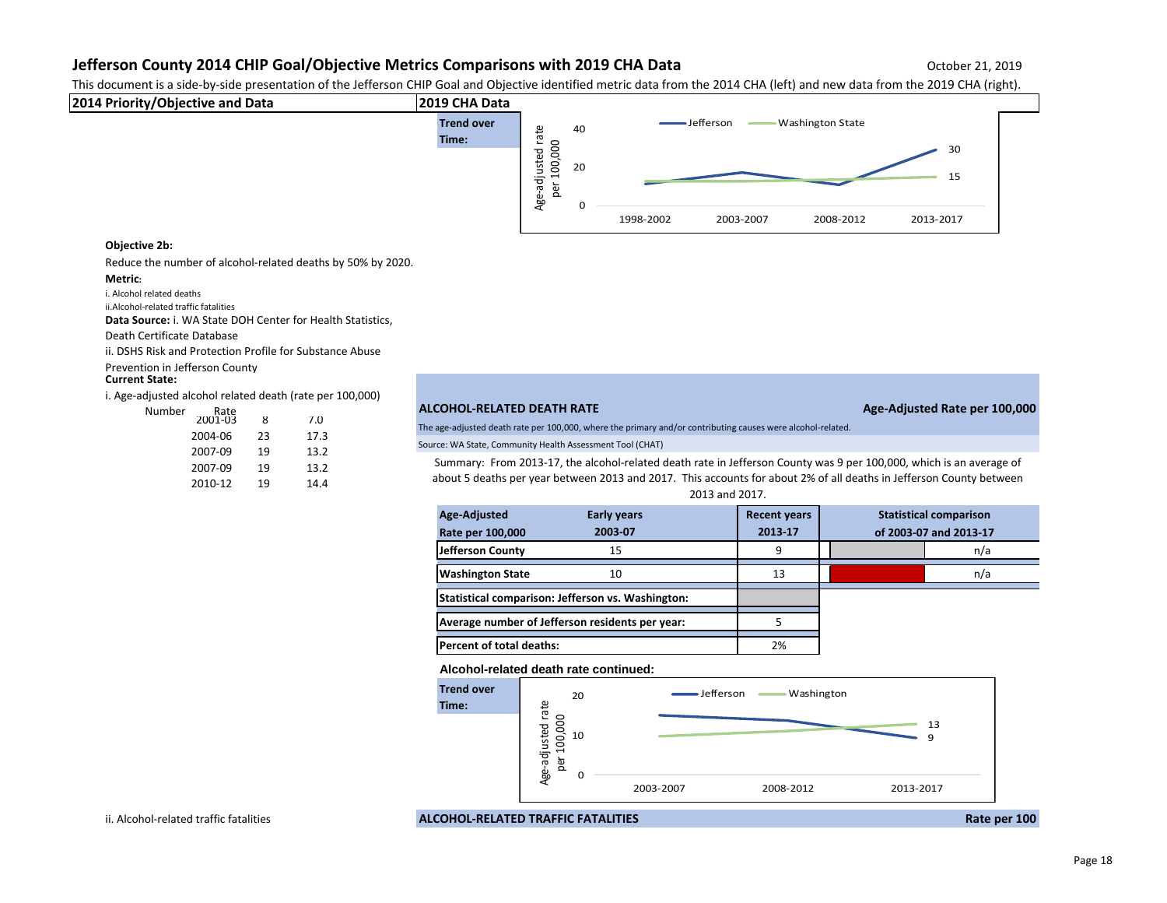This document is a side-by-side presentation of the Jefferson CHIP Goal and Objective identified metric data from the 2014 CHA (left) and new data from the 2019 CHA (right).



### **Objective 2b:**

Reduce the number of alcohol-related deaths by 50% by 2020.

#### **Metric:**

i. Alcohol related deaths

ii.Alcohol-related traffic fatalities

**Data Source:** i. WA State DOH Center for Health Statistics,

Death Certificate Database

ii. DSHS Risk and Protection Profile for Substance Abuse

Prevention in Jefferson County

#### **Current State:**

i. Age-adjusted alcohol related death (rate per 100,000)

| ٥r | Rate<br>2001-03 | 8  | 7.0  |
|----|-----------------|----|------|
|    | 2004-06         | 23 | 17.3 |
|    | 2007-09         | 19 | 13.2 |
|    | 2007-09         | 19 | 13.2 |
|    | 2010-12         | 19 | 14.4 |

## Number Rate **ALCOHOL-RELATED DEATH RATE Age-Adjusted Rate per 100,000**

The age-adjusted death rate per 100,000, where the primary and/or contributing causes were alcohol-related.

Source: WA State, Community Health Assessment Tool (CHAT)

Summary: From 2013-17, the alcohol-related death rate in Jefferson County was 9 per 100,000, which is an average of about 5 deaths per year between 2013 and 2017. This accounts for about 2% of all deaths in Jefferson County between

| 2013 and 2017.                                    |                    |                     |  |                               |
|---------------------------------------------------|--------------------|---------------------|--|-------------------------------|
| Age-Adjusted                                      | <b>Early years</b> | <b>Recent years</b> |  | <b>Statistical comparison</b> |
| Rate per 100,000                                  | 2003-07            | 2013-17             |  | of 2003-07 and 2013-17        |
| Jefferson County                                  | 15                 | 9                   |  | n/a                           |
| <b>Washington State</b>                           | 10                 | 13                  |  | n/a                           |
| Statistical comparison: Jefferson vs. Washington: |                    |                     |  |                               |
| Average number of Jefferson residents per year:   |                    |                     |  |                               |
| Percent of total deaths:                          |                    | 2%                  |  |                               |

**Alcohol-related death rate continued:**



ii. Alcohol-related traffic fatalities **ALCOHOL-RELATED TRAFFIC FATALITIES Rate per 100**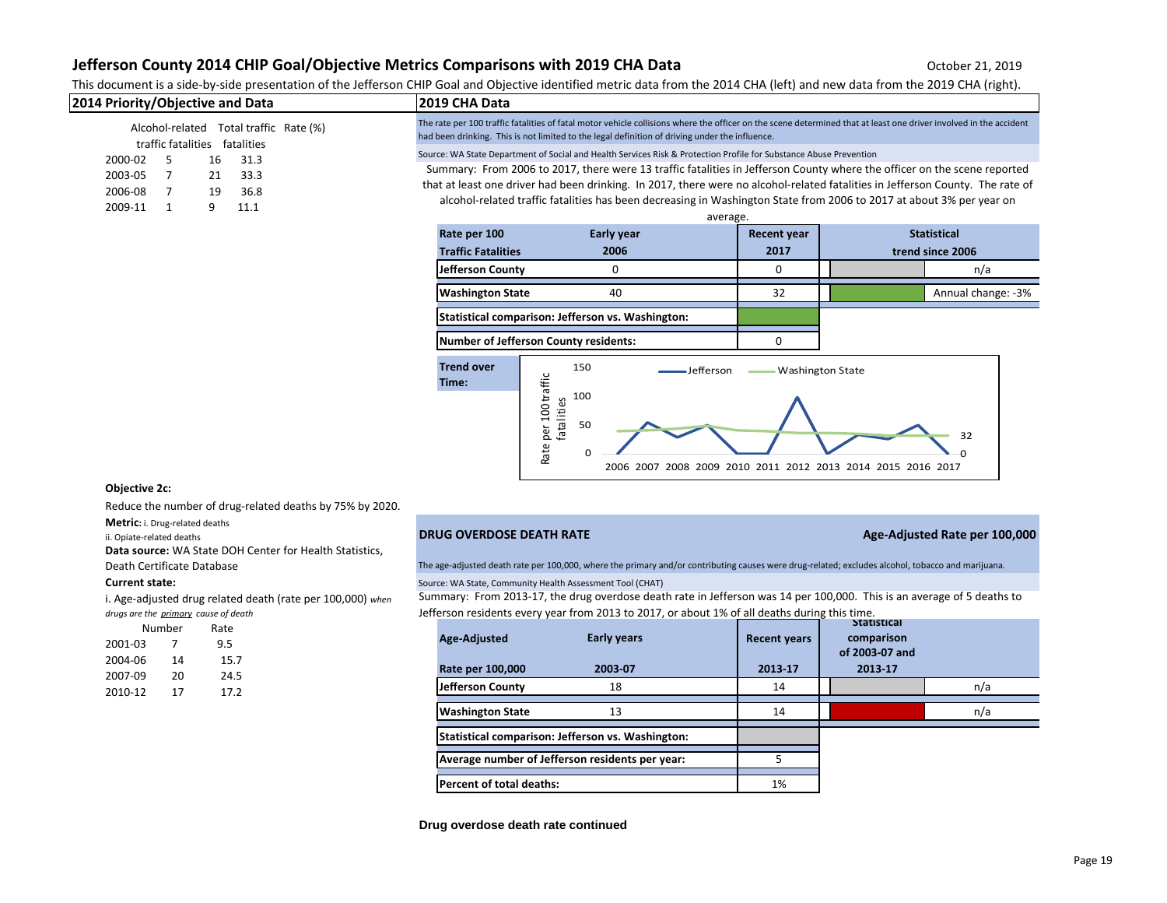## This document is a side-by-side presentation of the Jefferson CHIP Goal and Objective identified metric data from the 2014 CHA (left) and new data from the 2019 CHA (right).

| 2014 Priority/Objective and Data                                           | <b>2019 CHA Data</b>                                                                                                                                                                                                                                                |  |  |
|----------------------------------------------------------------------------|---------------------------------------------------------------------------------------------------------------------------------------------------------------------------------------------------------------------------------------------------------------------|--|--|
| Alcohol-related Total traffic Rate (%)<br>fatalities<br>traffic fatalities | The rate per 100 traffic fatalities of fatal motor vehicle collisions where the officer on the scene determined that at least one driver involved in the accident<br>had been drinking. This is not limited to the legal definition of driving under the influence. |  |  |
| 2000-02<br>31.3<br>16                                                      | Source: WA State Department of Social and Health Services Risk & Protection Profile for Substance Abuse Prevention                                                                                                                                                  |  |  |
| 2003-05<br>33.3<br>21                                                      | Summary: From 2006 to 2017, there were 13 traffic fatalities in Jefferson County where the officer on the scene reported                                                                                                                                            |  |  |
| 2006-08<br>36.8<br>19                                                      | that at least one driver had been drinking. In 2017, there were no alcohol-related fatalities in Jefferson County. The rate of                                                                                                                                      |  |  |
| 2009-11<br>11.1                                                            | alcohol-related traffic fatalities has been decreasing in Washington State from 2006 to 2017 at about 3% per year on                                                                                                                                                |  |  |
|                                                                            | $\sim$                                                                                                                                                                                                                                                              |  |  |

| average.                                          |            |                    |                    |                    |  |  |
|---------------------------------------------------|------------|--------------------|--------------------|--------------------|--|--|
| Rate per 100                                      | Early year | <b>Recent year</b> | <b>Statistical</b> |                    |  |  |
| <b>Traffic Fatalities</b>                         | 2006       | 2017               |                    | trend since 2006   |  |  |
| <b>Jefferson County</b>                           | 0          | 0                  |                    | n/a                |  |  |
| <b>Washington State</b>                           | 40         | 32                 |                    | Annual change: -3% |  |  |
| Statistical comparison: Jefferson vs. Washington: |            |                    |                    |                    |  |  |

**Number of Jefferson County residents:** 0



### **Objective 2c:**

Reduce the number of drug-related deaths by 75% by 2020.

**Metric:** i. Drug-related deaths

**Data source:** WA State DOH Center for Health Statistics,

i. Age-adjusted drug related death (rate per 100,000) *when drugs are the primary cause of death*

|         | Number | Rate |  |
|---------|--------|------|--|
| 2001-03 | 7      | 9.5  |  |
| 2004-06 | 14     | 15.7 |  |
| 2007-09 | 20     | 24.5 |  |
| 2010-12 | 17     | 17.2 |  |

## ii. Opiate-related deaths **DRUG OVERDOSE DEATH RATE Age-Adjusted Rate per 100,000**

Death Certificate Database The age-adjusted death rate per 100,000, where the primary and/or contributing causes were drug-related; excludes alcohol, tobacco and marijuana.

**Current state: Current state: Source: WA State, Community Health Assessment Tool (CHAT)** 

Summary: From 2013-17, the drug overdose death rate in Jefferson was 14 per 100,000. This is an average of 5 deaths to Jefferson residents every year from 2013 to 2017, or about 1% of all deaths during this time.

| <b>Early years</b><br>Age-Adjusted<br>2003-07<br>Rate per 100,000 | <b>Recent years</b><br>2013-17 | Statistical<br>comparison<br>of 2003-07 and<br>2013-17 |     |
|-------------------------------------------------------------------|--------------------------------|--------------------------------------------------------|-----|
| <b>Jefferson County</b><br>18                                     | 14                             |                                                        | n/a |
| <b>Washington State</b><br>13                                     | 14                             |                                                        | n/a |
| Statistical comparison: Jefferson vs. Washington:                 |                                |                                                        |     |
| Average number of Jefferson residents per year:                   | 5                              |                                                        |     |
| Percent of total deaths:                                          | 1%                             |                                                        |     |

#### **Drug overdose death rate continued**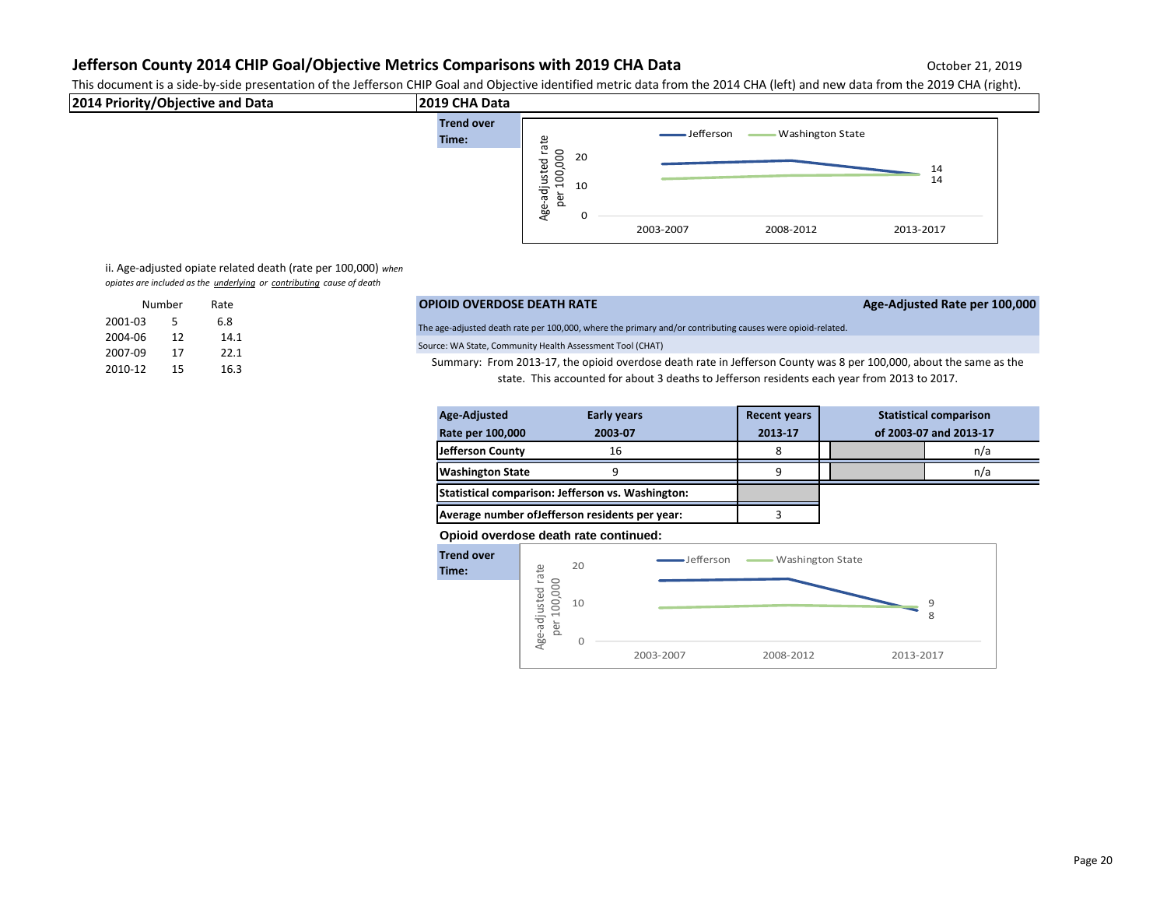This document is a side-by-side presentation of the Jefferson CHIP Goal and Objective identified metric data from the 2014 CHA (left) and new data from the 2019 CHA (right).



ii. Age-adjusted opiate related death (rate per 100,000) *when opiates are included as the underlying or contributing cause of death*

|         | Number | Rate |
|---------|--------|------|
| 2001-03 | 5      | 6.8  |
| 2004-06 | 12     | 14.1 |
| 2007-09 | 17     | 22.1 |
| 2010-12 | 15     | 16.3 |

|         | Number | Rate | <b>OPIOID OVERDOSE DEATH RATE</b>                                                                                  | Age-Adjusted Rate per 100,000 |
|---------|--------|------|--------------------------------------------------------------------------------------------------------------------|-------------------------------|
| 2001-03 |        | 6.8  | The age-adjusted death rate per 100,000, where the primary and/or contributing causes were opioid-related.         |                               |
| 2004-06 |        | 14.1 |                                                                                                                    |                               |
| 2007-09 |        | 22.1 | Source: WA State, Community Health Assessment Tool (CHAT)                                                          |                               |
| 2010-12 |        |      | Summary: From 2013-17, the opioid overdose death rate in Jefferson County was 8 per 100,000, about the same as the |                               |

state. This accounted for about 3 deaths to Jefferson residents each year from 2013 to 2017.

| <b>Early years</b><br>Age-Adjusted                |         | <b>Recent years</b> |                        |  | <b>Statistical comparison</b> |
|---------------------------------------------------|---------|---------------------|------------------------|--|-------------------------------|
| <b>Rate per 100,000</b>                           | 2003-07 | 2013-17             | of 2003-07 and 2013-17 |  |                               |
| Jefferson County                                  | 16      | 8                   |                        |  | n/a                           |
| <b>Washington State</b>                           | 9       | 9                   |                        |  | n/a                           |
| Statistical comparison: Jefferson vs. Washington: |         |                     |                        |  |                               |
| Average number of Jefferson residents per year:   |         |                     |                        |  |                               |

## **Opioid overdose death rate continued:**

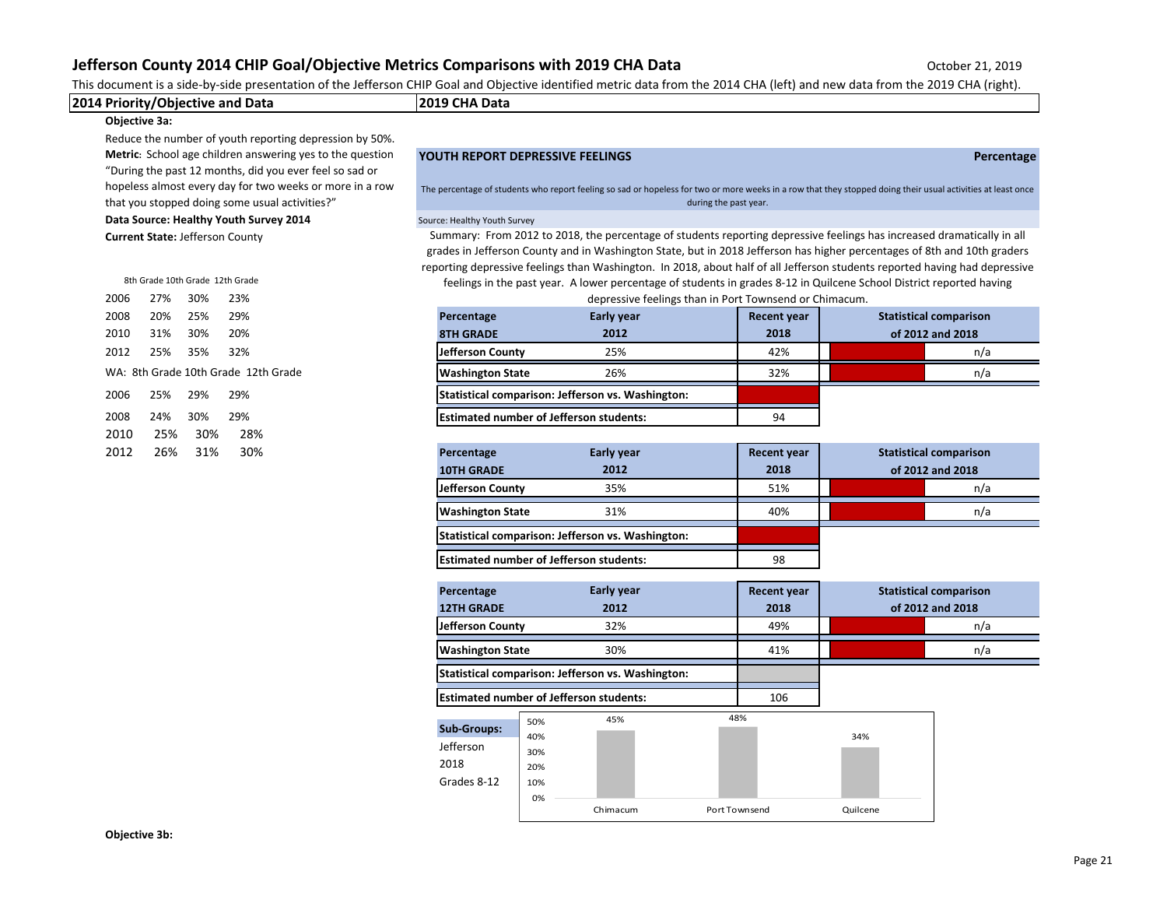This document is a side-by-side presentation of the Jefferson CHIP Goal and Objective identified metric data from the 2014 CHA (left) and new data from the 2019 CHA (right).

|  | 2014 Priority<br>Objective and Data | 12019 CHA Data |
|--|-------------------------------------|----------------|
|  |                                     |                |

## **Objective 3a:**

Reduce the number of youth reporting depression by 50%. **Metric:** School age children answering yes to the question "During the past 12 months, did you ever feel so sad or hopeless almost every day for two weeks or more in a row that you stopped doing some usual activities?"

**Data Source: Healthy Youth Survey 2014** Source: Healthy Youth Survey

**Current State:** Jefferson County

|      |          | 8th Grade 10th Grade 12th Grade |                                   |
|------|----------|---------------------------------|-----------------------------------|
| 2006 | 27%      | 30%                             | 23%                               |
| 2008 | 20%      | 25%                             | 29%                               |
| 2010 |          | 31% 30% 20%                     |                                   |
| 2012 | 25%      | 35%                             | 32%                               |
|      |          |                                 | WA: 8th Grade 10th Grade 12th Gra |
| 2006 | 25%      | 29%                             | 29%                               |
| 2008 |          | 24% 30%                         | 29%                               |
|      | 2010 25% |                                 | 30%  28%                          |
| 2012 | - 26%    | 31%                             | 30%                               |

**YOUTH REPORT DEPRESSIVE FEELINGS Percentage**

The percentage of students who report feeling so sad or hopeless for two or more weeks in a row that they stopped doing their usual activities at least once during the past year.

Summary: From 2012 to 2018, the percentage of students reporting depressive feelings has increased dramatically in all grades in Jefferson County and in Washington State, but in 2018 Jefferson has higher percentages of 8th and 10th graders reporting depressive feelings than Washington. In 2018, about half of all Jefferson students reported having had depressive

feelings in the past year. A lower percentage of students in grades 8-12 in Quilcene School District reported having depressive feelings than in Port Townsend or Chimacum.

| 2008 | 20%                                                                   | 25% | 29% | <b>Early year</b><br>Percentage                   |      | <b>Recent year</b> |     | <b>Statistical comparison</b> |
|------|-----------------------------------------------------------------------|-----|-----|---------------------------------------------------|------|--------------------|-----|-------------------------------|
| 2010 | 31%                                                                   | 30% | 20% | <b>8TH GRADE</b>                                  | 2012 | 2018               |     | of 2012 and 2018              |
| 2012 | 25%                                                                   | 35% | 32% | Jefferson County                                  | 25%  | 42%                |     | n/a                           |
|      | WA: 8th Grade 10th Grade 12th Grade<br>26%<br><b>Washington State</b> |     |     |                                                   | 32%  |                    | n/a |                               |
| 2006 | 25%                                                                   | 29% | 29% | Statistical comparison: Jefferson vs. Washington: |      |                    |     |                               |
| 2008 | 24%                                                                   | 30% | 29% | <b>Estimated number of Jefferson students:</b>    |      | 94                 |     |                               |

| 2012 | 26%<br>31% | 30% | Percentage              | <b>Early year</b>                                                                                   |      |                  | <b>Statistical comparison</b> |
|------|------------|-----|-------------------------|-----------------------------------------------------------------------------------------------------|------|------------------|-------------------------------|
|      |            |     | <b>10TH GRADE</b>       | 2012                                                                                                | 2018 | of 2012 and 2018 |                               |
|      |            |     | Jefferson County        | 35%                                                                                                 | 51%  |                  | n/a                           |
|      |            |     | <b>Washington State</b> | 31%                                                                                                 | 40%  |                  | n/a                           |
|      |            |     |                         | Statistical comparison: Jefferson vs. Washington:<br><b>Estimated number of Jefferson students:</b> |      |                  |                               |
|      |            |     |                         |                                                                                                     |      |                  |                               |

| Early year<br>Percentage                          |      | <b>Recent year</b> |                  | <b>Statistical comparison</b> |
|---------------------------------------------------|------|--------------------|------------------|-------------------------------|
| <b>12TH GRADE</b>                                 | 2012 | 2018               | of 2012 and 2018 |                               |
| Jefferson County                                  | 32%  | 49%                |                  | n/a                           |
| <b>Washington State</b>                           | 30%  | 41%                |                  | n/a                           |
| Statistical comparison: Jefferson vs. Washington: |      |                    |                  |                               |

**Estimated number of Jefferson students:** 106

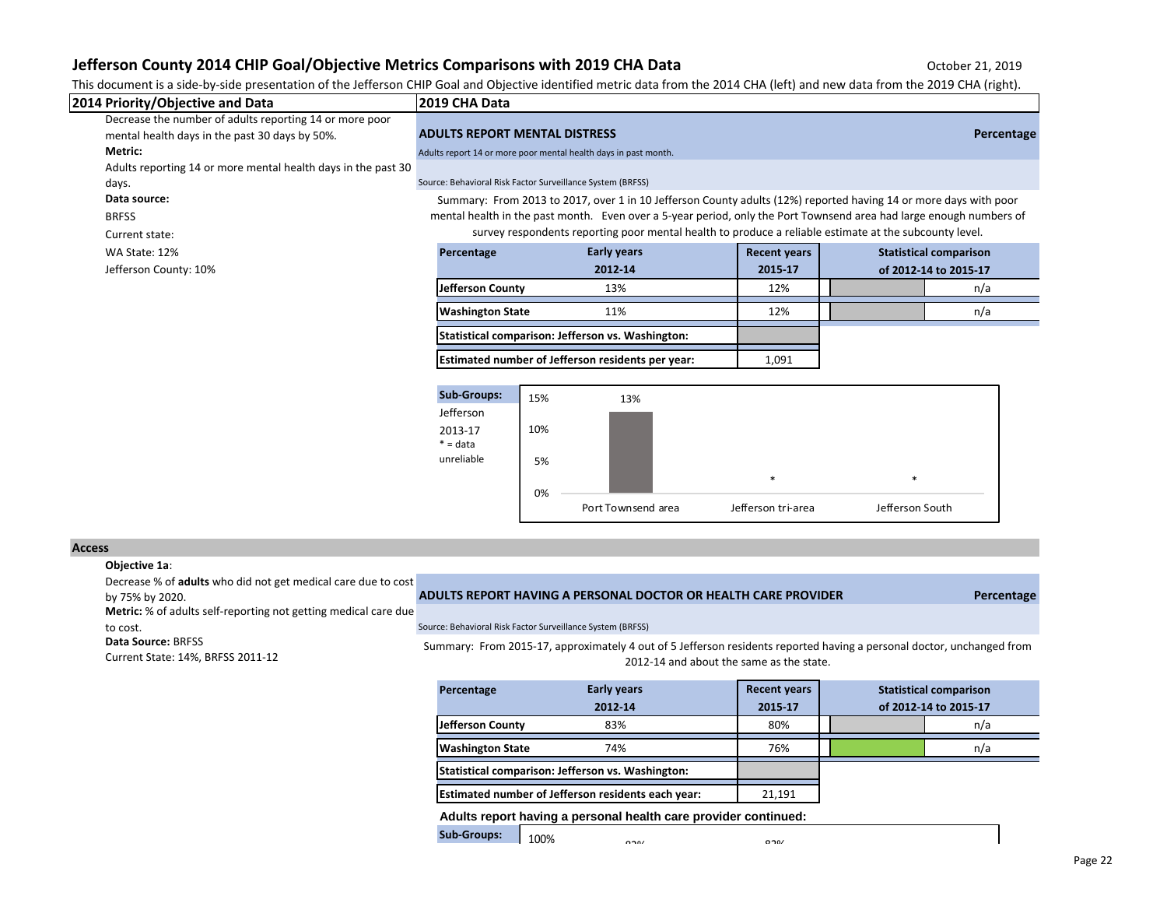This document is a side-by-side presentation of the Jefferson CHIP Goal and Objective identified metric data from the 2014 CHA (left) and new data from the 2019 CHA (right).

| 2014 Priority/Objective and Data                              | 2019 CHA Data                        |                                                                                                                     |                     |                               |                       |
|---------------------------------------------------------------|--------------------------------------|---------------------------------------------------------------------------------------------------------------------|---------------------|-------------------------------|-----------------------|
| Decrease the number of adults reporting 14 or more poor       |                                      |                                                                                                                     |                     |                               |                       |
| mental health days in the past 30 days by 50%.                | <b>ADULTS REPORT MENTAL DISTRESS</b> |                                                                                                                     |                     |                               | Percentage            |
| <b>Metric:</b>                                                |                                      | Adults report 14 or more poor mental health days in past month.                                                     |                     |                               |                       |
| Adults reporting 14 or more mental health days in the past 30 |                                      |                                                                                                                     |                     |                               |                       |
| days.                                                         |                                      | Source: Behavioral Risk Factor Surveillance System (BRFSS)                                                          |                     |                               |                       |
| Data source:                                                  |                                      | Summary: From 2013 to 2017, over 1 in 10 Jefferson County adults (12%) reported having 14 or more days with poor    |                     |                               |                       |
| <b>BRFSS</b>                                                  |                                      | mental health in the past month. Even over a 5-year period, only the Port Townsend area had large enough numbers of |                     |                               |                       |
| Current state:                                                |                                      | survey respondents reporting poor mental health to produce a reliable estimate at the subcounty level.              |                     |                               |                       |
| WA State: 12%                                                 | Percentage                           | <b>Early years</b>                                                                                                  | <b>Recent years</b> | <b>Statistical comparison</b> |                       |
| Jefferson County: 10%                                         |                                      | 2012-14                                                                                                             | 2015-17             |                               | of 2012-14 to 2015-17 |
|                                                               | Jefferson County                     | 13%                                                                                                                 | 12%                 |                               | n/a                   |
|                                                               | <b>Washington State</b>              | 11%                                                                                                                 | 12%                 |                               | n/a                   |
|                                                               |                                      | Statistical comparison: Jefferson vs. Washington:                                                                   |                     |                               |                       |
|                                                               |                                      | Estimated number of Jefferson residents per year:                                                                   | 1,091               |                               |                       |
|                                                               |                                      |                                                                                                                     |                     |                               |                       |
|                                                               | <b>Sub-Groups:</b>                   | 15%<br>13%                                                                                                          |                     |                               |                       |
|                                                               | Jefferson                            |                                                                                                                     |                     |                               |                       |
|                                                               | 2013-17                              | 10%                                                                                                                 |                     |                               |                       |

#### **Access**

### **Objective 1a**:

Decrease % of **adults** who did not get medical care due to cost

**Metric:** % of adults self-reporting not getting medical care due

**Data Source:** BRFSS

Current State: 14%, BRFSS 2011-12

## by 75% by 2020. **ADULTS REPORT HAVING A PERSONAL DOCTOR OR HEALTH CARE PROVIDER Percentage**

to cost. Source: Behavioral Risk Factor Surveillance System (BRFSS)

0%

5%

 $* = data$ unreliable

Summary: From 2015-17, approximately 4 out of 5 Jefferson residents reported having a personal doctor, unchanged from 2012-14 and about the same as the state.

Port Townsend area Jefferson tri-area Jefferson South

\* \*

| Percentage                                         | <b>Early years</b> | <b>Recent years</b> | <b>Statistical comparison</b> |
|----------------------------------------------------|--------------------|---------------------|-------------------------------|
|                                                    | 2012-14            | 2015-17             | of 2012-14 to 2015-17         |
| Jefferson County                                   | 83%                | 80%                 | n/a                           |
| <b>Washington State</b>                            | 74%                | 76%                 | n/a                           |
| Statistical comparison: Jefferson vs. Washington:  |                    |                     |                               |
| Estimated number of Jefferson residents each year: | 21.191             |                     |                               |

**Adults report having a personal health care provider continued:**

**Sub-Groups:**  $\mathbf{S}^{2}$ 100%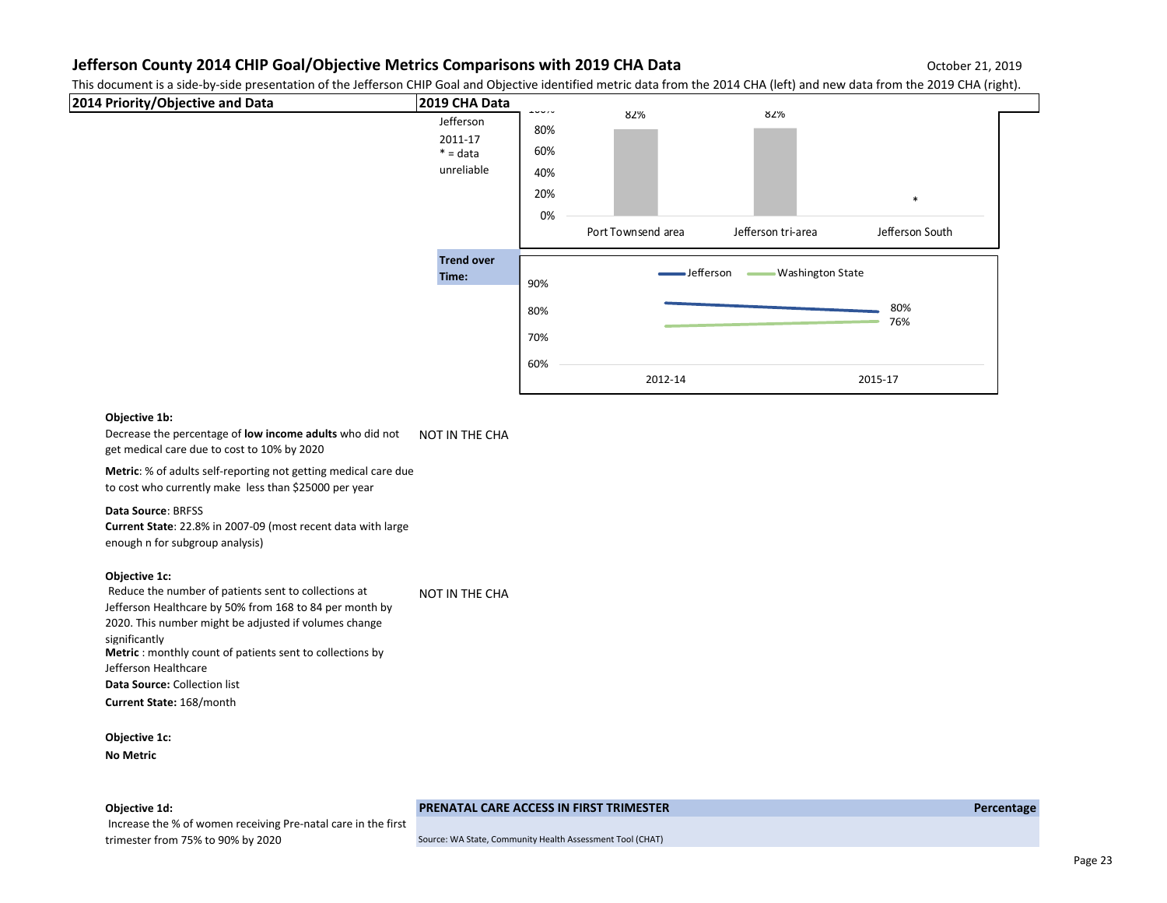This document is a side-by-side presentation of the Jefferson CHIP Goal and Objective identified metric data from the 2014 CHA (left) and new data from the 2019 CHA (right).



## **Objective 1b:**

Decrease the percentage of **low income adults** who did not NOT IN THE CHA get medical care due to cost to 10% by 2020

**Metric**: % of adults self-reporting not getting medical care due to cost who currently make less than \$25000 per year

#### **Data Source**: BRFSS

**Current State**: 22.8% in 2007-09 (most recent data with large enough n for subgroup analysis)

Increase the % of women receiving Pre-natal care in the first

## **Objective 1c:**

 Reduce the number of patients sent to collections at Jefferson Healthcare by 50% from 168 to 84 per month by 2020. This number might be adjusted if volumes change significantly NOT IN THE CHA **Metric** : monthly count of patients sent to collections by Jefferson Healthcare **Data Source:** Collection list **Current State:** 168/month

**Objective 1c: No Metric**

## **Objective 1d: PRENATAL CARE ACCESS IN FIRST TRIMESTER Percentage**

trimester from 75% to 90% by 2020 Source: WA State, Community Health Assessment Tool (CHAT)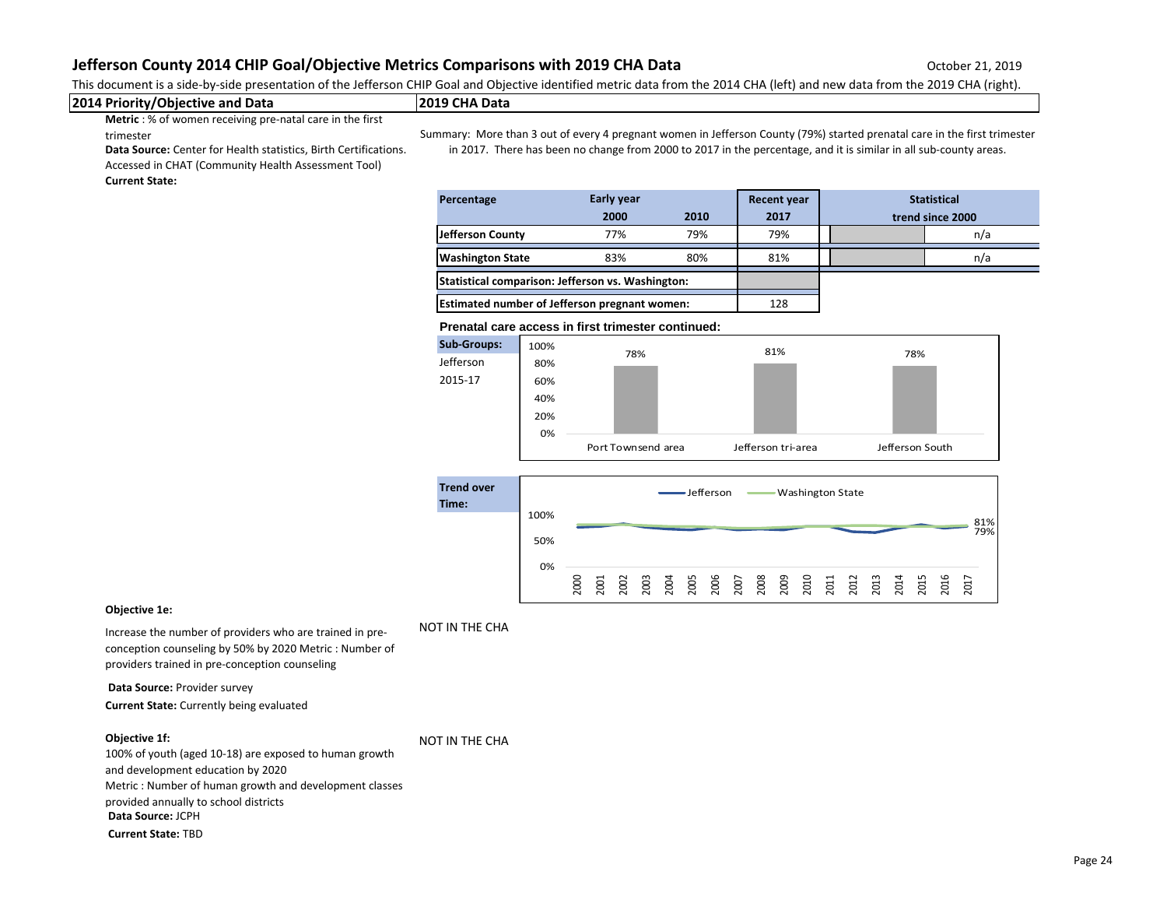This document is a side-by-side presentation of the Jefferson CHIP Goal and Objective identified metric data from the 2014 CHA (left) and new data from the 2019 CHA (right).

### **2014 Priority/Objective and Data 2019 CHA Data**

**Metric** : % of women receiving pre-natal care in the first trimester

Summary: More than 3 out of every 4 pregnant women in Jefferson County (79%) started prenatal care in the first trimester in 2017. There has been no change from 2000 to 2017 in the percentage, and it is similar in all sub-county areas.

**Data Source:** Center for Health statistics, Birth Certifications. Accessed in CHAT (Community Health Assessment Tool)

## **Current State:**

| Percentage                                           | Early year |      | <b>Recent year</b> | <b>Statistical</b> |                  |
|------------------------------------------------------|------------|------|--------------------|--------------------|------------------|
|                                                      | 2000       | 2010 | 2017               |                    | trend since 2000 |
| Jefferson County                                     | 77%        | 79%  | 79%                |                    | n/a              |
| <b>Washington State</b>                              | 83%        | 80%  | 81%                |                    | n/a              |
| Statistical comparison: Jefferson vs. Washington:    |            |      |                    |                    |                  |
| <b>Estimated number of Jefferson pregnant women:</b> |            |      | 128                |                    |                  |

#### **Prenatal care access in first trimester continued:**





### **Objective 1e:**

Increase the number of providers who are trained in preconception counseling by 50% by 2020 Metric : Number of providers trained in pre-conception counseling

**Data Source:** Provider survey **Current State:** Currently being evaluated

#### **Objective 1f:**

NOT IN THE CHA

NOT IN THE CHA

100% of youth (aged 10-18) are exposed to human growth and development education by 2020 Metric : Number of human growth and development classes provided annually to school districts **Data Source:** JCPH **Current State:** TBD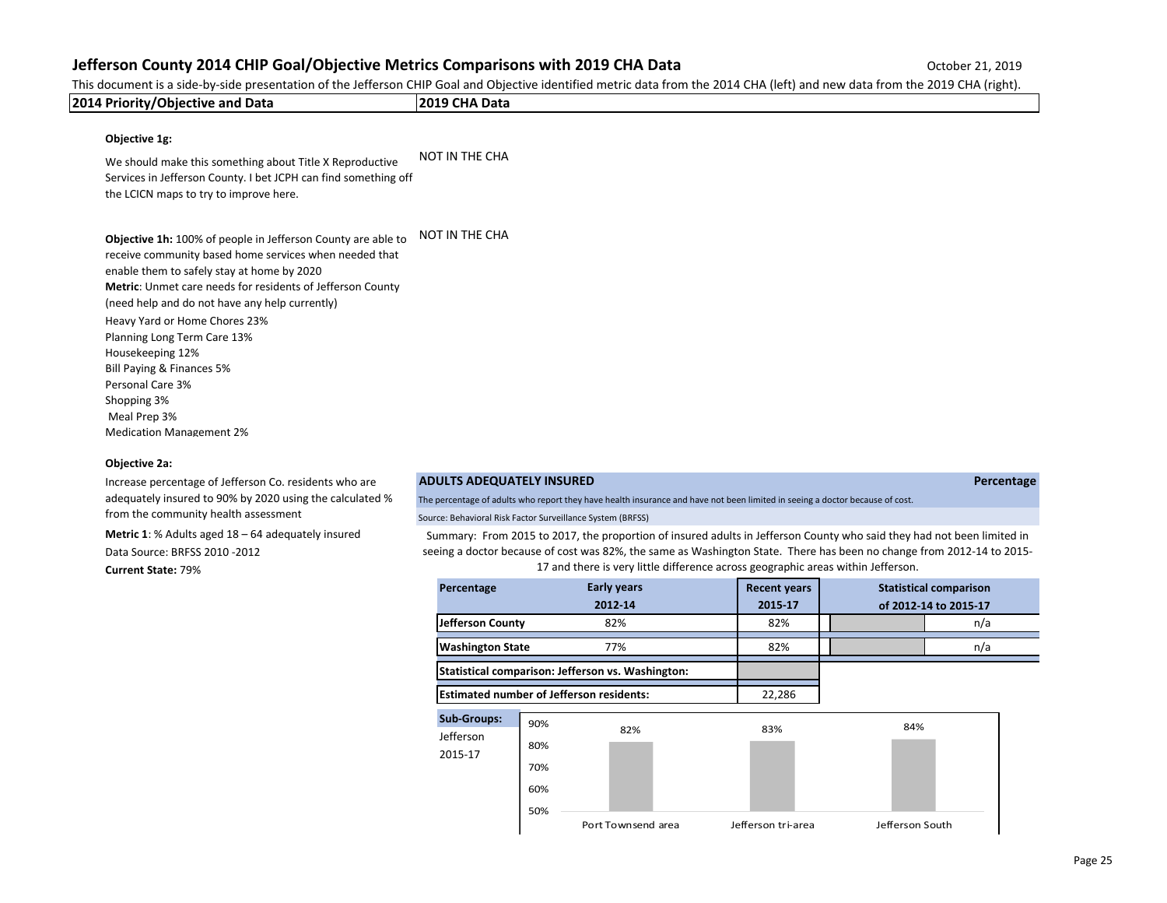This document is a side-by-side presentation of the Jefferson CHIP Goal and Objective identified metric data from the 2014 CHA (left) and new data from the 2019 CHA (right).

| 2014 Priority/Objective and Data                                                                                                                                                                                                                                                                                                                                                                                                                                                            | 2019 CHA Data                                                                                                                                                                                                                                                                                                                       |
|---------------------------------------------------------------------------------------------------------------------------------------------------------------------------------------------------------------------------------------------------------------------------------------------------------------------------------------------------------------------------------------------------------------------------------------------------------------------------------------------|-------------------------------------------------------------------------------------------------------------------------------------------------------------------------------------------------------------------------------------------------------------------------------------------------------------------------------------|
| Objective 1g:                                                                                                                                                                                                                                                                                                                                                                                                                                                                               |                                                                                                                                                                                                                                                                                                                                     |
| We should make this something about Title X Reproductive<br>Services in Jefferson County. I bet JCPH can find something off<br>the LCICN maps to try to improve here.                                                                                                                                                                                                                                                                                                                       | <b>NOT IN THE CHA</b>                                                                                                                                                                                                                                                                                                               |
| Objective 1h: 100% of people in Jefferson County are able to<br>receive community based home services when needed that<br>enable them to safely stay at home by 2020<br>Metric: Unmet care needs for residents of Jefferson County<br>(need help and do not have any help currently)<br>Heavy Yard or Home Chores 23%<br>Planning Long Term Care 13%<br>Housekeeping 12%<br>Bill Paying & Finances 5%<br>Personal Care 3%<br>Shopping 3%<br>Meal Prep 3%<br><b>Medication Management 2%</b> | <b>NOT IN THE CHA</b>                                                                                                                                                                                                                                                                                                               |
| <b>Objective 2a:</b>                                                                                                                                                                                                                                                                                                                                                                                                                                                                        |                                                                                                                                                                                                                                                                                                                                     |
| Increase percentage of Jefferson Co. residents who are                                                                                                                                                                                                                                                                                                                                                                                                                                      | <b>ADULTS ADEQUATELY INSURED</b><br>Percentage                                                                                                                                                                                                                                                                                      |
| adequately insured to 90% by 2020 using the calculated %                                                                                                                                                                                                                                                                                                                                                                                                                                    | The percentage of adults who report they have health insurance and have not been limited in seeing a doctor because of cost.                                                                                                                                                                                                        |
| from the community health assessment                                                                                                                                                                                                                                                                                                                                                                                                                                                        | Source: Behavioral Risk Factor Surveillance System (BRFSS)                                                                                                                                                                                                                                                                          |
| <b>Metric 1:</b> % Adults aged $18 - 64$ adequately insured<br>Data Source: BRFSS 2010 - 2012<br><b>Current State: 79%</b>                                                                                                                                                                                                                                                                                                                                                                  | Summary: From 2015 to 2017, the proportion of insured adults in Jefferson County who said they had not been limited in<br>seeing a doctor because of cost was 82%, the same as Washington State. There has been no change from 2012-14 to 2015-<br>17 and there is very little difference across geographic areas within Jefferson. |

| Percentage                                      |                                 | <b>Early years</b><br>2012-14                     | <b>Recent years</b><br>2015-17 |                 | <b>Statistical comparison</b><br>of 2012-14 to 2015-17 |
|-------------------------------------------------|---------------------------------|---------------------------------------------------|--------------------------------|-----------------|--------------------------------------------------------|
| Jefferson County                                |                                 | 82%                                               | 82%                            |                 | n/a                                                    |
| <b>Washington State</b>                         |                                 | 77%                                               | 82%                            |                 | n/a                                                    |
|                                                 |                                 | Statistical comparison: Jefferson vs. Washington: |                                |                 |                                                        |
| <b>Estimated number of Jefferson residents:</b> |                                 |                                                   | 22,286                         |                 |                                                        |
| <b>Sub-Groups:</b><br>Jefferson<br>2015-17      | 90%<br>80%<br>70%<br>60%<br>50% | 82%                                               | 83%                            | 84%             |                                                        |
|                                                 |                                 | Port Townsend area                                | Jefferson tri-area             | Jefferson South |                                                        |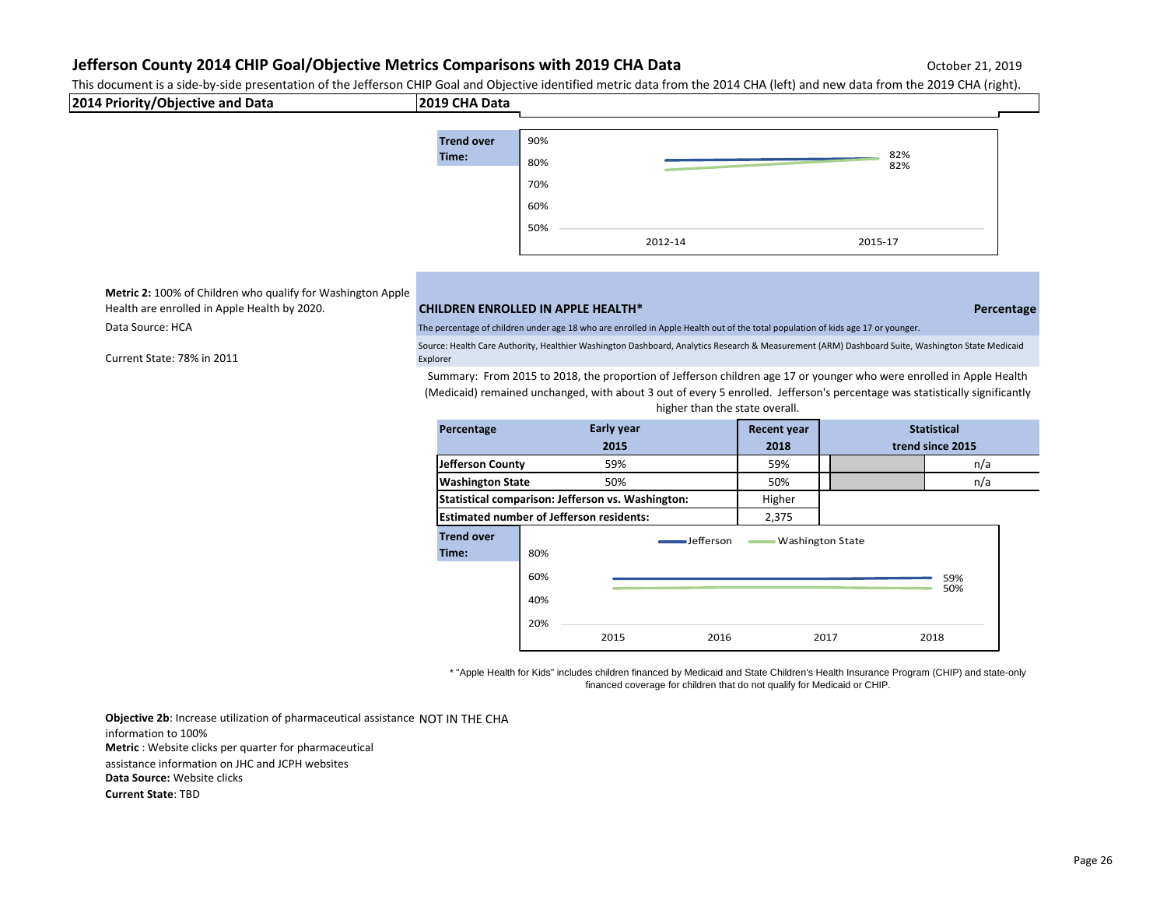This document is a side-by-side presentation of the Jefferson CHIP Goal and Objective identified metric data from the 2014 CHA (left) and new data from the 2019 CHA (right). 50%



**Metric 2:** 100% of Children who qualify for Washington Apple Health are enrolled in Apple Health by 2020. **CHILDREN ENROLLED IN APPLE HEALTH\* Percentage**

Current State: 78% in 2011

Data Source: HCA The percentage of children under age 18 who are enrolled in Apple Health out of the total population of kids age 17 or younger.

Source: Health Care Authority, Healthier Washington Dashboard, Analytics Research & Measurement (ARM) Dashboard Suite, Washington State Medicaid Explorer

Summary: From 2015 to 2018, the proportion of Jefferson children age 17 or younger who were enrolled in Apple Health (Medicaid) remained unchanged, with about 3 out of every 5 enrolled. Jefferson's percentage was statistically significantly

| Percentage                                      |            | <b>Early year</b>                                 | <b>Recent year</b> |                         | <b>Statistical</b> |
|-------------------------------------------------|------------|---------------------------------------------------|--------------------|-------------------------|--------------------|
|                                                 |            | 2015                                              | 2018               |                         | trend since 2015   |
| Jefferson County                                |            | 59%                                               | 59%                |                         | n/a                |
| <b>Washington State</b>                         |            | 50%                                               | 50%                |                         | n/a                |
|                                                 |            | Statistical comparison: Jefferson vs. Washington: | Higher             |                         |                    |
| <b>Estimated number of Jefferson residents:</b> |            |                                                   | 2,375              |                         |                    |
| <b>Trend over</b><br>Time:                      | 80%        | -Jefferson                                        |                    | <b>Washington State</b> |                    |
|                                                 | 60%<br>40% |                                                   |                    |                         | 59%<br>50%         |
|                                                 | 20%        | 2015<br>2016                                      |                    | 2017                    | 2018               |

higher than the state overall.

2012-14 2015-17

\* "Apple Health for Kids" includes children financed by Medicaid and State Children's Health Insurance Program (CHIP) and state-only financed coverage for children that do not qualify for Medicaid or CHIP.

**Objective 2b**: Increase utilization of pharmaceutical assistance NOT IN THE CHA information to 100% **Metric** : Website clicks per quarter for pharmaceutical assistance information on JHC and JCPH websites **Data Source:** Website clicks **Current State**: TBD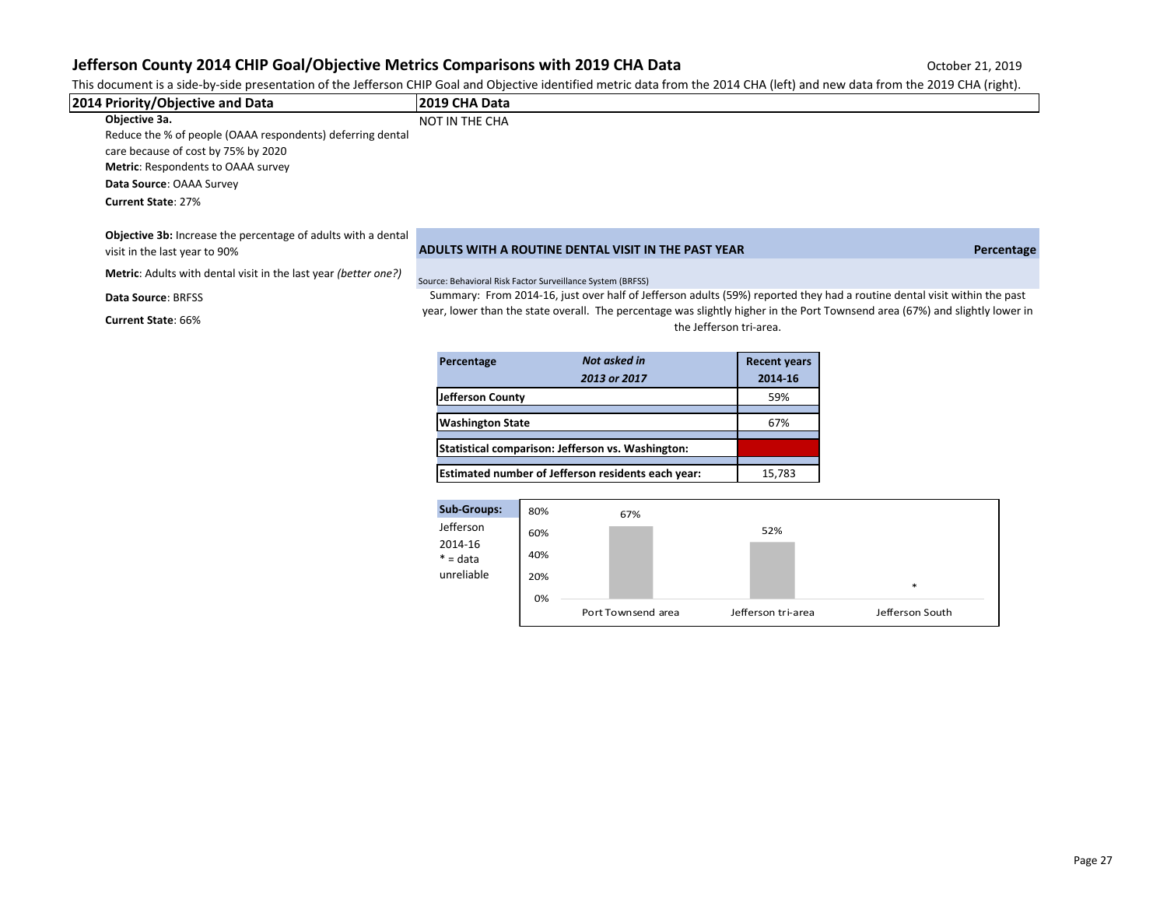This document is a side-by-side presentation of the Jefferson CHIP Goal and Objective identified metric data from the 2014 CHA (left) and new data from the 2019 CHA (right).

| 2014 Priority/Objective and Data                                       | 2019 CHA Data                                                                                                                                           |            |
|------------------------------------------------------------------------|---------------------------------------------------------------------------------------------------------------------------------------------------------|------------|
| Objective 3a.                                                          | NOT IN THE CHA                                                                                                                                          |            |
| Reduce the % of people (OAAA respondents) deferring dental             |                                                                                                                                                         |            |
| care because of cost by 75% by 2020                                    |                                                                                                                                                         |            |
| <b>Metric:</b> Respondents to OAAA survey                              |                                                                                                                                                         |            |
| Data Source: OAAA Survey                                               |                                                                                                                                                         |            |
| <b>Current State: 27%</b>                                              |                                                                                                                                                         |            |
| <b>Objective 3b:</b> Increase the percentage of adults with a dental   |                                                                                                                                                         |            |
| visit in the last year to 90%                                          | ADULTS WITH A ROUTINE DENTAL VISIT IN THE PAST YEAR                                                                                                     | Percentage |
| <b>Metric:</b> Adults with dental visit in the last year (better one?) | Source: Behavioral Risk Factor Surveillance System (BRFSS)                                                                                              |            |
| Data Source: BRFSS                                                     | Summary: From 2014-16, just over half of Jefferson adults (59%) reported they had a routine dental visit within the past                                |            |
| <b>Current State: 66%</b>                                              | year, lower than the state overall. The percentage was slightly higher in the Port Townsend area (67%) and slightly lower in<br>the Jefferson tri-area. |            |

| Percentage              | Not asked in                                       | <b>Recent years</b> |
|-------------------------|----------------------------------------------------|---------------------|
|                         | 2013 or 2017                                       | 2014-16             |
| Jefferson County        |                                                    | 59%                 |
| <b>Washington State</b> |                                                    | 67%                 |
|                         | Statistical comparison: Jefferson vs. Washington:  |                     |
|                         | Estimated number of Jefferson residents each year: | 15,783              |

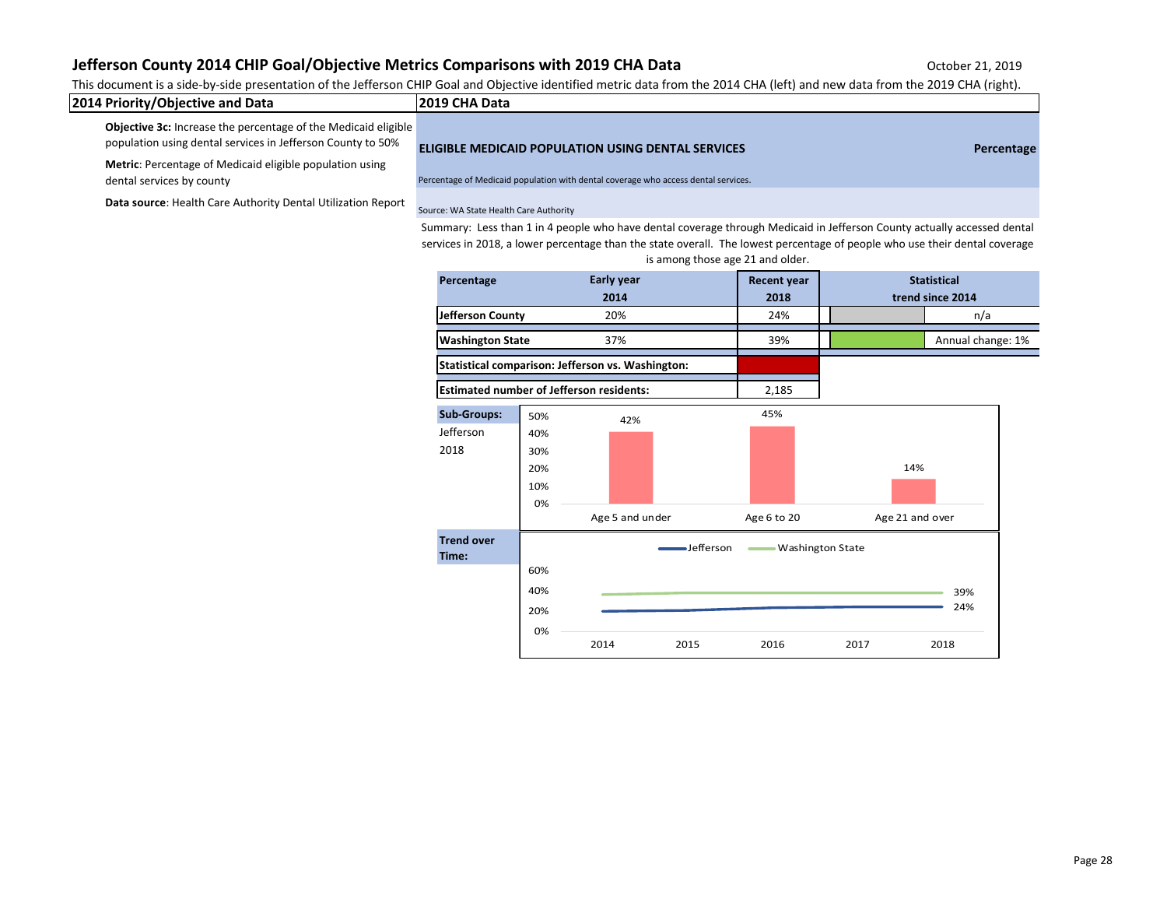This document is a side-by-side presentation of the Jefferson CHIP Goal and Objective identified metric data from the 2014 CHA (left) and new data from the 2019 CHA (right).

| 2014 Priority/Objective and Data                                      | 12019 CHA Data                                            |            |
|-----------------------------------------------------------------------|-----------------------------------------------------------|------------|
| <b>Objective 3c:</b> Increase the percentage of the Medicaid eligible |                                                           |            |
| population using dental services in Jefferson County to 50%           | <b>ELIGIBLE MEDICAID POPULATION USING DENTAL SERVICES</b> | Percentage |

**Metric**: Percentage of Medicaid eligible population using

Data source: Health Care Authority Dental Utilization Report Source: WA State Health Care Authority

dental services by county **Percentage of Medicaid population with dental coverage who access dental services.** 

Summary: Less than 1 in 4 people who have dental coverage through Medicaid in Jefferson County actually accessed dental services in 2018, a lower percentage than the state overall. The lowest percentage of people who use their dental coverage is among those age 21 and older.

| Percentage                                        | <b>Early year</b><br>2014             |                                                 | <b>Recent year</b><br>2018 |                    |                    | <b>Statistical</b><br>trend since 2014 |            |  |
|---------------------------------------------------|---------------------------------------|-------------------------------------------------|----------------------------|--------------------|--------------------|----------------------------------------|------------|--|
| Jefferson County                                  |                                       | 20%                                             |                            | 24%                |                    | n/a                                    |            |  |
| <b>Washington State</b>                           | 37%                                   |                                                 | 39%                        |                    |                    | Annual change: 1%                      |            |  |
| Statistical comparison: Jefferson vs. Washington: |                                       |                                                 |                            |                    |                    |                                        |            |  |
|                                                   |                                       | <b>Estimated number of Jefferson residents:</b> |                            | 2,185              |                    |                                        |            |  |
| <b>Sub-Groups:</b><br>Jefferson<br>2018           | 50%<br>40%<br>30%<br>20%<br>10%<br>0% | 42%<br>Age 5 and under                          |                            | 45%<br>Age 6 to 20 |                    | 14%<br>Age 21 and over                 |            |  |
| <b>Trend over</b><br>Time:                        | 60%<br>40%<br>20%                     |                                                 | -Jefferson                 |                    | - Washington State |                                        | 39%<br>24% |  |
|                                                   | 0%                                    | 2014                                            | 2015                       | 2016               | 2017               |                                        | 2018       |  |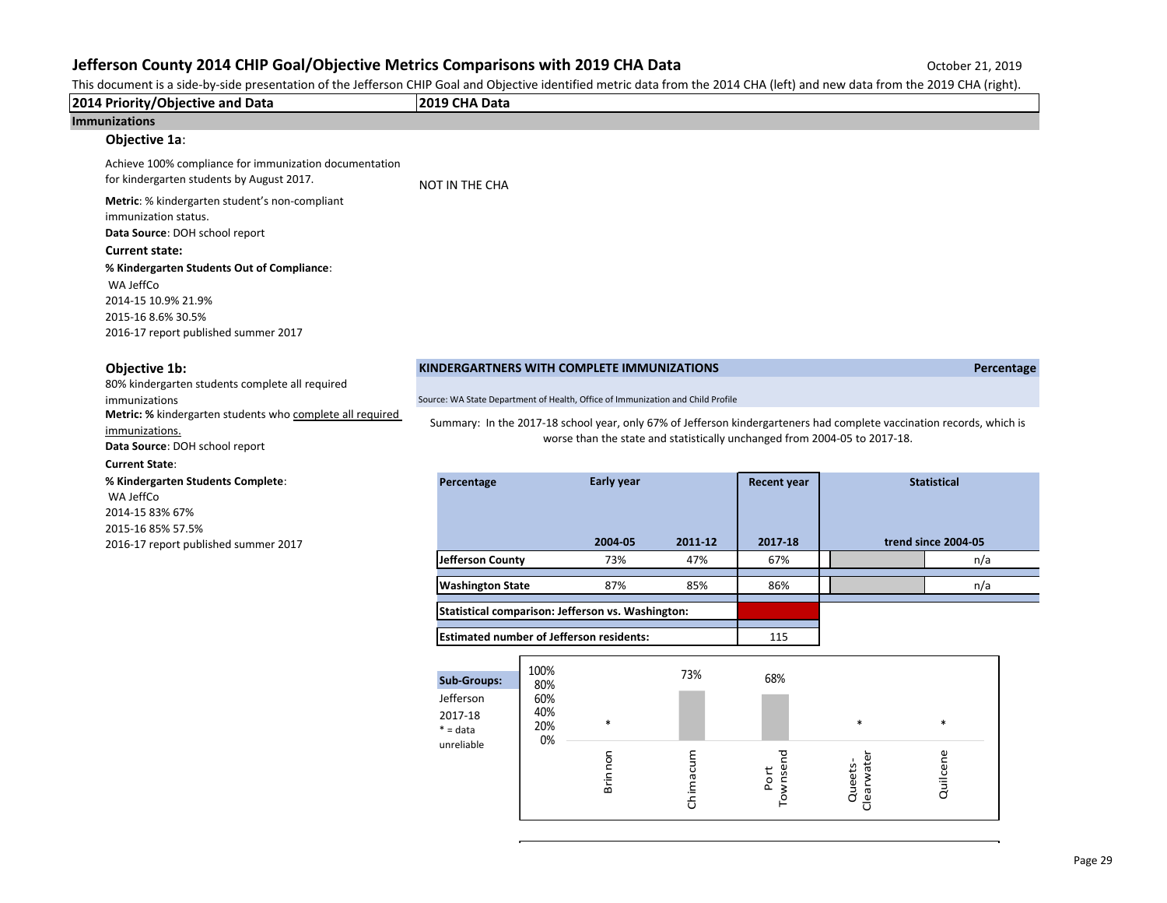This document is a side-by-side presentation of the Jefferson CHIP Goal and Objective identified metric data from the 2014 CHA (left) and new data from the 2019 CHA (right).

| 2014 Priority/Objective and Data                                                                                                             | 2019 CHA Data                                                                   |             |                |                |                    |                                                                           |                                                                                                                       |
|----------------------------------------------------------------------------------------------------------------------------------------------|---------------------------------------------------------------------------------|-------------|----------------|----------------|--------------------|---------------------------------------------------------------------------|-----------------------------------------------------------------------------------------------------------------------|
| <b>Immunizations</b>                                                                                                                         |                                                                                 |             |                |                |                    |                                                                           |                                                                                                                       |
| Objective 1a:                                                                                                                                |                                                                                 |             |                |                |                    |                                                                           |                                                                                                                       |
| Achieve 100% compliance for immunization documentation<br>for kindergarten students by August 2017.                                          | <b>NOT IN THE CHA</b>                                                           |             |                |                |                    |                                                                           |                                                                                                                       |
| Metric: % kindergarten student's non-compliant<br>immunization status.<br>Data Source: DOH school report<br><b>Current state:</b>            |                                                                                 |             |                |                |                    |                                                                           |                                                                                                                       |
| % Kindergarten Students Out of Compliance:<br>WA JeffCo<br>2014-15 10.9% 21.9%<br>2015-16 8.6% 30.5%<br>2016-17 report published summer 2017 |                                                                                 |             |                |                |                    |                                                                           |                                                                                                                       |
| Objective 1b:                                                                                                                                | KINDERGARTNERS WITH COMPLETE IMMUNIZATIONS                                      |             |                |                |                    |                                                                           | Percentage                                                                                                            |
| 80% kindergarten students complete all required<br>immunizations                                                                             | Source: WA State Department of Health, Office of Immunization and Child Profile |             |                |                |                    |                                                                           |                                                                                                                       |
| Metric: % kindergarten students who complete all required                                                                                    |                                                                                 |             |                |                |                    |                                                                           | Summary: In the 2017-18 school year, only 67% of Jefferson kindergarteners had complete vaccination records, which is |
| immunizations.<br>Data Source: DOH school report                                                                                             |                                                                                 |             |                |                |                    | worse than the state and statistically unchanged from 2004-05 to 2017-18. |                                                                                                                       |
| <b>Current State:</b>                                                                                                                        |                                                                                 |             |                |                |                    |                                                                           |                                                                                                                       |
| % Kindergarten Students Complete:<br>WA JeffCo<br>2014-15 83% 67%                                                                            | Percentage                                                                      |             | Early year     |                | <b>Recent year</b> |                                                                           | <b>Statistical</b>                                                                                                    |
| 2015-16 85% 57.5%                                                                                                                            |                                                                                 |             |                |                |                    |                                                                           |                                                                                                                       |
| 2016-17 report published summer 2017                                                                                                         | <b>Jefferson County</b>                                                         |             | 2004-05<br>73% | 2011-12<br>47% | 2017-18<br>67%     |                                                                           | trend since 2004-05<br>n/a                                                                                            |
|                                                                                                                                              |                                                                                 |             |                |                |                    |                                                                           |                                                                                                                       |
|                                                                                                                                              | <b>Washington State</b>                                                         |             | 87%            | 85%            | 86%                |                                                                           | n/a                                                                                                                   |
|                                                                                                                                              | Statistical comparison: Jefferson vs. Washington:                               |             |                |                |                    |                                                                           |                                                                                                                       |
|                                                                                                                                              | <b>Estimated number of Jefferson residents:</b>                                 |             |                |                | 115                |                                                                           |                                                                                                                       |
|                                                                                                                                              |                                                                                 |             |                |                |                    |                                                                           |                                                                                                                       |
|                                                                                                                                              | <b>Sub-Groups:</b>                                                              | 100%<br>80% |                | 73%            | 68%                |                                                                           |                                                                                                                       |
|                                                                                                                                              | Jefferson                                                                       | 60%         |                |                |                    |                                                                           |                                                                                                                       |
|                                                                                                                                              | 2017-18<br>$* = data$                                                           | 40%<br>20%  | $\ast$         |                |                    | $\ast$                                                                    | $\ast$                                                                                                                |
|                                                                                                                                              | unreliable                                                                      | 0%          |                |                |                    |                                                                           |                                                                                                                       |
|                                                                                                                                              |                                                                                 |             | Brinnon        | Chimacum       | Townsend           |                                                                           | Quilcene                                                                                                              |
|                                                                                                                                              |                                                                                 |             |                |                | Port               | Clearwater<br>Queets-                                                     |                                                                                                                       |
|                                                                                                                                              |                                                                                 |             |                |                |                    |                                                                           |                                                                                                                       |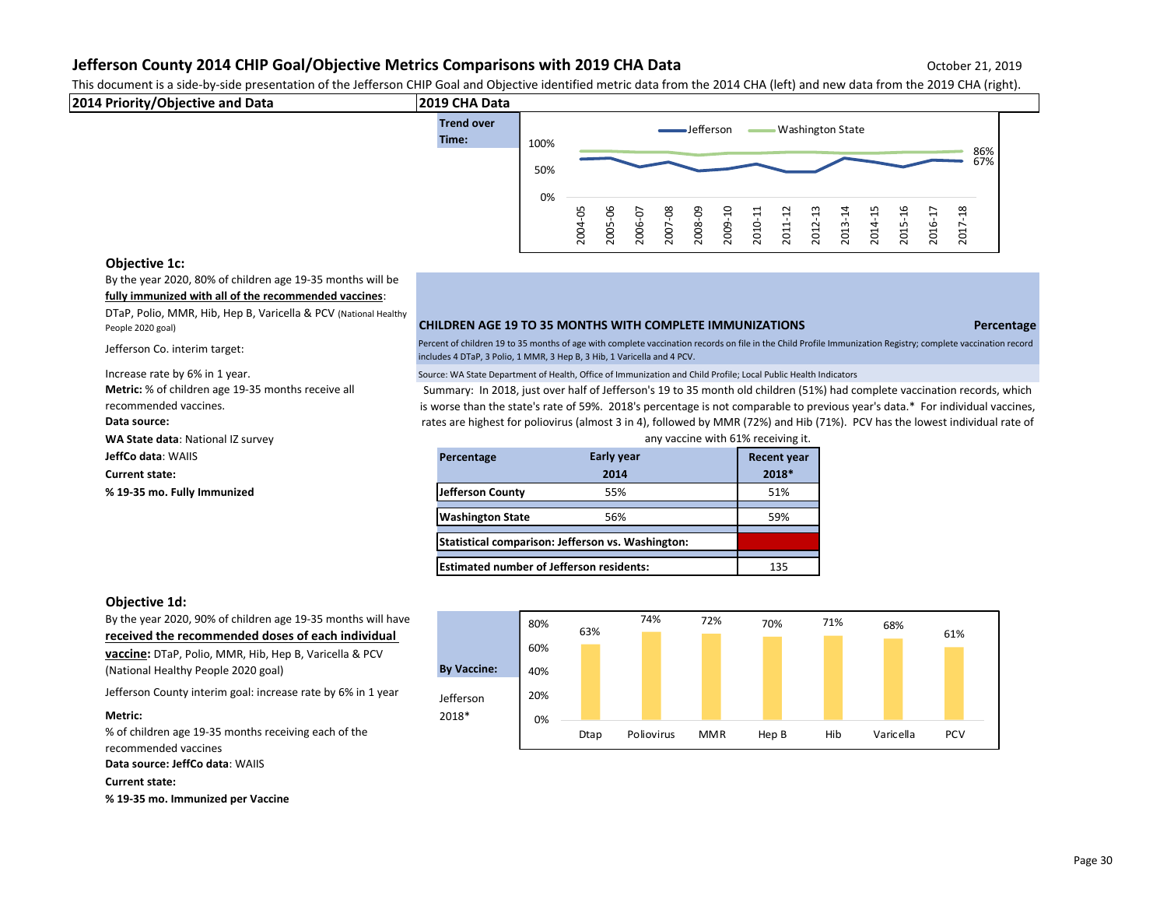This document is a side-by-side presentation of the Jefferson CHIP Goal and Objective identified metric data from the 2014 CHA (left) and new data from the 2019 CHA (right).



## **Objective 1c:**

By the year 2020, 80% of children age 19-35 months will be **fully immunized with all of the recommended vaccines**:

DTaP, Polio, MMR, Hib, Hep B, Varicella & PCV (National Healthy

Jefferson Co. interim target:

**Metric:** % of children age 19-35 months receive all recommended vaccines. **Data source: WA State data**: National IZ survey **JeffCo data: WAIIS** 

## People 2020 goal) **CHILDREN AGE 19 TO 35 MONTHS WITH COMPLETE IMMUNIZATIONS Percentage**

Percent of children 19 to 35 months of age with complete vaccination records on file in the Child Profile Immunization Registry; complete vaccination record includes 4 DTaP, 3 Polio, 1 MMR, 3 Hep B, 3 Hib, 1 Varicella and 4 PCV.

Increase rate by 6% in 1 year. The state of the Source: WA State Department of Health, Office of Immunization and Child Profile; Local Public Health Indicators

Summary: In 2018, just over half of Jefferson's 19 to 35 month old children (51%) had complete vaccination records, which is worse than the state's rate of 59%. 2018's percentage is not comparable to previous year's data.\* For individual vaccines, rates are highest for poliovirus (almost 3 in 4), followed by MMR (72%) and Hib (71%). PCV has the lowest individual rate of any vaccine with 61% receiving it.

| $\cdots$                    |                                                 | $0.11$ , vacchic with $0.270$ recenting its       |                    |
|-----------------------------|-------------------------------------------------|---------------------------------------------------|--------------------|
| <b>JeffCo data:</b> WAIIS   | Percentage                                      | <b>Early year</b>                                 | <b>Recent year</b> |
| <b>Current state:</b>       |                                                 | 2014                                              | 2018*              |
| % 19-35 mo. Fully Immunized | Jefferson County                                | 55%                                               | 51%                |
|                             | <b>Washington State</b>                         | 56%                                               | 59%                |
|                             |                                                 | Statistical comparison: Jefferson vs. Washington: |                    |
|                             | <b>Estimated number of Jefferson residents:</b> |                                                   | 135                |

## **Objective 1d:**

By the year 2020, 90% of children age 19-35 months will have **received the recommended doses of each individual vaccine:** DTaP, Polio, MMR, Hib, Hep B, Varicella & PCV (National Healthy People 2020 goal) **By Vaccine:** 

Jefferson County interim goal: increase rate by 6% in 1 year Jefferson

% of children age 19-35 months receiving each of the recommended vaccines

**Data source: JeffCo data**: WAIIS

**Current state:** 

**% 19-35 mo. Immunized per Vaccine**

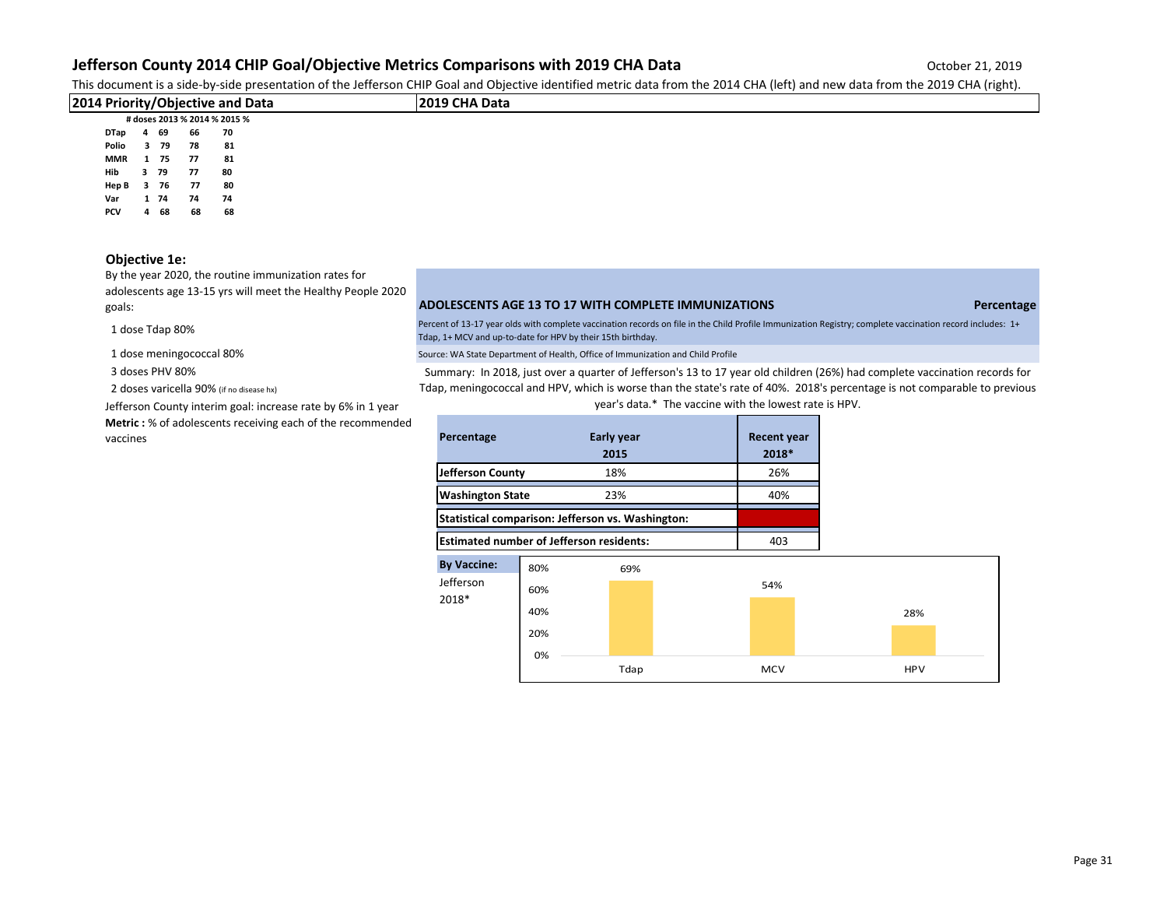This document is a side-by-side presentation of the Jefferson CHIP Goal and Objective identified metric data from the 2014 CHA (left) and new data from the 2019 CHA (right).

|               |                            |                  |                                                                        | $\cdot$ $\sim$ $\cdot$ |
|---------------|----------------------------|------------------|------------------------------------------------------------------------|------------------------|
|               |                            |                  | 2019 CHA Data                                                          |                        |
|               |                            |                  |                                                                        |                        |
|               | 66                         |                  |                                                                        |                        |
|               | 78                         | 81               |                                                                        |                        |
|               |                            | 81               |                                                                        |                        |
|               | -77                        | 80               |                                                                        |                        |
| 76            | 77                         | 80               |                                                                        |                        |
| DTap<br>Hep B | 4 69<br>Polio 3 79<br>3 79 | MMR 1 75<br>- 77 | 2014 Priority/Objective and Data<br># doses 2013 % 2014 % 2015 %<br>70 |                        |

**Var 1 74 74 74 PCV 4 68 68 68**

## **Objective 1e:**

By the year 2020, the routine immunization rates for adolescents age 13-15 yrs will meet the Healthy People 2020

1 dose Tdap 80%

3 doses PHV 80%

2 doses varicella 90% (if no disease hx)

Jefferson County interim goal: increase rate by 6% in 1 year

**Metric :** % of adolescents receiving each of the recommended

## goals: **ADOLESCENTS AGE 13 TO 17 WITH COMPLETE IMMUNIZATIONS Percentage**

Percent of 13-17 year olds with complete vaccination records on file in the Child Profile Immunization Registry; complete vaccination record includes: 1+ Tdap, 1+ MCV and up-to-date for HPV by their 15th birthday.

1 dose meningococcal 80% Source: WA State Department of Health, Office of Immunization and Child Profile

Summary: In 2018, just over a quarter of Jefferson's 13 to 17 year old children (26%) had complete vaccination records for Tdap, meningococcal and HPV, which is worse than the state's rate of 40%. 2018's percentage is not comparable to previous year's data.\* The vaccine with the lowest rate is HPV.

| Metric: % of adolescents receiving each of the recommended<br>vaccines | Percentage                                        | <b>Early year</b> | <b>Recent year</b> |
|------------------------------------------------------------------------|---------------------------------------------------|-------------------|--------------------|
|                                                                        |                                                   | 2015              | 2018*              |
|                                                                        | Jefferson County                                  | 18%               | 26%                |
|                                                                        | <b>Washington State</b>                           | 23%               | 40%                |
|                                                                        | Statistical comparison: Jefferson vs. Washington: |                   |                    |
|                                                                        | <b>Estimated number of Jefferson residents:</b>   |                   | 403                |

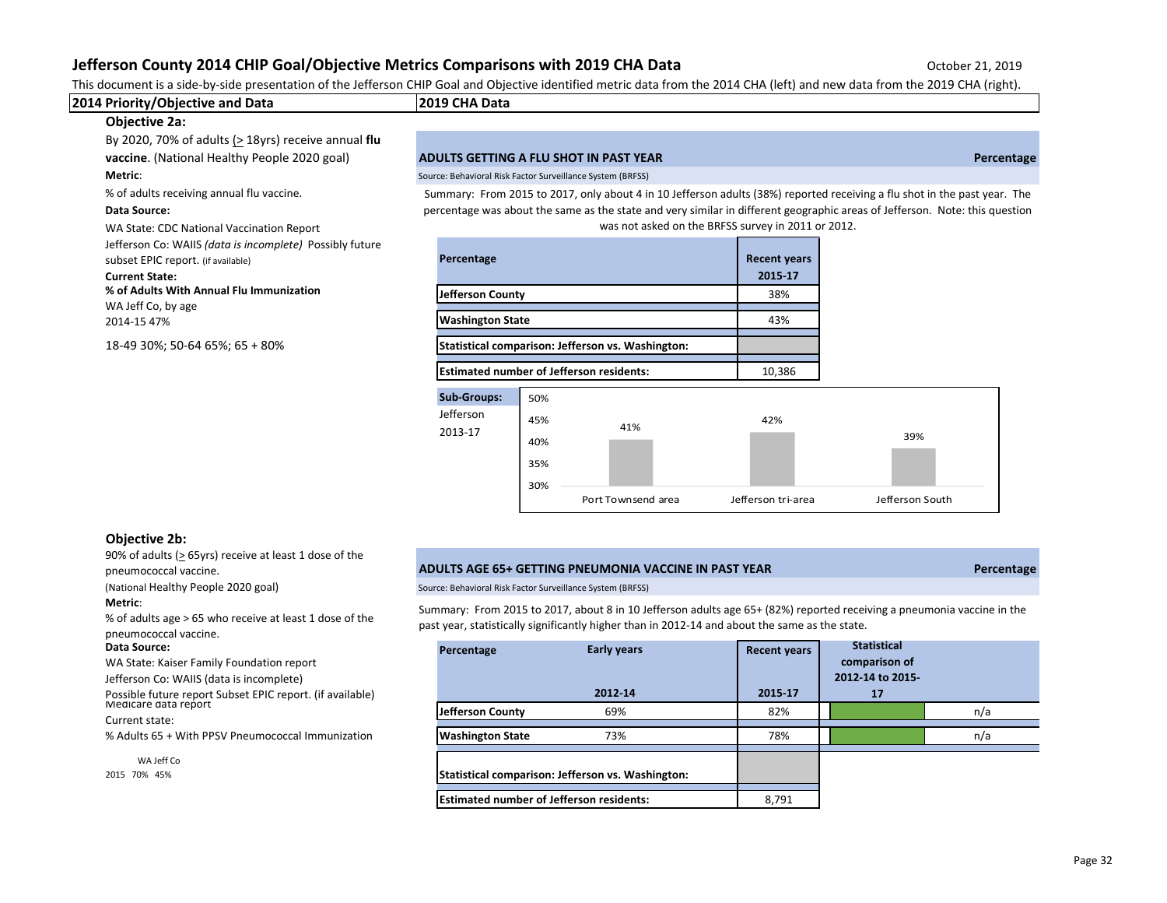This document is a side-by-side presentation of the Jefferson CHIP Goal and Objective identified metric data from the 2014 CHA (left) and new data from the 2019 CHA (right).

| 2014 Priority/Objective and Data                                                                                                                                     | 2019 CHA Data                                                                                                                                                                     |                                |  |  |  |  |
|----------------------------------------------------------------------------------------------------------------------------------------------------------------------|-----------------------------------------------------------------------------------------------------------------------------------------------------------------------------------|--------------------------------|--|--|--|--|
| <b>Objective 2a:</b>                                                                                                                                                 |                                                                                                                                                                                   |                                |  |  |  |  |
| By 2020, 70% of adults ( $>$ 18yrs) receive annual flu                                                                                                               |                                                                                                                                                                                   |                                |  |  |  |  |
| vaccine. (National Healthy People 2020 goal)                                                                                                                         | ADULTS GETTING A FLU SHOT IN PAST YEAR                                                                                                                                            | Percentage                     |  |  |  |  |
| Metric:                                                                                                                                                              | Source: Behavioral Risk Factor Surveillance System (BRFSS)                                                                                                                        |                                |  |  |  |  |
| % of adults receiving annual flu vaccine.                                                                                                                            | Summary: From 2015 to 2017, only about 4 in 10 Jefferson adults (38%) reported receiving a flu shot in the past year. The                                                         |                                |  |  |  |  |
| <b>Data Source:</b>                                                                                                                                                  | percentage was about the same as the state and very similar in different geographic areas of Jefferson. Note: this question<br>was not asked on the BRFSS survey in 2011 or 2012. |                                |  |  |  |  |
| WA State: CDC National Vaccination Report<br>Jefferson Co: WAIIS (data is incomplete) Possibly future<br>subset EPIC report. (if available)<br><b>Current State:</b> | Percentage                                                                                                                                                                        | <b>Recent years</b><br>2015-17 |  |  |  |  |
| % of Adults With Annual Flu Immunization<br>WA Jeff Co, by age                                                                                                       | <b>Jefferson County</b>                                                                                                                                                           | 38%                            |  |  |  |  |
| 2014-15 47%                                                                                                                                                          | <b>Washington State</b>                                                                                                                                                           | 43%                            |  |  |  |  |
| 18-49 30%; 50-64 65%; 65 + 80%                                                                                                                                       | Statistical comparison: Jefferson vs. Washington:                                                                                                                                 |                                |  |  |  |  |
|                                                                                                                                                                      |                                                                                                                                                                                   |                                |  |  |  |  |



### **Objective 2b:**

90% of adults ( $\geq$  65yrs) receive at least 1 dose of the

## **Metric**:

% of adults age > 65 who receive at least 1 dose of the pneumococcal vaccine.

#### **Data Source:**

### pneumococcal vaccine. **ADULTS AGE 65+ GETTING PNEUMONIA VACCINE IN PAST YEAR Percentage**

(National Healthy People 2020 goal) Source: Behavioral Risk Factor Surveillance System (BRFSS)

Summary: From 2015 to 2017, about 8 in 10 Jefferson adults age 65+ (82%) reported receiving a pneumonia vaccine in the past year, statistically significantly higher than in 2012-14 and about the same as the state.

| Data Source:<br>WA State: Kaiser Family Foundation report                                             | Percentage                                        | Early years | <b>Recent years</b> | <b>Statistical</b><br>comparison of |     |
|-------------------------------------------------------------------------------------------------------|---------------------------------------------------|-------------|---------------------|-------------------------------------|-----|
| Jefferson Co: WAIIS (data is incomplete)<br>Possible future report Subset EPIC report. (if available) |                                                   | 2012-14     | 2015-17             | 2012-14 to 2015-<br>17              |     |
| Medicare data report                                                                                  | Jefferson County                                  | 69%         | 82%                 |                                     | n/a |
| Current state:                                                                                        |                                                   |             |                     |                                     |     |
| % Adults 65 + With PPSV Pneumococcal Immunization                                                     | <b>Washington State</b>                           | 73%         | 78%                 |                                     | n/a |
| WA Jeff Co                                                                                            |                                                   |             |                     |                                     |     |
| 2015 70% 45%                                                                                          | Statistical comparison: Jefferson vs. Washington: |             |                     |                                     |     |
|                                                                                                       | <b>Estimated number of Jefferson residents:</b>   |             | 8,791               |                                     |     |